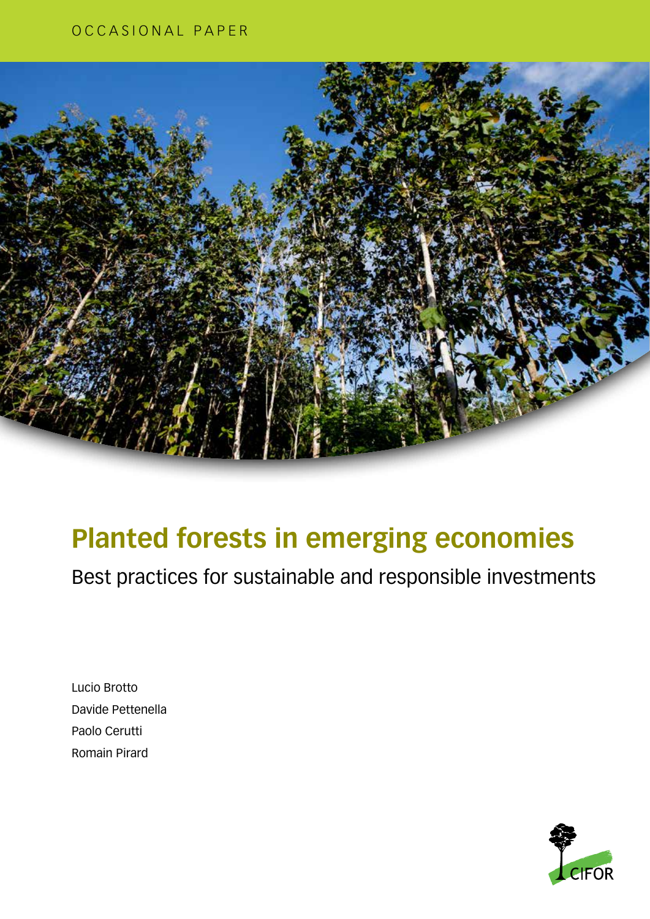### OCCASIONAL PAPER



## **Planted forests in emerging economies**

Best practices for sustainable and responsible investments

Lucio Brotto Davide Pettenella Paolo Cerutti Romain Pirard

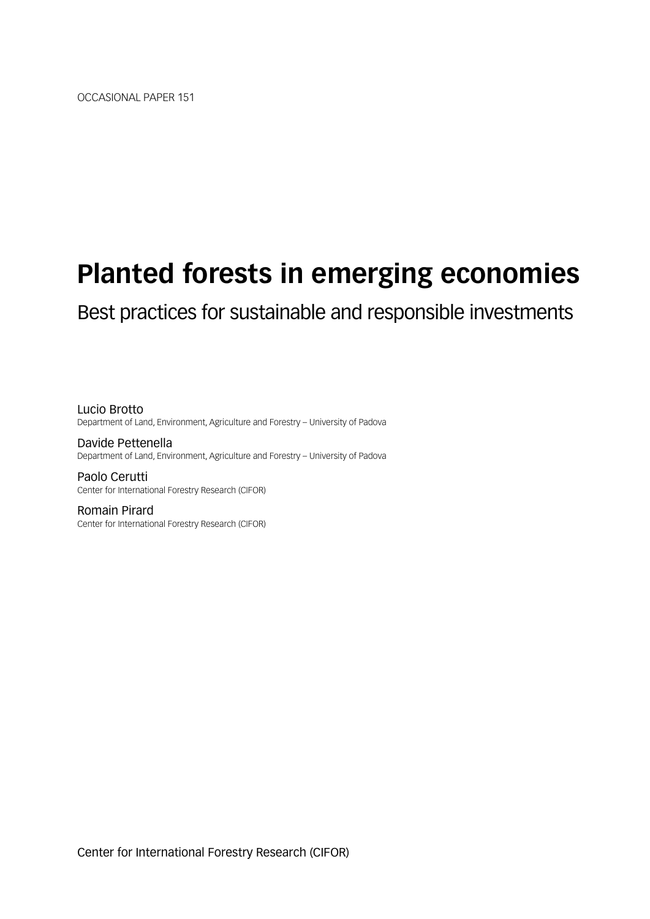## **Planted forests in emerging economies**

### Best practices for sustainable and responsible investments

Lucio Brotto Department of Land, Environment, Agriculture and Forestry – University of Padova

Davide Pettenella Department of Land, Environment, Agriculture and Forestry – University of Padova

Paolo Cerutti Center for International Forestry Research (CIFOR)

Romain Pirard Center for International Forestry Research (CIFOR)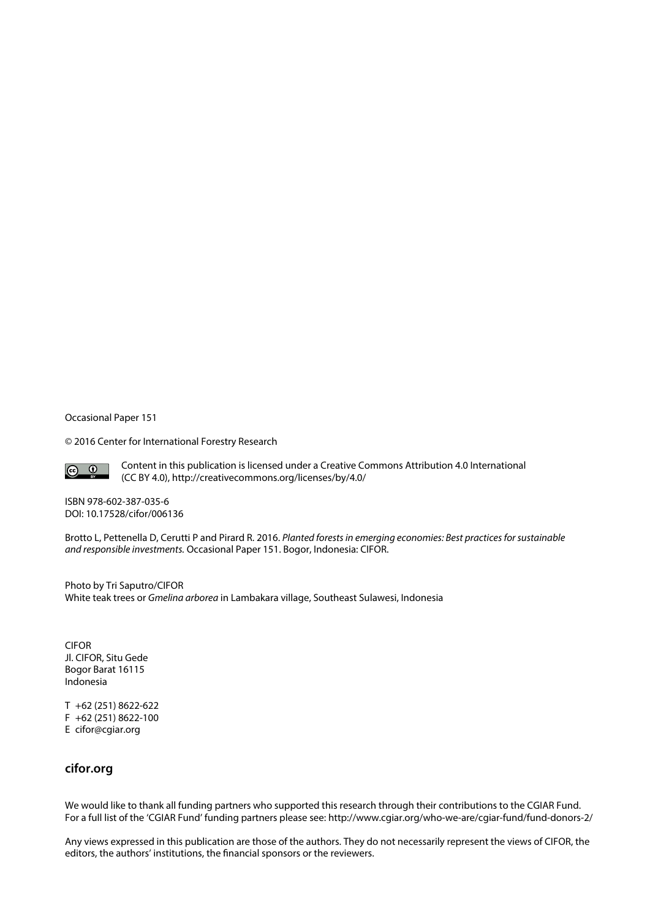Occasional Paper 151

© 2016 Center for International Forestry Research



Content in this publication is licensed under a Creative Commons Attribution 4.0 International (CC BY 4.0), http://creativecommons.org/licenses/by/4.0/

ISBN 978-602-387-035-6 DOI: 10.17528/cifor/006136

Brotto L, Pettenella D, Cerutti P and Pirard R. 2016. *Planted forests in emerging economies: Best practices for sustainable and responsible investments.* Occasional Paper 151. Bogor, Indonesia: CIFOR.

Photo by Tri Saputro/CIFOR White teak trees or *Gmelina arborea* in Lambakara village, Southeast Sulawesi, Indonesia

CIFOR Jl. CIFOR, Situ Gede Bogor Barat 16115 Indonesia

T +62 (251) 8622-622 F +62 (251) 8622-100 E cifor@cgiar.org

#### **cifor.org**

We would like to thank all funding partners who supported this research through their contributions to the CGIAR Fund. For a full list of the 'CGIAR Fund' funding partners please see: http://www.cgiar.org/who-we-are/cgiar-fund/fund-donors-2/

Any views expressed in this publication are those of the authors. They do not necessarily represent the views of CIFOR, the editors, the authors' institutions, the financial sponsors or the reviewers.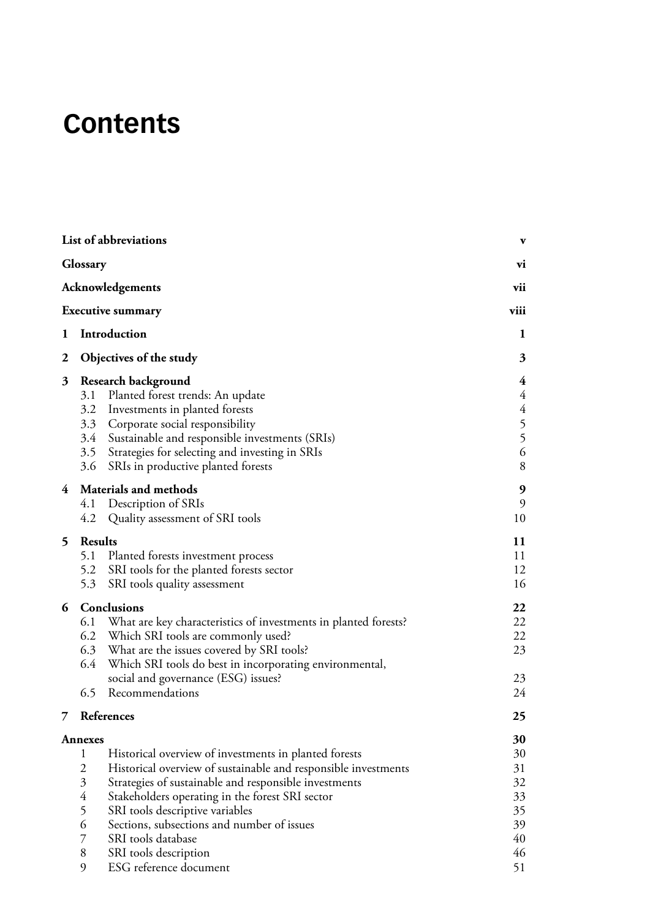## **Contents**

|   | List of abbreviations                                                                                                                                                                                                                                                                                |                                                                                                                                                                                                                                                                                   | $\mathbf{v}$                                                           |
|---|------------------------------------------------------------------------------------------------------------------------------------------------------------------------------------------------------------------------------------------------------------------------------------------------------|-----------------------------------------------------------------------------------------------------------------------------------------------------------------------------------------------------------------------------------------------------------------------------------|------------------------------------------------------------------------|
|   | Glossary                                                                                                                                                                                                                                                                                             |                                                                                                                                                                                                                                                                                   | vi                                                                     |
|   | Acknowledgements                                                                                                                                                                                                                                                                                     |                                                                                                                                                                                                                                                                                   | vii                                                                    |
|   | <b>Executive summary</b>                                                                                                                                                                                                                                                                             |                                                                                                                                                                                                                                                                                   | viii                                                                   |
| 1 | Introduction                                                                                                                                                                                                                                                                                         |                                                                                                                                                                                                                                                                                   | $\mathbf{1}$                                                           |
| 2 | Objectives of the study                                                                                                                                                                                                                                                                              |                                                                                                                                                                                                                                                                                   | 3                                                                      |
| 3 | Research background<br>Planted forest trends: An update<br>3.1<br>3.2 Investments in planted forests<br>3.3 Corporate social responsibility<br>3.4 Sustainable and responsible investments (SRIs)<br>3.5 Strategies for selecting and investing in SRIs<br>3.6<br>SRIs in productive planted forests |                                                                                                                                                                                                                                                                                   | 4<br>$\overline{4}$<br>$\overline{4}$<br>5<br>5<br>$\sqrt{6}$<br>$8\,$ |
| 4 | 9<br>9<br>10                                                                                                                                                                                                                                                                                         |                                                                                                                                                                                                                                                                                   |                                                                        |
| 5 | <b>Results</b><br>5.1 Planted forests investment process<br>5.2<br>SRI tools for the planted forests sector<br>5.3<br>SRI tools quality assessment                                                                                                                                                   |                                                                                                                                                                                                                                                                                   | 11<br>11<br>12<br>16                                                   |
| 6 | Conclusions<br>6.2 Which SRI tools are commonly used?<br>6.3 What are the issues covered by SRI tools?<br>6.4<br>social and governance (ESG) issues?<br>6.5<br>Recommendations                                                                                                                       | 6.1 What are key characteristics of investments in planted forests?<br>Which SRI tools do best in incorporating environmental,                                                                                                                                                    | 22<br>22<br>22<br>23<br>23<br>24                                       |
| 7 | References                                                                                                                                                                                                                                                                                           |                                                                                                                                                                                                                                                                                   | 25                                                                     |
|   | <b>Annexes</b>                                                                                                                                                                                                                                                                                       |                                                                                                                                                                                                                                                                                   | 30                                                                     |
|   | $\mathbf 1$<br>$\overline{2}$<br>$\mathfrak{Z}$<br>$\overline{4}$<br>5<br>SRI tools descriptive variables<br>6<br>SRI tools database<br>$\overline{7}$<br>8<br>SRI tools description<br>9<br>ESG reference document                                                                                  | Historical overview of investments in planted forests<br>Historical overview of sustainable and responsible investments<br>Strategies of sustainable and responsible investments<br>Stakeholders operating in the forest SRI sector<br>Sections, subsections and number of issues | 30<br>31<br>32<br>33<br>35<br>39<br>40<br>46<br>51                     |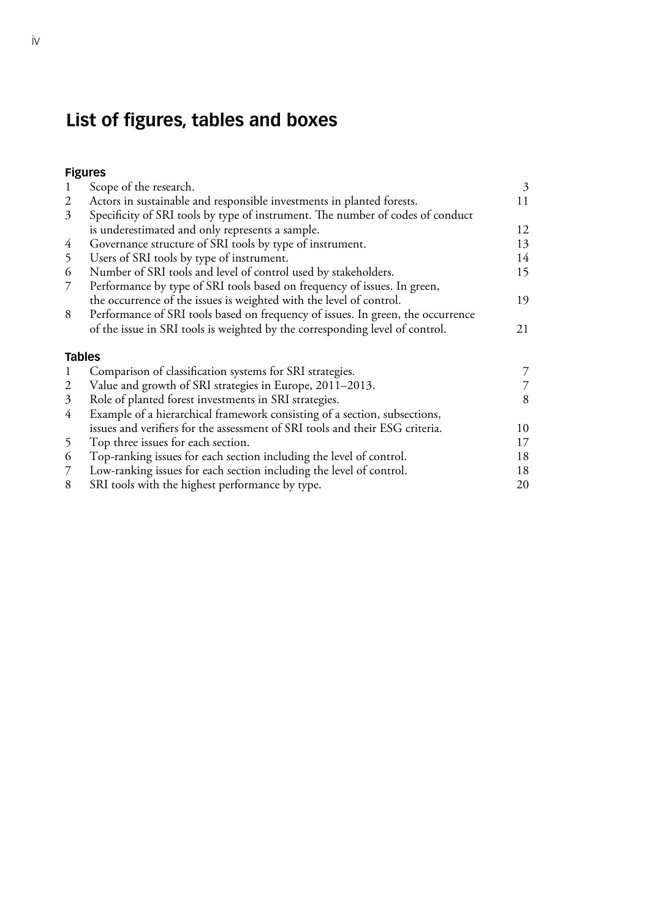## **List of figures, tables and boxes**

| lgure |  |
|-------|--|
|-------|--|

| -1             | Scope of the research.                                                          | $\mathfrak{Z}$ |
|----------------|---------------------------------------------------------------------------------|----------------|
| 2              | Actors in sustainable and responsible investments in planted forests.           | 11             |
| $\mathfrak{Z}$ | Specificity of SRI tools by type of instrument. The number of codes of conduct  |                |
|                | is underestimated and only represents a sample.                                 | 12             |
| 4              | Governance structure of SRI tools by type of instrument.                        | 13             |
| 5              | Users of SRI tools by type of instrument.                                       | 14             |
| 6              | Number of SRI tools and level of control used by stakeholders.                  | 15             |
| 7              | Performance by type of SRI tools based on frequency of issues. In green,        |                |
|                | the occurrence of the issues is weighted with the level of control.             | 19             |
| 8              | Performance of SRI tools based on frequency of issues. In green, the occurrence |                |
|                | of the issue in SRI tools is weighted by the corresponding level of control.    | 21             |
| <b>Tables</b>  |                                                                                 |                |
| $\perp$        | Comparison of classification systems for SRI strategies.                        |                |
| 2              | Value and growth of SRI strategies in Europe, 2011–2013.                        |                |
| 3              | Role of planted forest investments in SRI strategies.                           | 8              |
| 4              | Example of a hierarchical framework consisting of a section, subsections,       |                |
|                | issues and verifiers for the assessment of SRI tools and their ESG criteria.    | 10             |
| 5 <sup>5</sup> | Top three issues for each section.                                              | 17             |
| 6              | Top-ranking issues for each section including the level of control.             | 18             |
| $\mathcal{I}$  | Low-ranking issues for each section including the level of control.             | 18             |
|                |                                                                                 |                |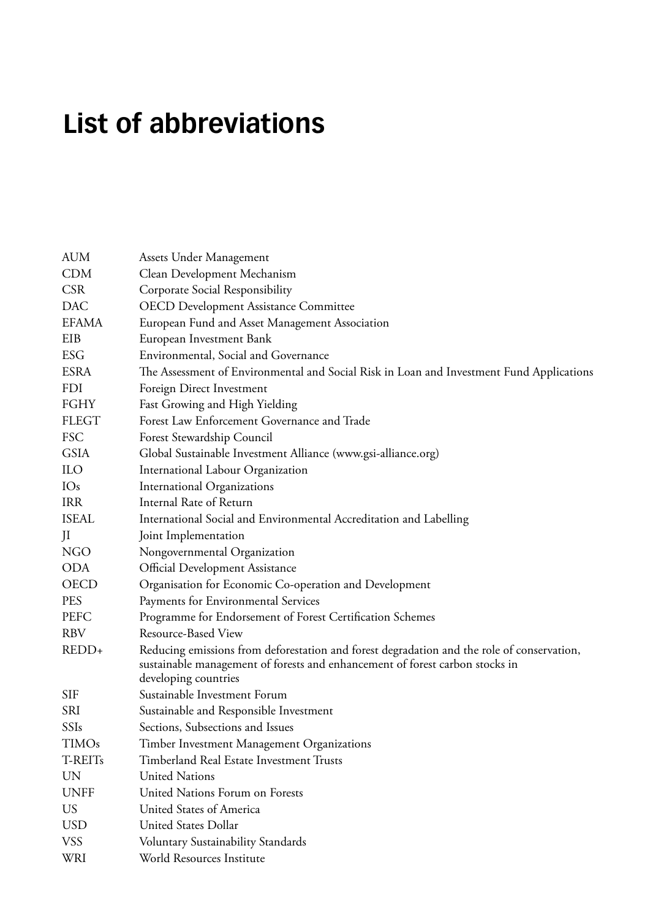## <span id="page-6-0"></span>**List of abbreviations**

| <b>AUM</b>      | Assets Under Management                                                                                                                                                                            |  |  |
|-----------------|----------------------------------------------------------------------------------------------------------------------------------------------------------------------------------------------------|--|--|
| <b>CDM</b>      | Clean Development Mechanism                                                                                                                                                                        |  |  |
| <b>CSR</b>      | Corporate Social Responsibility                                                                                                                                                                    |  |  |
| <b>DAC</b>      | <b>OECD Development Assistance Committee</b>                                                                                                                                                       |  |  |
| <b>EFAMA</b>    | European Fund and Asset Management Association                                                                                                                                                     |  |  |
| EIB             | European Investment Bank                                                                                                                                                                           |  |  |
| <b>ESG</b>      | Environmental, Social and Governance                                                                                                                                                               |  |  |
| <b>ESRA</b>     | The Assessment of Environmental and Social Risk in Loan and Investment Fund Applications                                                                                                           |  |  |
| <b>FDI</b>      | Foreign Direct Investment                                                                                                                                                                          |  |  |
| FGHY            | Fast Growing and High Yielding                                                                                                                                                                     |  |  |
| <b>FLEGT</b>    | Forest Law Enforcement Governance and Trade                                                                                                                                                        |  |  |
| <b>FSC</b>      | Forest Stewardship Council                                                                                                                                                                         |  |  |
| <b>GSIA</b>     | Global Sustainable Investment Alliance (www.gsi-alliance.org)                                                                                                                                      |  |  |
| ILO             | International Labour Organization                                                                                                                                                                  |  |  |
| IO <sub>s</sub> | International Organizations                                                                                                                                                                        |  |  |
| <b>IRR</b>      | Internal Rate of Return                                                                                                                                                                            |  |  |
| <b>ISEAL</b>    | International Social and Environmental Accreditation and Labelling                                                                                                                                 |  |  |
| JI              | Joint Implementation                                                                                                                                                                               |  |  |
| <b>NGO</b>      | Nongovernmental Organization                                                                                                                                                                       |  |  |
| <b>ODA</b>      | Official Development Assistance                                                                                                                                                                    |  |  |
| <b>OECD</b>     | Organisation for Economic Co-operation and Development                                                                                                                                             |  |  |
| <b>PES</b>      | Payments for Environmental Services                                                                                                                                                                |  |  |
| PEFC            | Programme for Endorsement of Forest Certification Schemes                                                                                                                                          |  |  |
| <b>RBV</b>      | Resource-Based View                                                                                                                                                                                |  |  |
| REDD+           | Reducing emissions from deforestation and forest degradation and the role of conservation,<br>sustainable management of forests and enhancement of forest carbon stocks in<br>developing countries |  |  |
| <b>SIF</b>      | Sustainable Investment Forum                                                                                                                                                                       |  |  |
| SRI             | Sustainable and Responsible Investment                                                                                                                                                             |  |  |
| SSIs            | Sections, Subsections and Issues                                                                                                                                                                   |  |  |
| <b>TIMOs</b>    | Timber Investment Management Organizations                                                                                                                                                         |  |  |
| T-REITs         | Timberland Real Estate Investment Trusts                                                                                                                                                           |  |  |
| <b>UN</b>       | <b>United Nations</b>                                                                                                                                                                              |  |  |
| <b>UNFF</b>     | United Nations Forum on Forests                                                                                                                                                                    |  |  |
| <b>US</b>       | United States of America                                                                                                                                                                           |  |  |
| <b>USD</b>      | United States Dollar                                                                                                                                                                               |  |  |
| <b>VSS</b>      | Voluntary Sustainability Standards                                                                                                                                                                 |  |  |
| <b>WRI</b>      | World Resources Institute                                                                                                                                                                          |  |  |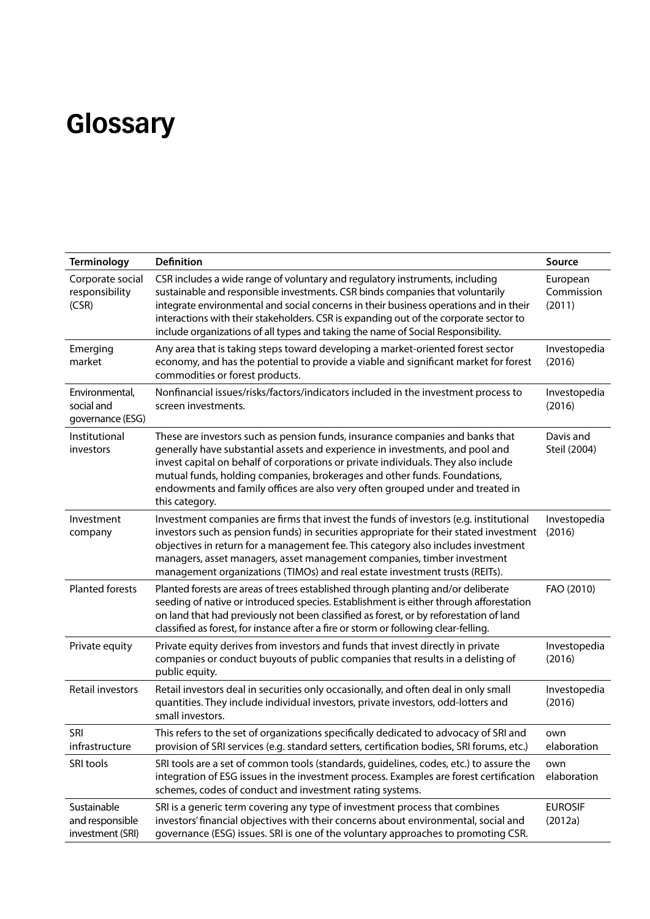## <span id="page-7-0"></span>**Glossary**

| <b>Terminology</b>                                 | <b>Definition</b>                                                                                                                                                                                                                                                                                                                                                                                                                     | Source                           |
|----------------------------------------------------|---------------------------------------------------------------------------------------------------------------------------------------------------------------------------------------------------------------------------------------------------------------------------------------------------------------------------------------------------------------------------------------------------------------------------------------|----------------------------------|
| Corporate social<br>responsibility<br>(CSR)        | CSR includes a wide range of voluntary and regulatory instruments, including<br>sustainable and responsible investments. CSR binds companies that voluntarily<br>integrate environmental and social concerns in their business operations and in their<br>interactions with their stakeholders. CSR is expanding out of the corporate sector to<br>include organizations of all types and taking the name of Social Responsibility.   | European<br>Commission<br>(2011) |
| Emerging<br>market                                 | Any area that is taking steps toward developing a market-oriented forest sector<br>economy, and has the potential to provide a viable and significant market for forest<br>commodities or forest products.                                                                                                                                                                                                                            | Investopedia<br>(2016)           |
| Environmental,<br>social and<br>governance (ESG)   | Nonfinancial issues/risks/factors/indicators included in the investment process to<br>screen investments.                                                                                                                                                                                                                                                                                                                             | Investopedia<br>(2016)           |
| Institutional<br>investors                         | These are investors such as pension funds, insurance companies and banks that<br>generally have substantial assets and experience in investments, and pool and<br>invest capital on behalf of corporations or private individuals. They also include<br>mutual funds, holding companies, brokerages and other funds. Foundations,<br>endowments and family offices are also very often grouped under and treated in<br>this category. | Davis and<br>Steil (2004)        |
| Investment<br>company                              | Investment companies are firms that invest the funds of investors (e.g. institutional<br>investors such as pension funds) in securities appropriate for their stated investment<br>objectives in return for a management fee. This category also includes investment<br>managers, asset managers, asset management companies, timber investment<br>management organizations (TIMOs) and real estate investment trusts (REITs).        | Investopedia<br>(2016)           |
| <b>Planted forests</b>                             | Planted forests are areas of trees established through planting and/or deliberate<br>seeding of native or introduced species. Establishment is either through afforestation<br>on land that had previously not been classified as forest, or by reforestation of land<br>classified as forest, for instance after a fire or storm or following clear-felling.                                                                         | FAO (2010)                       |
| Private equity                                     | Private equity derives from investors and funds that invest directly in private<br>companies or conduct buyouts of public companies that results in a delisting of<br>public equity.                                                                                                                                                                                                                                                  | Investopedia<br>(2016)           |
| Retail investors                                   | Retail investors deal in securities only occasionally, and often deal in only small<br>quantities. They include individual investors, private investors, odd-lotters and<br>small investors.                                                                                                                                                                                                                                          | Investopedia<br>(2016)           |
| SRI<br>infrastructure                              | This refers to the set of organizations specifically dedicated to advocacy of SRI and<br>provision of SRI services (e.g. standard setters, certification bodies, SRI forums, etc.)                                                                                                                                                                                                                                                    | own<br>elaboration               |
| SRI tools                                          | SRI tools are a set of common tools (standards, guidelines, codes, etc.) to assure the<br>integration of ESG issues in the investment process. Examples are forest certification<br>schemes, codes of conduct and investment rating systems.                                                                                                                                                                                          | own<br>elaboration               |
| Sustainable<br>and responsible<br>investment (SRI) | SRI is a generic term covering any type of investment process that combines<br>investors' financial objectives with their concerns about environmental, social and<br>governance (ESG) issues. SRI is one of the voluntary approaches to promoting CSR.                                                                                                                                                                               | <b>EUROSIF</b><br>(2012a)        |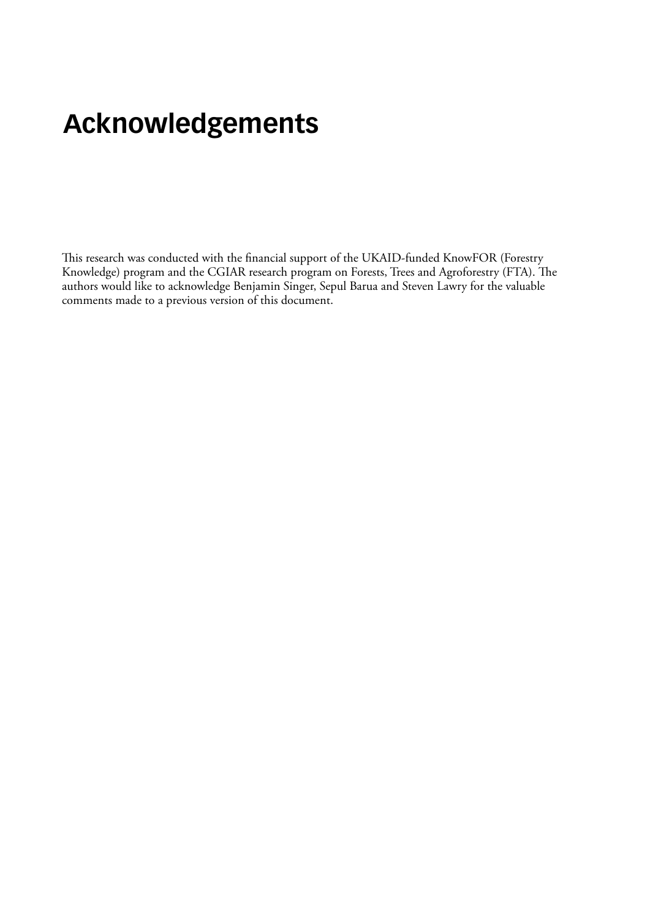## <span id="page-8-0"></span>**Acknowledgements**

This research was conducted with the financial support of the UKAID-funded KnowFOR (Forestry Knowledge) program and the CGIAR research program on Forests, Trees and Agroforestry (FTA). The authors would like to acknowledge Benjamin Singer, Sepul Barua and Steven Lawry for the valuable comments made to a previous version of this document.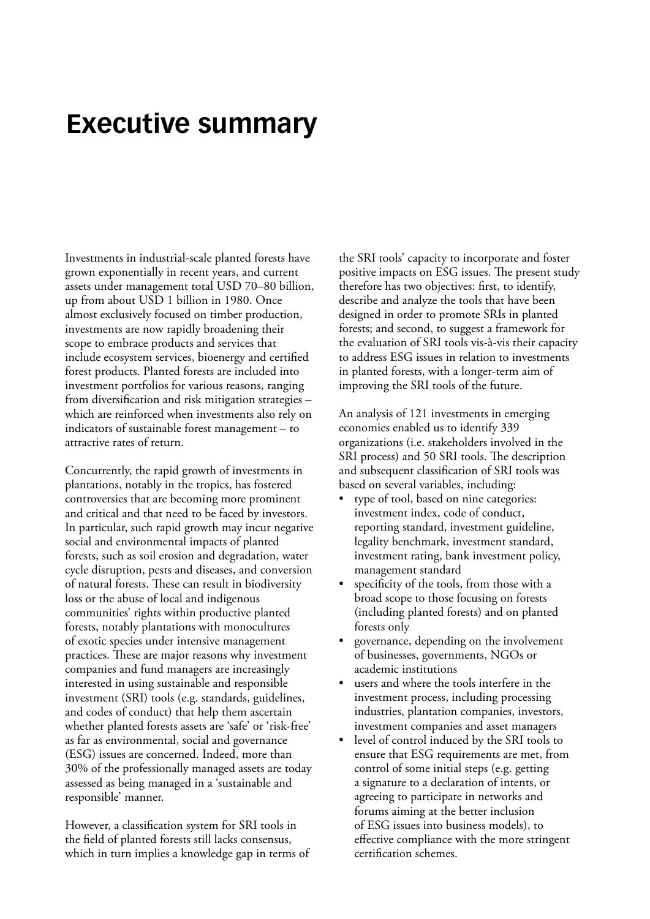## <span id="page-9-0"></span>**Executive summary**

Investments in industrial-scale planted forests have grown exponentially in recent years, and current assets under management total USD 70–80 billion, up from about USD 1 billion in 1980. Once almost exclusively focused on timber production, investments are now rapidly broadening their scope to embrace products and services that include ecosystem services, bioenergy and certified forest products. Planted forests are included into investment portfolios for various reasons, ranging from diversification and risk mitigation strategies – which are reinforced when investments also rely on indicators of sustainable forest management – to attractive rates of return.

Concurrently, the rapid growth of investments in plantations, notably in the tropics, has fostered controversies that are becoming more prominent and critical and that need to be faced by investors. In particular, such rapid growth may incur negative social and environmental impacts of planted forests, such as soil erosion and degradation, water cycle disruption, pests and diseases, and conversion of natural forests. These can result in biodiversity loss or the abuse of local and indigenous communities' rights within productive planted forests, notably plantations with monocultures of exotic species under intensive management practices. These are major reasons why investment companies and fund managers are increasingly interested in using sustainable and responsible investment (SRI) tools (e.g. standards, guidelines, and codes of conduct) that help them ascertain whether planted forests assets are 'safe' or 'risk-free' as far as environmental, social and governance (ESG) issues are concerned. Indeed, more than 30% of the professionally managed assets are today assessed as being managed in a 'sustainable and responsible' manner.

However, a classification system for SRI tools in the field of planted forests still lacks consensus, which in turn implies a knowledge gap in terms of the SRI tools' capacity to incorporate and foster positive impacts on ESG issues. The present study therefore has two objectives: first, to identify, describe and analyze the tools that have been designed in order to promote SRIs in planted forests; and second, to suggest a framework for the evaluation of SRI tools vis-à-vis their capacity to address ESG issues in relation to investments in planted forests, with a longer-term aim of improving the SRI tools of the future.

An analysis of 121 investments in emerging economies enabled us to identify 339 organizations (i.e. stakeholders involved in the SRI process) and 50 SRI tools. The description and subsequent classification of SRI tools was based on several variables, including:

- type of tool, based on nine categories: investment index, code of conduct, reporting standard, investment guideline, legality benchmark, investment standard, investment rating, bank investment policy, management standard
- specificity of the tools, from those with a broad scope to those focusing on forests (including planted forests) and on planted forests only
- governance, depending on the involvement of businesses, governments, NGOs or academic institutions
- users and where the tools interfere in the investment process, including processing industries, plantation companies, investors, investment companies and asset managers
- level of control induced by the SRI tools to ensure that ESG requirements are met, from control of some initial steps (e.g. getting a signature to a declaration of intents, or agreeing to participate in networks and forums aiming at the better inclusion of ESG issues into business models), to effective compliance with the more stringent certification schemes.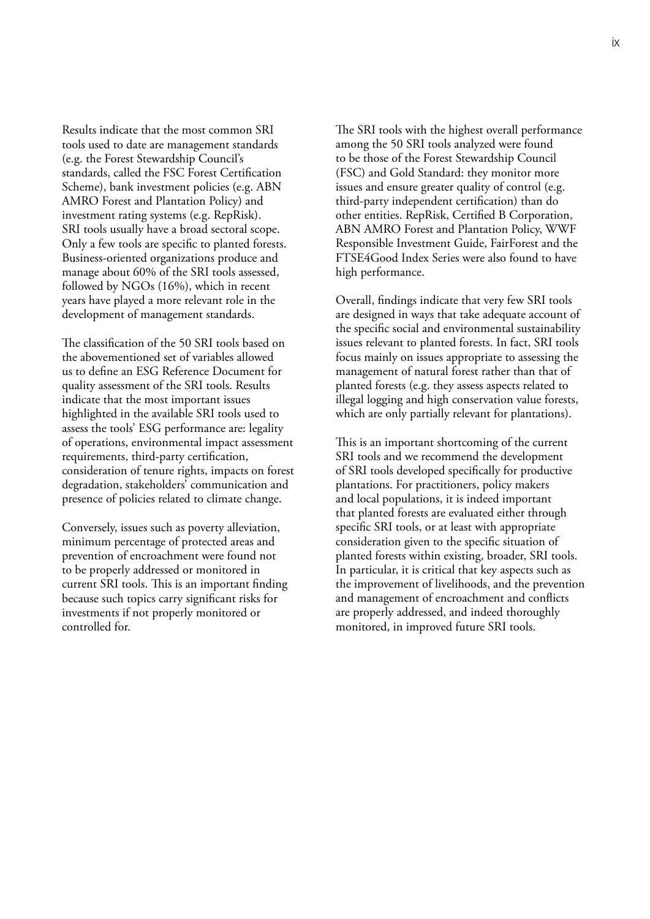Results indicate that the most common SRI tools used to date are management standards (e.g. the Forest Stewardship Council's standards, called the FSC Forest Certification Scheme), bank investment policies (e.g. ABN AMRO Forest and Plantation Policy) and investment rating systems (e.g. RepRisk). SRI tools usually have a broad sectoral scope. Only a few tools are specific to planted forests. Business-oriented organizations produce and manage about 60% of the SRI tools assessed, followed by NGOs (16%), which in recent years have played a more relevant role in the development of management standards.

The classification of the 50 SRI tools based on the abovementioned set of variables allowed us to define an ESG Reference Document for quality assessment of the SRI tools. Results indicate that the most important issues highlighted in the available SRI tools used to assess the tools' ESG performance are: legality of operations, environmental impact assessment requirements, third-party certification, consideration of tenure rights, impacts on forest degradation, stakeholders' communication and presence of policies related to climate change.

Conversely, issues such as poverty alleviation, minimum percentage of protected areas and prevention of encroachment were found not to be properly addressed or monitored in current SRI tools. This is an important finding because such topics carry significant risks for investments if not properly monitored or controlled for.

The SRI tools with the highest overall performance among the 50 SRI tools analyzed were found to be those of the Forest Stewardship Council (FSC) and Gold Standard: they monitor more issues and ensure greater quality of control (e.g. third-party independent certification) than do other entities. RepRisk, Certified B Corporation, ABN AMRO Forest and Plantation Policy, WWF Responsible Investment Guide, FairForest and the FTSE4Good Index Series were also found to have high performance.

Overall, findings indicate that very few SRI tools are designed in ways that take adequate account of the specific social and environmental sustainability issues relevant to planted forests. In fact, SRI tools focus mainly on issues appropriate to assessing the management of natural forest rather than that of planted forests (e.g. they assess aspects related to illegal logging and high conservation value forests, which are only partially relevant for plantations).

This is an important shortcoming of the current SRI tools and we recommend the development of SRI tools developed specifically for productive plantations. For practitioners, policy makers and local populations, it is indeed important that planted forests are evaluated either through specific SRI tools, or at least with appropriate consideration given to the specific situation of planted forests within existing, broader, SRI tools. In particular, it is critical that key aspects such as the improvement of livelihoods, and the prevention and management of encroachment and conflicts are properly addressed, and indeed thoroughly monitored, in improved future SRI tools.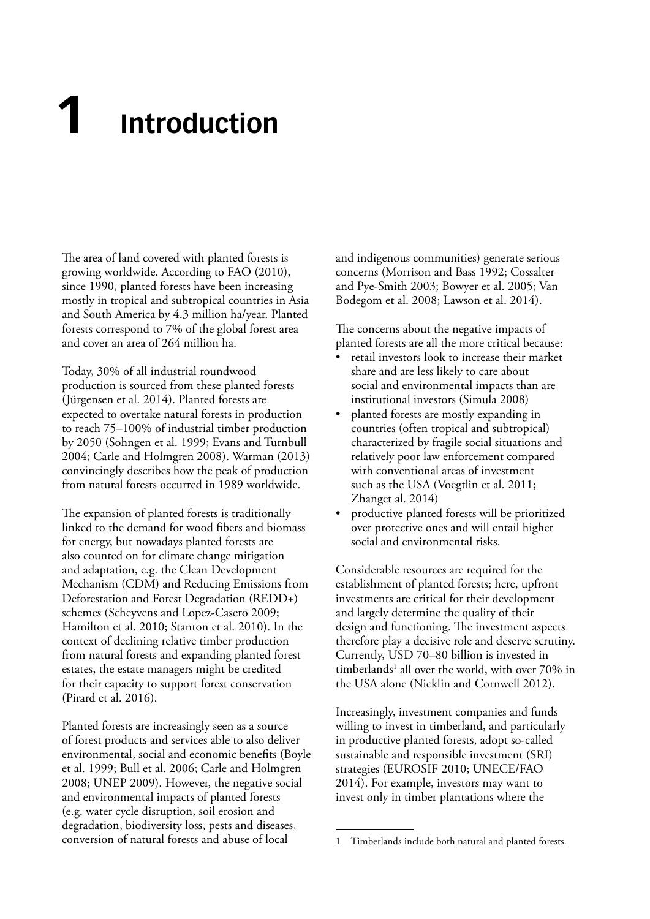# <span id="page-11-0"></span>**1 Introduction**

The area of land covered with planted forests is growing worldwide. According to FAO (2010), since 1990, planted forests have been increasing mostly in tropical and subtropical countries in Asia and South America by 4.3 million ha/year. Planted forests correspond to 7% of the global forest area and cover an area of 264 million ha.

Today, 30% of all industrial roundwood production is sourced from these planted forests (Jürgensen et al. 2014). Planted forests are expected to overtake natural forests in production to reach 75–100% of industrial timber production by 2050 (Sohngen et al. 1999; Evans and Turnbull 2004; Carle and Holmgren 2008). Warman (2013) convincingly describes how the peak of production from natural forests occurred in 1989 worldwide.

The expansion of planted forests is traditionally linked to the demand for wood fibers and biomass for energy, but nowadays planted forests are also counted on for climate change mitigation and adaptation, e.g. the Clean Development Mechanism (CDM) and Reducing Emissions from Deforestation and Forest Degradation (REDD+) schemes (Scheyvens and Lopez-Casero 2009; Hamilton et al. 2010; Stanton et al. 2010). In the context of declining relative timber production from natural forests and expanding planted forest estates, the estate managers might be credited for their capacity to support forest conservation (Pirard et al. 2016).

Planted forests are increasingly seen as a source of forest products and services able to also deliver environmental, social and economic benefits (Boyle et al. 1999; Bull et al. 2006; Carle and Holmgren 2008; UNEP 2009). However, the negative social and environmental impacts of planted forests (e.g. water cycle disruption, soil erosion and degradation, biodiversity loss, pests and diseases, conversion of natural forests and abuse of local

and indigenous communities) generate serious concerns (Morrison and Bass 1992; Cossalter and Pye-Smith 2003; Bowyer et al. 2005; Van Bodegom et al. 2008; Lawson et al. 2014).

The concerns about the negative impacts of planted forests are all the more critical because:

- retail investors look to increase their market share and are less likely to care about social and environmental impacts than are institutional investors (Simula 2008)
- planted forests are mostly expanding in countries (often tropical and subtropical) characterized by fragile social situations and relatively poor law enforcement compared with conventional areas of investment such as the USA (Voegtlin et al. 2011; Zhanget al. 2014)
- productive planted forests will be prioritized over protective ones and will entail higher social and environmental risks.

Considerable resources are required for the establishment of planted forests; here, upfront investments are critical for their development and largely determine the quality of their design and functioning. The investment aspects therefore play a decisive role and deserve scrutiny. Currently, USD 70–80 billion is invested in timberlands<sup>1</sup> all over the world, with over 70% in the USA alone (Nicklin and Cornwell 2012).

Increasingly, investment companies and funds willing to invest in timberland, and particularly in productive planted forests, adopt so-called sustainable and responsible investment (SRI) strategies (EUROSIF 2010; UNECE/FAO 2014). For example, investors may want to invest only in timber plantations where the

<sup>1</sup> Timberlands include both natural and planted forests.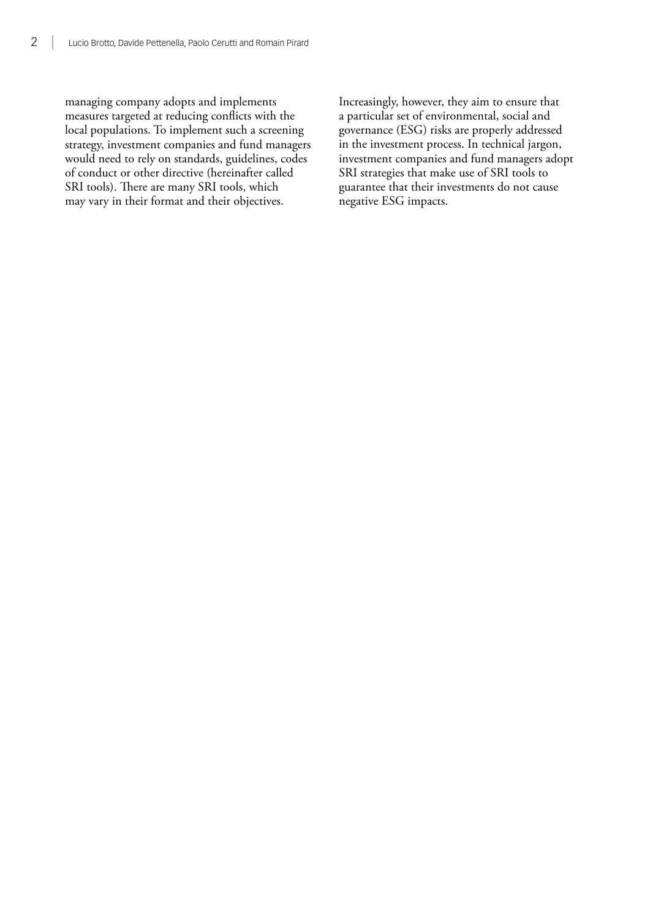managing company adopts and implements measures targeted at reducing conflicts with the local populations. To implement such a screening strategy, investment companies and fund managers would need to rely on standards, guidelines, codes of conduct or other directive (hereinafter called SRI tools). There are many SRI tools, which may vary in their format and their objectives.

Increasingly, however, they aim to ensure that a particular set of environmental, social and governance (ESG) risks are properly addressed in the investment process. In technical jargon, investment companies and fund managers adopt SRI strategies that make use of SRI tools to guarantee that their investments do not cause negative ESG impacts.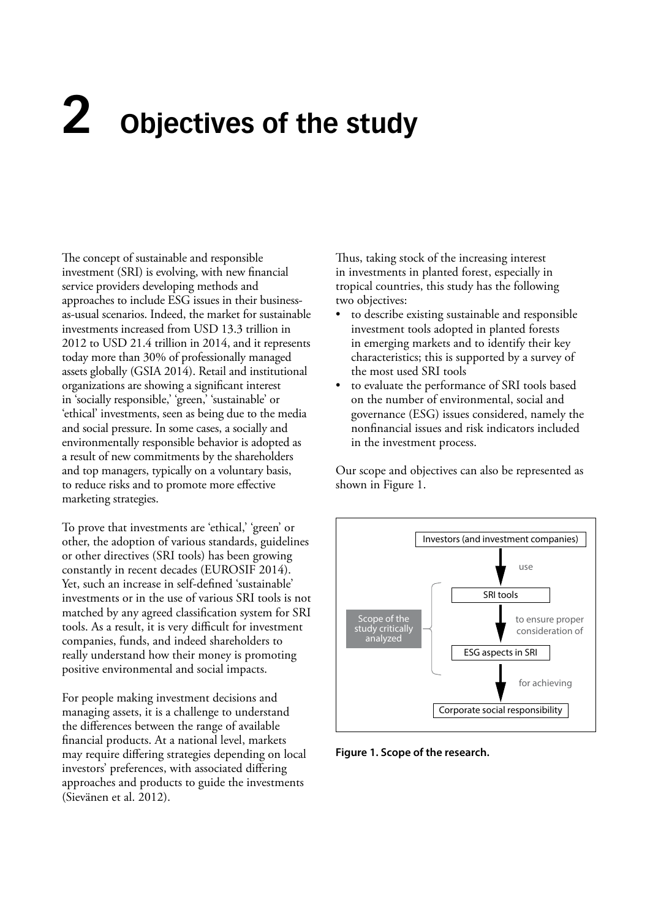# <span id="page-13-0"></span>**2 Objectives of the study**

The concept of sustainable and responsible investment (SRI) is evolving, with new financial service providers developing methods and approaches to include ESG issues in their businessas-usual scenarios. Indeed, the market for sustainable investments increased from USD 13.3 trillion in 2012 to USD 21.4 trillion in 2014, and it represents today more than 30% of professionally managed assets globally (GSIA 2014). Retail and institutional organizations are showing a significant interest in 'socially responsible,' 'green,' 'sustainable' or 'ethical' investments, seen as being due to the media and social pressure. In some cases, a socially and environmentally responsible behavior is adopted as a result of new commitments by the shareholders and top managers, typically on a voluntary basis, to reduce risks and to promote more effective marketing strategies.

To prove that investments are 'ethical,' 'green' or other, the adoption of various standards, guidelines or other directives (SRI tools) has been growing constantly in recent decades (EUROSIF 2014). Yet, such an increase in self-defined 'sustainable' investments or in the use of various SRI tools is not matched by any agreed classification system for SRI tools. As a result, it is very difficult for investment companies, funds, and indeed shareholders to really understand how their money is promoting positive environmental and social impacts.

For people making investment decisions and managing assets, it is a challenge to understand the differences between the range of available financial products. At a national level, markets may require differing strategies depending on local investors' preferences, with associated differing approaches and products to guide the investments (Sievänen et al. 2012).

Thus, taking stock of the increasing interest in investments in planted forest, especially in tropical countries, this study has the following two objectives:

- to describe existing sustainable and responsible investment tools adopted in planted forests in emerging markets and to identify their key characteristics; this is supported by a survey of the most used SRI tools
- to evaluate the performance of SRI tools based on the number of environmental, social and governance (ESG) issues considered, namely the nonfinancial issues and risk indicators included in the investment process.

Our scope and objectives can also be represented as shown in Figure 1.



**Figure 1. Scope of the research.**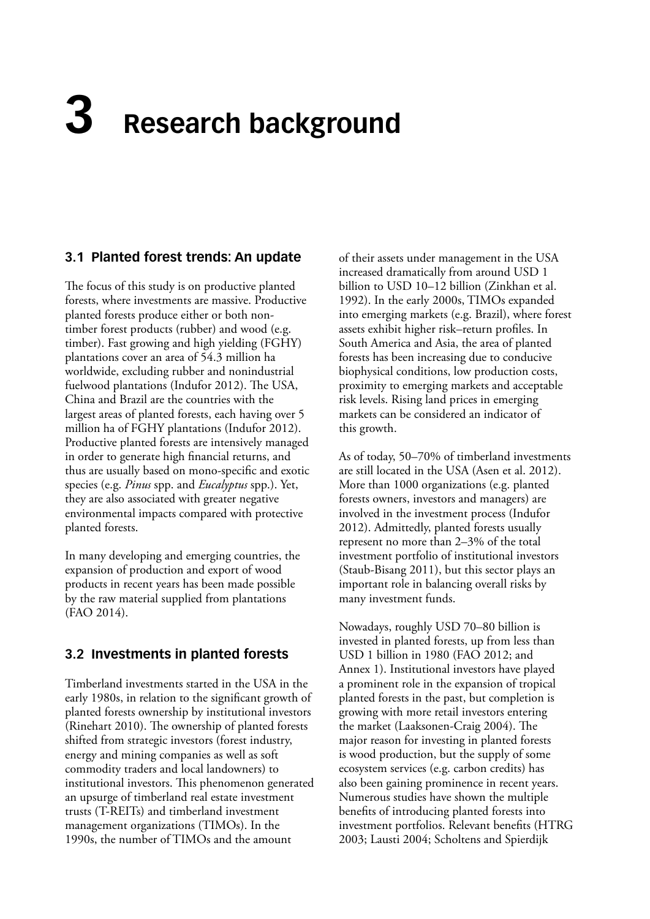# <span id="page-14-0"></span>**3 Research background**

#### **3.1 Planted forest trends: An update**

The focus of this study is on productive planted forests, where investments are massive. Productive planted forests produce either or both nontimber forest products (rubber) and wood (e.g. timber). Fast growing and high yielding (FGHY) plantations cover an area of 54.3 million ha worldwide, excluding rubber and nonindustrial fuelwood plantations (Indufor 2012). The USA, China and Brazil are the countries with the largest areas of planted forests, each having over 5 million ha of FGHY plantations (Indufor 2012). Productive planted forests are intensively managed in order to generate high financial returns, and thus are usually based on mono-specific and exotic species (e.g. *Pinus* spp. and *Eucalyptus* spp.). Yet, they are also associated with greater negative environmental impacts compared with protective planted forests.

In many developing and emerging countries, the expansion of production and export of wood products in recent years has been made possible by the raw material supplied from plantations (FAO 2014).

#### **3.2 Investments in planted forests**

Timberland investments started in the USA in the early 1980s, in relation to the significant growth of planted forests ownership by institutional investors (Rinehart 2010). The ownership of planted forests shifted from strategic investors (forest industry, energy and mining companies as well as soft commodity traders and local landowners) to institutional investors. This phenomenon generated an upsurge of timberland real estate investment trusts (T-REITs) and timberland investment management organizations (TIMOs). In the 1990s, the number of TIMOs and the amount

of their assets under management in the USA increased dramatically from around USD 1 billion to USD 10–12 billion (Zinkhan et al. 1992). In the early 2000s, TIMOs expanded into emerging markets (e.g. Brazil), where forest assets exhibit higher risk–return profiles. In South America and Asia, the area of planted forests has been increasing due to conducive biophysical conditions, low production costs, proximity to emerging markets and acceptable risk levels. Rising land prices in emerging markets can be considered an indicator of this growth.

As of today, 50–70% of timberland investments are still located in the USA (Asen et al. 2012). More than 1000 organizations (e.g. planted forests owners, investors and managers) are involved in the investment process (Indufor 2012). Admittedly, planted forests usually represent no more than 2–3% of the total investment portfolio of institutional investors (Staub-Bisang 2011), but this sector plays an important role in balancing overall risks by many investment funds.

Nowadays, roughly USD 70–80 billion is invested in planted forests, up from less than USD 1 billion in 1980 (FAO 2012; and Annex 1). Institutional investors have played a prominent role in the expansion of tropical planted forests in the past, but completion is growing with more retail investors entering the market (Laaksonen-Craig 2004). The major reason for investing in planted forests is wood production, but the supply of some ecosystem services (e.g. carbon credits) has also been gaining prominence in recent years. Numerous studies have shown the multiple benefits of introducing planted forests into investment portfolios. Relevant benefits (HTRG 2003; Lausti 2004; Scholtens and Spierdijk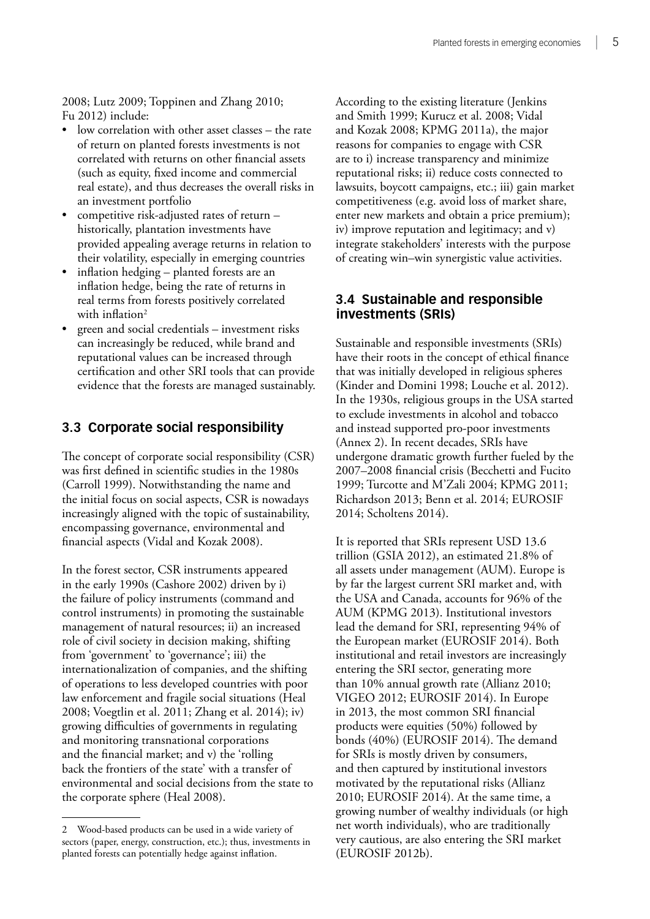<span id="page-15-0"></span>2008; Lutz 2009; Toppinen and Zhang 2010; Fu 2012) include:

- low correlation with other asset classes the rate of return on planted forests investments is not correlated with returns on other financial assets (such as equity, fixed income and commercial real estate), and thus decreases the overall risks in an investment portfolio
- competitive risk-adjusted rates of return historically, plantation investments have provided appealing average returns in relation to their volatility, especially in emerging countries
- inflation hedging planted forests are an inflation hedge, being the rate of returns in real terms from forests positively correlated with inflation<sup>2</sup>
- green and social credentials investment risks can increasingly be reduced, while brand and reputational values can be increased through certification and other SRI tools that can provide evidence that the forests are managed sustainably.

#### **3.3 Corporate social responsibility**

The concept of corporate social responsibility (CSR) was first defined in scientific studies in the 1980s (Carroll 1999). Notwithstanding the name and the initial focus on social aspects, CSR is nowadays increasingly aligned with the topic of sustainability, encompassing governance, environmental and financial aspects (Vidal and Kozak 2008).

In the forest sector, CSR instruments appeared in the early 1990s (Cashore 2002) driven by i) the failure of policy instruments (command and control instruments) in promoting the sustainable management of natural resources; ii) an increased role of civil society in decision making, shifting from 'government' to 'governance'; iii) the internationalization of companies, and the shifting of operations to less developed countries with poor law enforcement and fragile social situations (Heal 2008; Voegtlin et al. 2011; Zhang et al. 2014); iv) growing difficulties of governments in regulating and monitoring transnational corporations and the financial market; and v) the 'rolling back the frontiers of the state' with a transfer of environmental and social decisions from the state to the corporate sphere (Heal 2008).

According to the existing literature (Jenkins and Smith 1999; Kurucz et al. 2008; Vidal and Kozak 2008; KPMG 2011a), the major reasons for companies to engage with CSR are to i) increase transparency and minimize reputational risks; ii) reduce costs connected to lawsuits, boycott campaigns, etc.; iii) gain market competitiveness (e.g. avoid loss of market share, enter new markets and obtain a price premium); iv) improve reputation and legitimacy; and v) integrate stakeholders' interests with the purpose of creating win–win synergistic value activities.

#### **3.4 Sustainable and responsible investments (SRIs)**

Sustainable and responsible investments (SRIs) have their roots in the concept of ethical finance that was initially developed in religious spheres (Kinder and Domini 1998; Louche et al. 2012). In the 1930s, religious groups in the USA started to exclude investments in alcohol and tobacco and instead supported pro-poor investments (Annex 2). In recent decades, SRIs have undergone dramatic growth further fueled by the 2007–2008 financial crisis (Becchetti and Fucito 1999; Turcotte and M'Zali 2004; KPMG 2011; Richardson 2013; Benn et al. 2014; EUROSIF 2014; Scholtens 2014).

It is reported that SRIs represent USD 13.6 trillion (GSIA 2012), an estimated 21.8% of all assets under management (AUM). Europe is by far the largest current SRI market and, with the USA and Canada, accounts for 96% of the AUM (KPMG 2013). Institutional investors lead the demand for SRI, representing 94% of the European market (EUROSIF 2014). Both institutional and retail investors are increasingly entering the SRI sector, generating more than 10% annual growth rate (Allianz 2010; VIGEO 2012; EUROSIF 2014). In Europe in 2013, the most common SRI financial products were equities (50%) followed by bonds (40%) (EUROSIF 2014). The demand for SRIs is mostly driven by consumers, and then captured by institutional investors motivated by the reputational risks (Allianz 2010; EUROSIF 2014). At the same time, a growing number of wealthy individuals (or high net worth individuals), who are traditionally very cautious, are also entering the SRI market (EUROSIF 2012b).

<sup>2</sup> Wood-based products can be used in a wide variety of sectors (paper, energy, construction, etc.); thus, investments in planted forests can potentially hedge against inflation.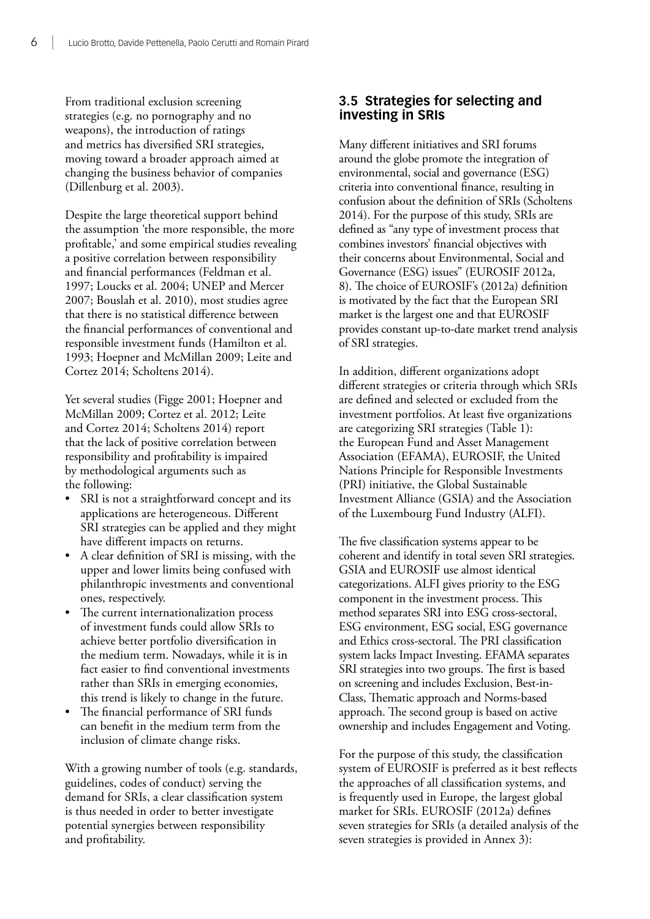<span id="page-16-0"></span>From traditional exclusion screening strategies (e.g. no pornography and no weapons), the introduction of ratings and metrics has diversified SRI strategies, moving toward a broader approach aimed at changing the business behavior of companies (Dillenburg et al. 2003).

Despite the large theoretical support behind the assumption 'the more responsible, the more profitable,' and some empirical studies revealing a positive correlation between responsibility and financial performances (Feldman et al. 1997; Loucks et al. 2004; UNEP and Mercer 2007; Bouslah et al. 2010), most studies agree that there is no statistical difference between the financial performances of conventional and responsible investment funds (Hamilton et al. 1993; Hoepner and McMillan 2009; Leite and Cortez 2014; Scholtens 2014).

Yet several studies (Figge 2001; Hoepner and McMillan 2009; Cortez et al. 2012; Leite and Cortez 2014; Scholtens 2014) report that the lack of positive correlation between responsibility and profitability is impaired by methodological arguments such as the following:

- SRI is not a straightforward concept and its applications are heterogeneous. Different SRI strategies can be applied and they might have different impacts on returns.
- A clear definition of SRI is missing, with the upper and lower limits being confused with philanthropic investments and conventional ones, respectively.
- The current internationalization process of investment funds could allow SRIs to achieve better portfolio diversification in the medium term. Nowadays, while it is in fact easier to find conventional investments rather than SRIs in emerging economies, this trend is likely to change in the future.
- The financial performance of SRI funds can benefit in the medium term from the inclusion of climate change risks.

With a growing number of tools (e.g. standards, guidelines, codes of conduct) serving the demand for SRIs, a clear classification system is thus needed in order to better investigate potential synergies between responsibility and profitability.

#### **3.5 Strategies for selecting and investing in SRIs**

Many different initiatives and SRI forums around the globe promote the integration of environmental, social and governance (ESG) criteria into conventional finance, resulting in confusion about the definition of SRIs (Scholtens 2014). For the purpose of this study, SRIs are defined as "any type of investment process that combines investors' financial objectives with their concerns about Environmental, Social and Governance (ESG) issues" (EUROSIF 2012a, 8). The choice of EUROSIF's (2012a) definition is motivated by the fact that the European SRI market is the largest one and that EUROSIF provides constant up-to-date market trend analysis of SRI strategies.

In addition, different organizations adopt different strategies or criteria through which SRIs are defined and selected or excluded from the investment portfolios. At least five organizations are categorizing SRI strategies (Table 1): the European Fund and Asset Management Association (EFAMA), EUROSIF, the United Nations Principle for Responsible Investments (PRI) initiative, the Global Sustainable Investment Alliance (GSIA) and the Association of the Luxembourg Fund Industry (ALFI).

The five classification systems appear to be coherent and identify in total seven SRI strategies. GSIA and EUROSIF use almost identical categorizations. ALFI gives priority to the ESG component in the investment process. This method separates SRI into ESG cross-sectoral, ESG environment, ESG social, ESG governance and Ethics cross-sectoral. The PRI classification system lacks Impact Investing. EFAMA separates SRI strategies into two groups. The first is based on screening and includes Exclusion, Best-in-Class, Thematic approach and Norms-based approach. The second group is based on active ownership and includes Engagement and Voting.

For the purpose of this study, the classification system of EUROSIF is preferred as it best reflects the approaches of all classification systems, and is frequently used in Europe, the largest global market for SRIs. EUROSIF (2012a) defines seven strategies for SRIs (a detailed analysis of the seven strategies is provided in Annex 3):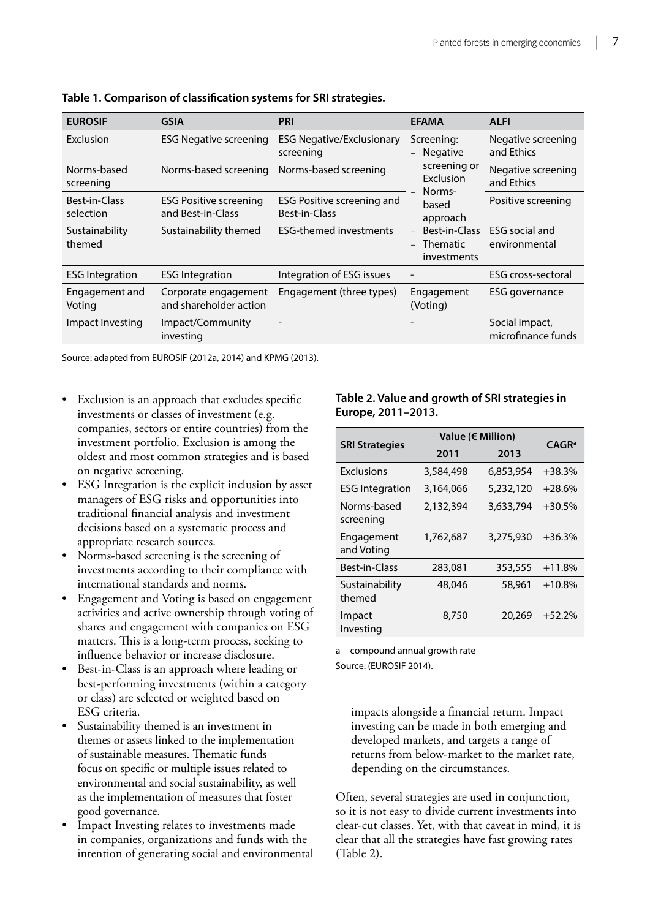| <b>EUROSIF</b>             | <b>GSIA</b>                                        | <b>PRI</b>                                         | <b>EFAMA</b>                                                                                                          | <b>ALFI</b>                            |                    |
|----------------------------|----------------------------------------------------|----------------------------------------------------|-----------------------------------------------------------------------------------------------------------------------|----------------------------------------|--------------------|
| Exclusion                  | <b>ESG Negative screening</b>                      | <b>ESG Negative/Exclusionary</b><br>screening      | Screening:<br>and Ethics<br><b>Negative</b><br>screening or<br>Exclusion<br>and Ethics<br>Norms-<br>based<br>approach |                                        | Negative screening |
| Norms-based<br>screening   | Norms-based screening                              | Norms-based screening                              |                                                                                                                       | Negative screening                     |                    |
| Best-in-Class<br>selection | <b>ESG Positive screening</b><br>and Best-in-Class | <b>ESG Positive screening and</b><br>Best-in-Class |                                                                                                                       | Positive screening                     |                    |
| Sustainability<br>themed   | Sustainability themed                              | <b>ESG-themed investments</b>                      | Best-in-Class<br><b>Thematic</b><br>investments                                                                       | <b>ESG</b> social and<br>environmental |                    |
| <b>ESG Integration</b>     | <b>ESG Integration</b>                             | Integration of ESG issues                          |                                                                                                                       | <b>ESG</b> cross-sectoral              |                    |
| Engagement and<br>Voting   | Corporate engagement<br>and shareholder action     | Engagement (three types)                           | Engagement<br>(Voting)                                                                                                | ESG governance                         |                    |
| Impact Investing           | Impact/Community<br>investing                      |                                                    |                                                                                                                       | Social impact,<br>microfinance funds   |                    |

<span id="page-17-0"></span>**Table 1. Comparison of classification systems for SRI strategies.**

Source: adapted from EUROSIF (2012a, 2014) and KPMG (2013).

- Exclusion is an approach that excludes specific investments or classes of investment (e.g. companies, sectors or entire countries) from the investment portfolio. Exclusion is among the oldest and most common strategies and is based on negative screening.
- ESG Integration is the explicit inclusion by asset managers of ESG risks and opportunities into traditional financial analysis and investment decisions based on a systematic process and appropriate research sources.
- Norms-based screening is the screening of investments according to their compliance with international standards and norms.
- Engagement and Voting is based on engagement activities and active ownership through voting of shares and engagement with companies on ESG matters. This is a long-term process, seeking to influence behavior or increase disclosure.
- Best-in-Class is an approach where leading or best-performing investments (within a category or class) are selected or weighted based on ESG criteria.
- • Sustainability themed is an investment in themes or assets linked to the implementation of sustainable measures. Thematic funds focus on specific or multiple issues related to environmental and social sustainability, as well as the implementation of measures that foster good governance.
- Impact Investing relates to investments made in companies, organizations and funds with the intention of generating social and environmental

**Table 2. Value and growth of SRI strategies in Europe, 2011–2013.**

|                          | Value ( $\notin$ Million) |           |                   |
|--------------------------|---------------------------|-----------|-------------------|
| <b>SRI Strategies</b>    | 2011                      | 2013      | CAGR <sup>a</sup> |
| <b>Exclusions</b>        | 3,584,498                 | 6,853,954 | $+38.3%$          |
| <b>ESG</b> Integration   | 3,164,066                 | 5,232,120 | $+28.6%$          |
| Norms-based<br>screening | 2,132,394                 | 3,633,794 | $+30.5%$          |
| Engagement<br>and Voting | 1,762,687                 | 3,275,930 | $+36.3%$          |
| Best-in-Class            | 283,081                   | 353,555   | $+11.8%$          |
| Sustainability<br>themed | 48,046                    | 58,961    | $+10.8%$          |
| Impact<br>Investing      | 8,750                     | 20,269    | $+52.2%$          |

a compound annual growth rate

Source: (EUROSIF 2014).

impacts alongside a financial return. Impact investing can be made in both emerging and developed markets, and targets a range of returns from below-market to the market rate, depending on the circumstances.

Often, several strategies are used in conjunction, so it is not easy to divide current investments into clear-cut classes. Yet, with that caveat in mind, it is clear that all the strategies have fast growing rates (Table 2).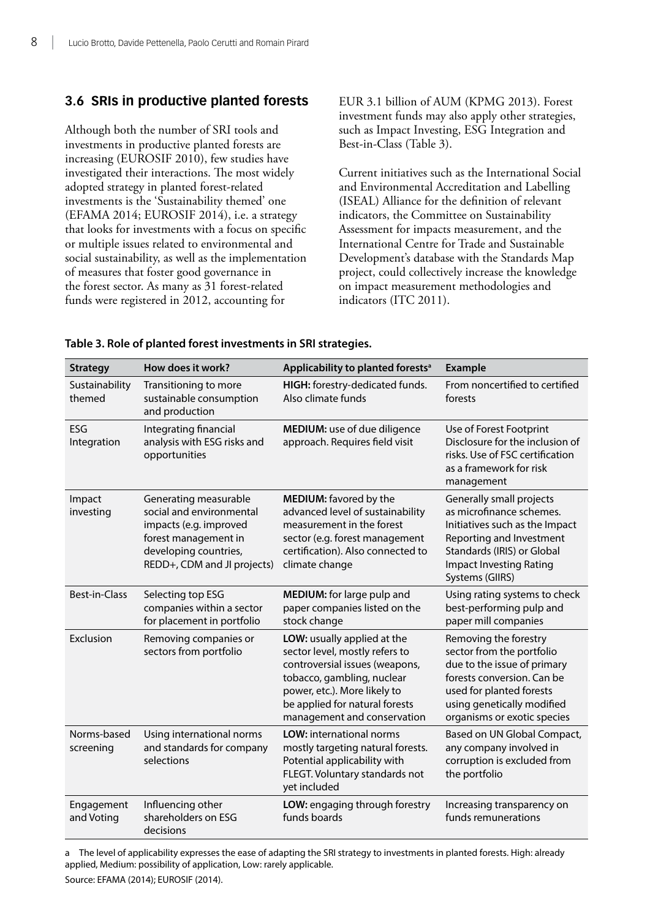#### <span id="page-18-0"></span>**3.6 SRIs in productive planted forests**

Although both the number of SRI tools and investments in productive planted forests are increasing (EUROSIF 2010), few studies have investigated their interactions. The most widely adopted strategy in planted forest-related investments is the 'Sustainability themed' one (EFAMA 2014; EUROSIF 2014), i.e. a strategy that looks for investments with a focus on specific or multiple issues related to environmental and social sustainability, as well as the implementation of measures that foster good governance in the forest sector. As many as 31 forest-related funds were registered in 2012, accounting for

EUR 3.1 billion of AUM (KPMG 2013). Forest investment funds may also apply other strategies, such as Impact Investing, ESG Integration and Best-in-Class (Table 3).

Current initiatives such as the International Social and Environmental Accreditation and Labelling (ISEAL) Alliance for the definition of relevant indicators, the Committee on Sustainability Assessment for impacts measurement, and the International Centre for Trade and Sustainable Development's database with the Standards Map project, could collectively increase the knowledge on impact measurement methodologies and indicators (ITC 2011).

| <b>Strategy</b>          | How does it work?                                                                                                                                           | Applicability to planted forests <sup>a</sup>                                                                                                                                                                                  | <b>Example</b>                                                                                                                                                                                           |
|--------------------------|-------------------------------------------------------------------------------------------------------------------------------------------------------------|--------------------------------------------------------------------------------------------------------------------------------------------------------------------------------------------------------------------------------|----------------------------------------------------------------------------------------------------------------------------------------------------------------------------------------------------------|
| Sustainability<br>themed | Transitioning to more<br>sustainable consumption<br>and production                                                                                          | HIGH: forestry-dedicated funds.<br>Also climate funds                                                                                                                                                                          | From noncertified to certified<br>forests                                                                                                                                                                |
| ESG<br>Integration       | Integrating financial<br>analysis with ESG risks and<br>opportunities                                                                                       | MEDIUM: use of due diligence<br>approach. Requires field visit                                                                                                                                                                 | Use of Forest Footprint<br>Disclosure for the inclusion of<br>risks. Use of FSC certification<br>as a framework for risk<br>management                                                                   |
| Impact<br>investing      | Generating measurable<br>social and environmental<br>impacts (e.g. improved<br>forest management in<br>developing countries,<br>REDD+, CDM and JI projects) | MEDIUM: favored by the<br>advanced level of sustainability<br>measurement in the forest<br>sector (e.g. forest management<br>certification). Also connected to<br>climate change                                               | Generally small projects<br>as microfinance schemes.<br>Initiatives such as the Impact<br>Reporting and Investment<br>Standards (IRIS) or Global<br><b>Impact Investing Rating</b><br>Systems (GIIRS)    |
| Best-in-Class            | Selecting top ESG<br>companies within a sector<br>for placement in portfolio                                                                                | MEDIUM: for large pulp and<br>paper companies listed on the<br>stock change                                                                                                                                                    | Using rating systems to check<br>best-performing pulp and<br>paper mill companies                                                                                                                        |
| Exclusion                | Removing companies or<br>sectors from portfolio                                                                                                             | LOW: usually applied at the<br>sector level, mostly refers to<br>controversial issues (weapons,<br>tobacco, gambling, nuclear<br>power, etc.). More likely to<br>be applied for natural forests<br>management and conservation | Removing the forestry<br>sector from the portfolio<br>due to the issue of primary<br>forests conversion. Can be<br>used for planted forests<br>using genetically modified<br>organisms or exotic species |
| Norms-based<br>screening | Using international norms<br>and standards for company<br>selections                                                                                        | <b>LOW:</b> international norms<br>mostly targeting natural forests.<br>Potential applicability with<br>FLEGT. Voluntary standards not<br>yet included                                                                         | Based on UN Global Compact,<br>any company involved in<br>corruption is excluded from<br>the portfolio                                                                                                   |
| Engagement<br>and Voting | Influencing other<br>shareholders on ESG<br>decisions                                                                                                       | LOW: engaging through forestry<br>funds boards                                                                                                                                                                                 | Increasing transparency on<br>funds remunerations                                                                                                                                                        |

**Table 3. Role of planted forest investments in SRI strategies.**

a The level of applicability expresses the ease of adapting the SRI strategy to investments in planted forests. High: already applied, Medium: possibility of application, Low: rarely applicable.

Source: EFAMA (2014); EUROSIF (2014).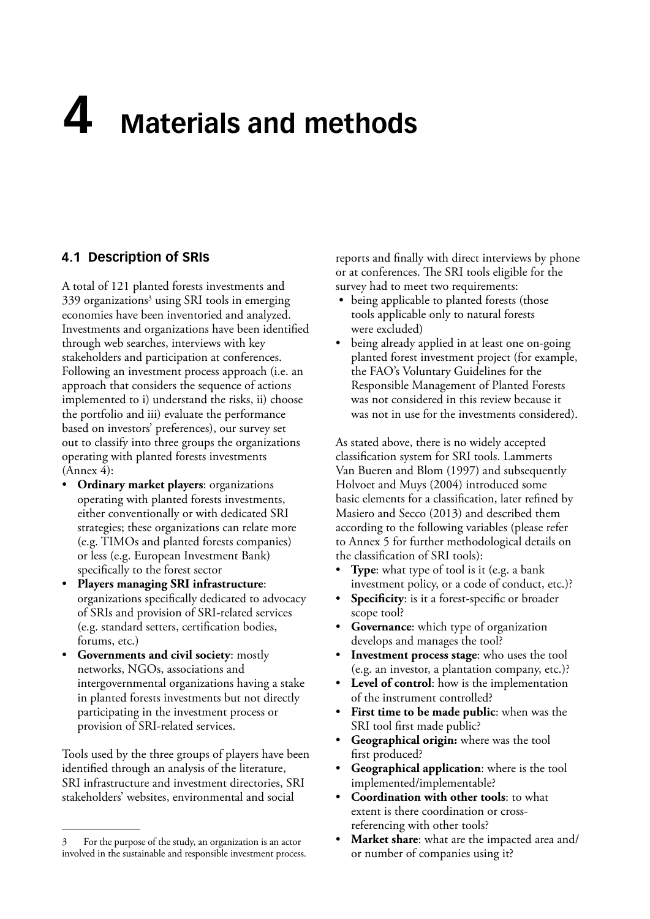## <span id="page-19-0"></span>**4 Materials and methods**

#### **4.1 Description of SRIs**

A total of 121 planted forests investments and 339 organizations<sup>3</sup> using SRI tools in emerging economies have been inventoried and analyzed. Investments and organizations have been identified through web searches, interviews with key stakeholders and participation at conferences. Following an investment process approach (i.e. an approach that considers the sequence of actions implemented to i) understand the risks, ii) choose the portfolio and iii) evaluate the performance based on investors' preferences), our survey set out to classify into three groups the organizations operating with planted forests investments (Annex 4):

- **Ordinary market players:** organizations operating with planted forests investments, either conventionally or with dedicated SRI strategies; these organizations can relate more (e.g. TIMOs and planted forests companies) or less (e.g. European Investment Bank) specifically to the forest sector
- **Players managing SRI infrastructure:** organizations specifically dedicated to advocacy of SRIs and provision of SRI-related services (e.g. standard setters, certification bodies, forums, etc.)
- • **Governments and civil society**: mostly networks, NGOs, associations and intergovernmental organizations having a stake in planted forests investments but not directly participating in the investment process or provision of SRI-related services.

Tools used by the three groups of players have been identified through an analysis of the literature, SRI infrastructure and investment directories, SRI stakeholders' websites, environmental and social

reports and finally with direct interviews by phone or at conferences. The SRI tools eligible for the survey had to meet two requirements:

- being applicable to planted forests (those tools applicable only to natural forests were excluded)
- being already applied in at least one on-going planted forest investment project (for example, the FAO's Voluntary Guidelines for the Responsible Management of Planted Forests was not considered in this review because it was not in use for the investments considered).

As stated above, there is no widely accepted classification system for SRI tools. Lammerts Van Bueren and Blom (1997) and subsequently Holvoet and Muys (2004) introduced some basic elements for a classification, later refined by Masiero and Secco (2013) and described them according to the following variables (please refer to Annex 5 for further methodological details on the classification of SRI tools):

- **Type**: what type of tool is it (e.g. a bank investment policy, or a code of conduct, etc.)?
- **Specificity**: is it a forest-specific or broader scope tool?
- **Governance:** which type of organization develops and manages the tool?
- **Investment process stage:** who uses the tool (e.g. an investor, a plantation company, etc.)?
- **Level of control:** how is the implementation of the instrument controlled?
- **First time to be made public:** when was the SRI tool first made public?
- **Geographical origin:** where was the tool first produced?
- **Geographical application:** where is the tool implemented/implementable?
- **Coordination** with other tools: to what extent is there coordination or crossreferencing with other tools?
- • **Market share**: what are the impacted area and/ or number of companies using it?

For the purpose of the study, an organization is an actor involved in the sustainable and responsible investment process.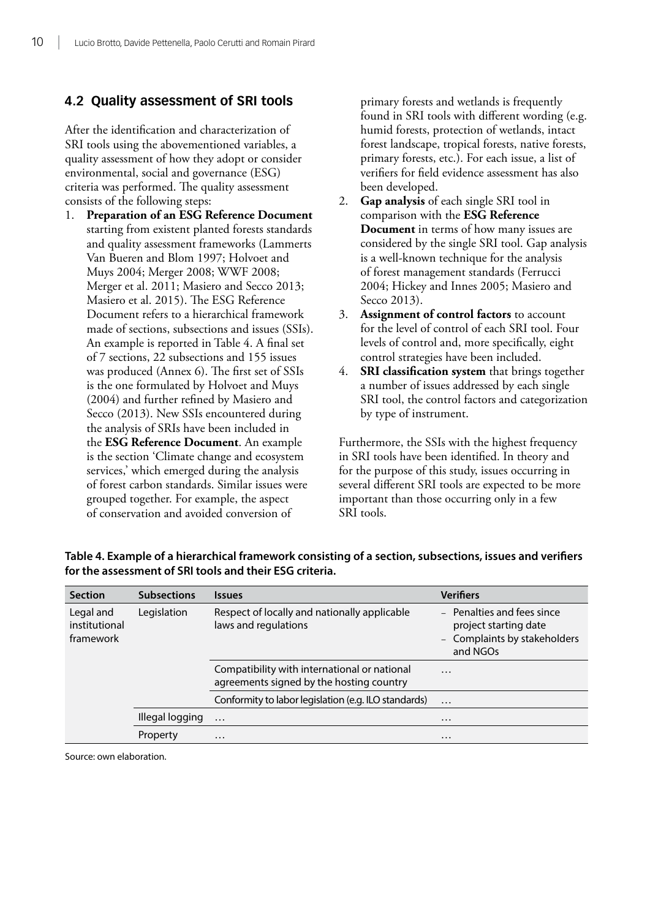#### <span id="page-20-0"></span>**4.2 Quality assessment of SRI tools**

After the identification and characterization of SRI tools using the abovementioned variables, a quality assessment of how they adopt or consider environmental, social and governance (ESG) criteria was performed. The quality assessment consists of the following steps:

1. **Preparation of an ESG Reference Document** starting from existent planted forests standards and quality assessment frameworks (Lammerts Van Bueren and Blom 1997; Holvoet and Muys 2004; Merger 2008; WWF 2008; Merger et al. 2011; Masiero and Secco 2013; Masiero et al. 2015). The ESG Reference Document refers to a hierarchical framework made of sections, subsections and issues (SSIs). An example is reported in Table 4. A final set of 7 sections, 22 subsections and 155 issues was produced (Annex 6). The first set of SSIs is the one formulated by Holvoet and Muys (2004) and further refined by Masiero and Secco (2013). New SSIs encountered during the analysis of SRIs have been included in the **ESG Reference Document**. An example is the section 'Climate change and ecosystem services,' which emerged during the analysis of forest carbon standards. Similar issues were grouped together. For example, the aspect of conservation and avoided conversion of

primary forests and wetlands is frequently found in SRI tools with different wording (e.g. humid forests, protection of wetlands, intact forest landscape, tropical forests, native forests, primary forests, etc.). For each issue, a list of verifiers for field evidence assessment has also been developed.

- 2. **Gap analysis** of each single SRI tool in comparison with the **ESG Reference Document** in terms of how many issues are considered by the single SRI tool. Gap analysis is a well-known technique for the analysis of forest management standards (Ferrucci 2004; Hickey and Innes 2005; Masiero and Secco 2013).
- 3. **Assignment of control factors** to account for the level of control of each SRI tool. Four levels of control and, more specifically, eight control strategies have been included.
- 4. **SRI classification system** that brings together a number of issues addressed by each single SRI tool, the control factors and categorization by type of instrument.

Furthermore, the SSIs with the highest frequency in SRI tools have been identified. In theory and for the purpose of this study, issues occurring in several different SRI tools are expected to be more important than those occurring only in a few SRI tools.

| <b>Section</b>                          | <b>Subsections</b> | <b>Issues</b>                                                                            | <b>Verifiers</b>                                                                                |
|-----------------------------------------|--------------------|------------------------------------------------------------------------------------------|-------------------------------------------------------------------------------------------------|
| Legal and<br>institutional<br>framework | Legislation        | Respect of locally and nationally applicable<br>laws and regulations                     | - Penalties and fees since<br>project starting date<br>- Complaints by stakeholders<br>and NGOs |
|                                         |                    | Compatibility with international or national<br>agreements signed by the hosting country | $\cdots$                                                                                        |
|                                         |                    | Conformity to labor legislation (e.g. ILO standards)                                     | $\cdots$                                                                                        |
|                                         | Illegal logging    | $\cdots$                                                                                 | $\cdots$                                                                                        |
|                                         | Property           | $\cdots$                                                                                 | $\cdots$                                                                                        |

**Table 4. Example of a hierarchical framework consisting of a section, subsections, issues and verifiers for the assessment of SRI tools and their ESG criteria.**

Source: own elaboration.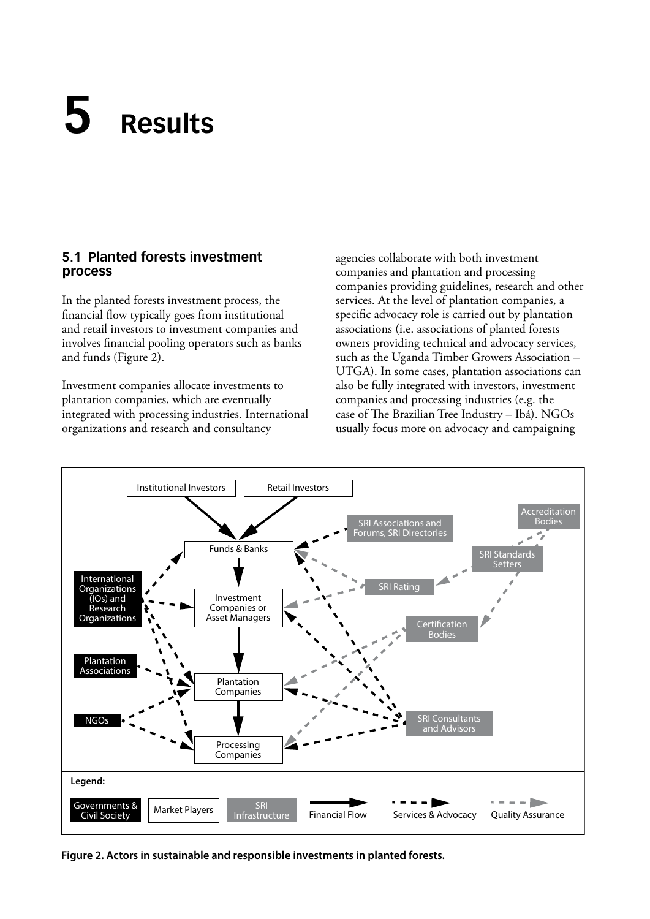## <span id="page-21-0"></span>**5 Results**

#### **5.1 Planted forests investment process**

In the planted forests investment process, the financial flow typically goes from institutional and retail investors to investment companies and involves financial pooling operators such as banks and funds (Figure 2).

Investment companies allocate investments to plantation companies, which are eventually integrated with processing industries. International organizations and research and consultancy

agencies collaborate with both investment companies and plantation and processing companies providing guidelines, research and other services. At the level of plantation companies, a specific advocacy role is carried out by plantation associations (i.e. associations of planted forests owners providing technical and advocacy services, such as the Uganda Timber Growers Association – UTGA). In some cases, plantation associations can also be fully integrated with investors, investment companies and processing industries (e.g. the case of The Brazilian Tree Industry – Ibá). NGOs usually focus more on advocacy and campaigning



**Figure 2. Actors in sustainable and responsible investments in planted forests.**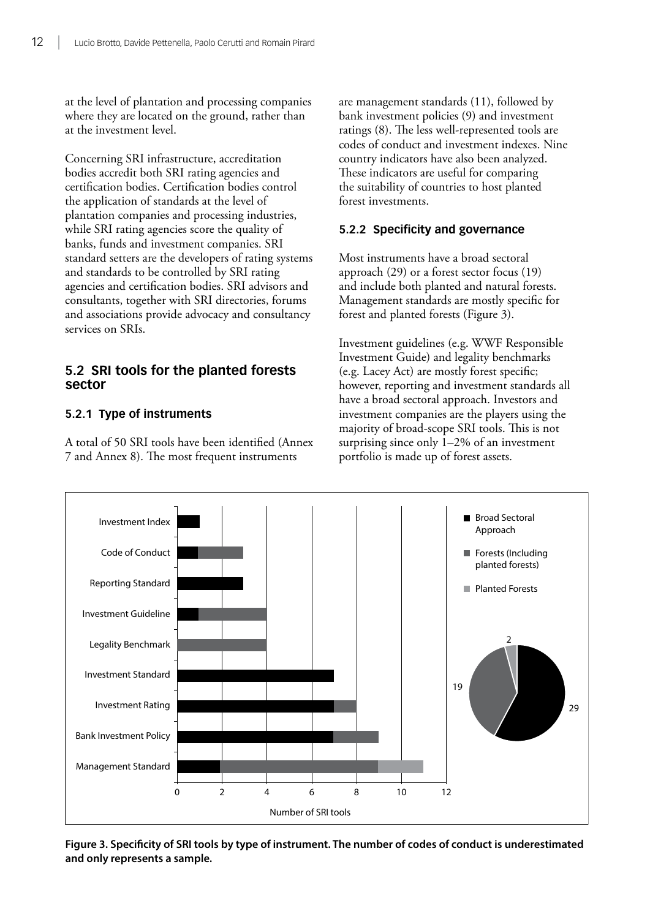<span id="page-22-0"></span>at the level of plantation and processing companies where they are located on the ground, rather than at the investment level.

Concerning SRI infrastructure, accreditation bodies accredit both SRI rating agencies and certification bodies. Certification bodies control the application of standards at the level of plantation companies and processing industries, while SRI rating agencies score the quality of banks, funds and investment companies. SRI standard setters are the developers of rating systems and standards to be controlled by SRI rating agencies and certification bodies. SRI advisors and consultants, together with SRI directories, forums and associations provide advocacy and consultancy services on SRIs.

#### **5.2 SRI tools for the planted forests sector**

#### **5.2.1 Type of instruments**

A total of 50 SRI tools have been identified (Annex 7 and Annex 8). The most frequent instruments

are management standards (11), followed by bank investment policies (9) and investment ratings (8). The less well-represented tools are codes of conduct and investment indexes. Nine country indicators have also been analyzed. These indicators are useful for comparing the suitability of countries to host planted forest investments.

#### **5.2.2 Specificity and governance**

Most instruments have a broad sectoral approach (29) or a forest sector focus (19) and include both planted and natural forests. Management standards are mostly specific for forest and planted forests (Figure 3).

Investment guidelines (e.g. WWF Responsible Investment Guide) and legality benchmarks (e.g. Lacey Act) are mostly forest specific; however, reporting and investment standards all have a broad sectoral approach. Investors and investment companies are the players using the majority of broad-scope SRI tools. This is not surprising since only 1–2% of an investment portfolio is made up of forest assets.



**Figure 3. Specificity of SRI tools by type of instrument. The number of codes of conduct is underestimated and only represents a sample.**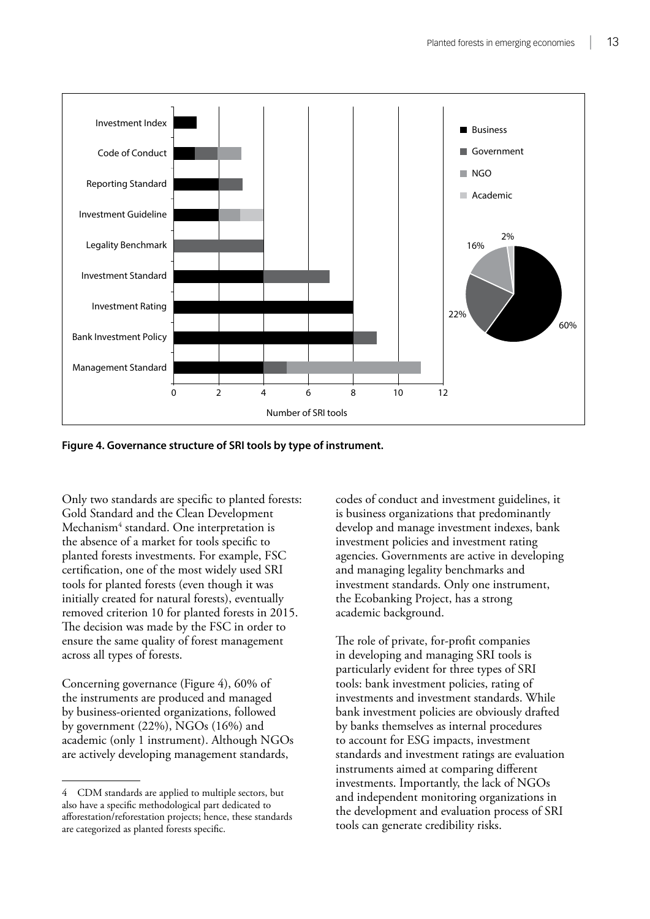

**Figure 4. Governance structure of SRI tools by type of instrument.**

Only two standards are specific to planted forests: Gold Standard and the Clean Development Mechanism<sup>4</sup> standard. One interpretation is the absence of a market for tools specific to planted forests investments. For example, FSC certification, one of the most widely used SRI tools for planted forests (even though it was initially created for natural forests), eventually removed criterion 10 for planted forests in 2015. The decision was made by the FSC in order to ensure the same quality of forest management across all types of forests.

Concerning governance (Figure 4), 60% of the instruments are produced and managed by business-oriented organizations, followed by government (22%), NGOs (16%) and academic (only 1 instrument). Although NGOs are actively developing management standards,

codes of conduct and investment guidelines, it is business organizations that predominantly develop and manage investment indexes, bank investment policies and investment rating agencies. Governments are active in developing and managing legality benchmarks and investment standards. Only one instrument, the Ecobanking Project, has a strong academic background.

The role of private, for-profit companies in developing and managing SRI tools is particularly evident for three types of SRI tools: bank investment policies, rating of investments and investment standards. While bank investment policies are obviously drafted by banks themselves as internal procedures to account for ESG impacts, investment standards and investment ratings are evaluation instruments aimed at comparing different investments. Importantly, the lack of NGOs and independent monitoring organizations in the development and evaluation process of SRI tools can generate credibility risks.

<sup>4</sup> CDM standards are applied to multiple sectors, but also have a specific methodological part dedicated to afforestation/reforestation projects; hence, these standards are categorized as planted forests specific.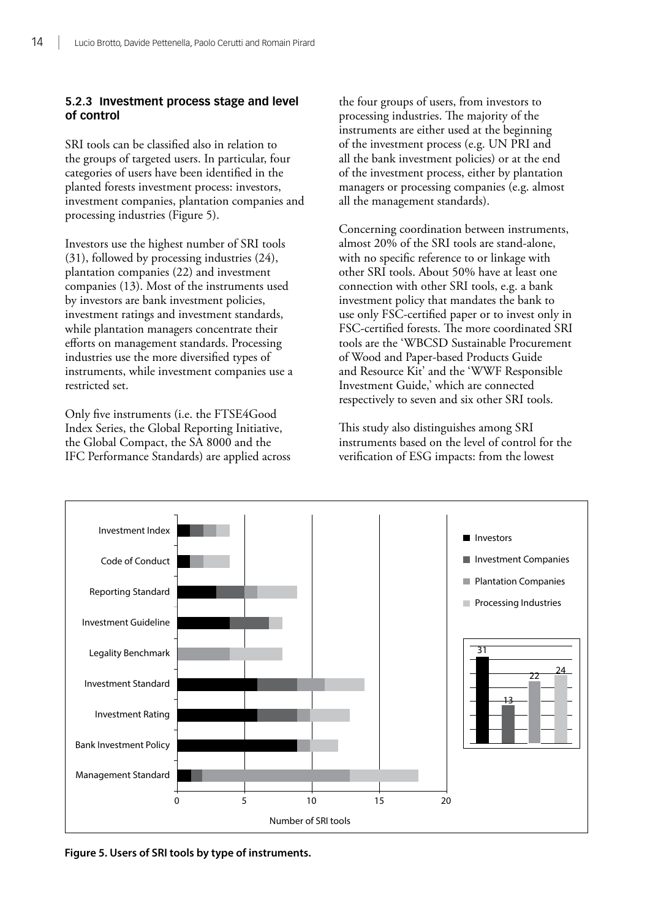#### **5.2.3 Investment process stage and level of control**

SRI tools can be classified also in relation to the groups of targeted users. In particular, four categories of users have been identified in the planted forests investment process: investors, investment companies, plantation companies and processing industries (Figure 5).

Investors use the highest number of SRI tools (31), followed by processing industries (24), plantation companies (22) and investment companies (13). Most of the instruments used by investors are bank investment policies, investment ratings and investment standards, while plantation managers concentrate their efforts on management standards. Processing industries use the more diversified types of instruments, while investment companies use a restricted set.

Only five instruments (i.e. the FTSE4Good Index Series, the Global Reporting Initiative, the Global Compact, the SA 8000 and the IFC Performance Standards) are applied across the four groups of users, from investors to processing industries. The majority of the instruments are either used at the beginning of the investment process (e.g. UN PRI and all the bank investment policies) or at the end of the investment process, either by plantation managers or processing companies (e.g. almost all the management standards).

Concerning coordination between instruments, almost 20% of the SRI tools are stand-alone, with no specific reference to or linkage with other SRI tools. About 50% have at least one connection with other SRI tools, e.g. a bank investment policy that mandates the bank to use only FSC-certified paper or to invest only in FSC-certified forests. The more coordinated SRI tools are the 'WBCSD Sustainable Procurement of Wood and Paper-based Products Guide and Resource Kit' and the 'WWF Responsible Investment Guide,' which are connected respectively to seven and six other SRI tools.

This study also distinguishes among SRI instruments based on the level of control for the verification of ESG impacts: from the lowest



**Figure 5. Users of SRI tools by type of instruments.**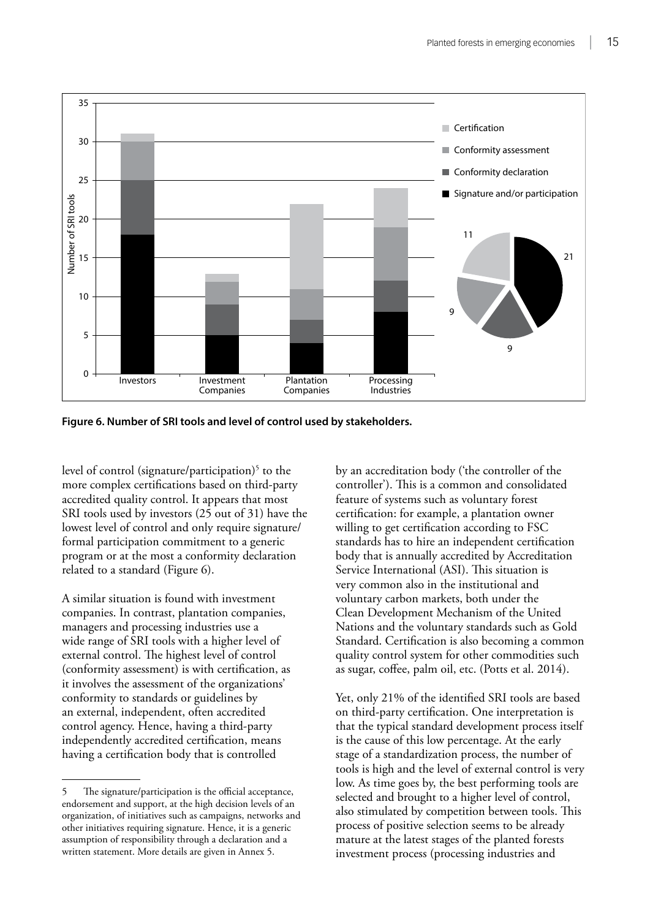

**Figure 6. Number of SRI tools and level of control used by stakeholders.**

level of control (signature/participation)<sup>5</sup> to the more complex certifications based on third-party accredited quality control. It appears that most SRI tools used by investors (25 out of 31) have the lowest level of control and only require signature/ formal participation commitment to a generic program or at the most a conformity declaration related to a standard (Figure 6).

A similar situation is found with investment companies. In contrast, plantation companies, managers and processing industries use a wide range of SRI tools with a higher level of external control. The highest level of control (conformity assessment) is with certification, as it involves the assessment of the organizations' conformity to standards or guidelines by an external, independent, often accredited control agency. Hence, having a third-party independently accredited certification, means having a certification body that is controlled

by an accreditation body ('the controller of the controller'). This is a common and consolidated feature of systems such as voluntary forest certification: for example, a plantation owner willing to get certification according to FSC standards has to hire an independent certification body that is annually accredited by Accreditation Service International (ASI). This situation is very common also in the institutional and voluntary carbon markets, both under the Clean Development Mechanism of the United Nations and the voluntary standards such as Gold Standard. Certification is also becoming a common quality control system for other commodities such as sugar, coffee, palm oil, etc. (Potts et al. 2014).

Yet, only 21% of the identified SRI tools are based on third-party certification. One interpretation is that the typical standard development process itself is the cause of this low percentage. At the early stage of a standardization process, the number of tools is high and the level of external control is very low. As time goes by, the best performing tools are selected and brought to a higher level of control, also stimulated by competition between tools. This process of positive selection seems to be already mature at the latest stages of the planted forests investment process (processing industries and

<sup>5</sup> The signature/participation is the official acceptance, endorsement and support, at the high decision levels of an organization, of initiatives such as campaigns, networks and other initiatives requiring signature. Hence, it is a generic assumption of responsibility through a declaration and a written statement. More details are given in Annex 5.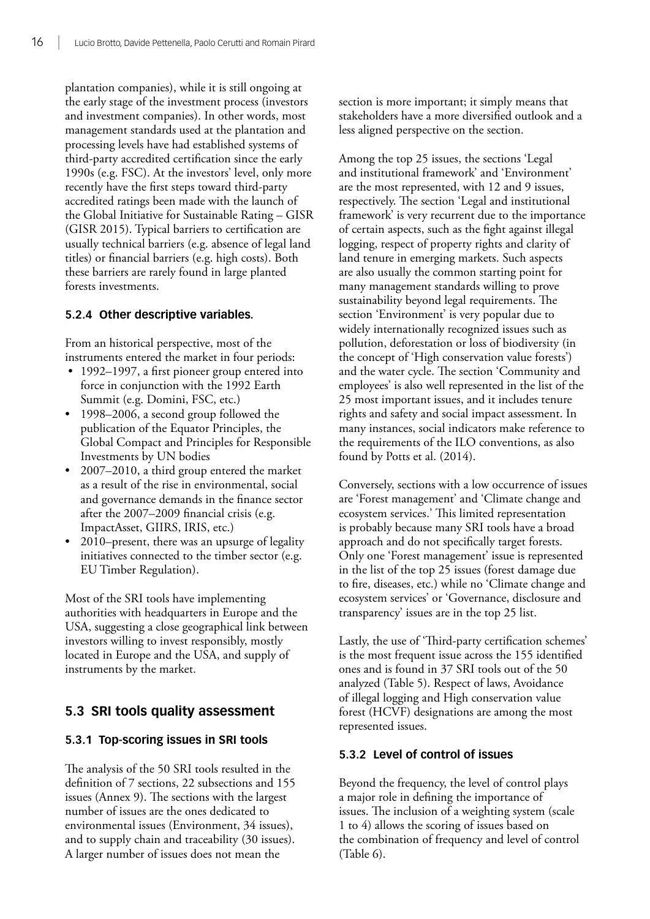<span id="page-26-0"></span>plantation companies), while it is still ongoing at the early stage of the investment process (investors and investment companies). In other words, most management standards used at the plantation and processing levels have had established systems of third-party accredited certification since the early 1990s (e.g. FSC). At the investors' level, only more recently have the first steps toward third-party accredited ratings been made with the launch of the Global Initiative for Sustainable Rating – GISR (GISR 2015). Typical barriers to certification are usually technical barriers (e.g. absence of legal land titles) or financial barriers (e.g. high costs). Both these barriers are rarely found in large planted forests investments.

#### **5.2.4 Other descriptive variables.**

From an historical perspective, most of the instruments entered the market in four periods:

- 1992–1997, a first pioneer group entered into force in conjunction with the 1992 Earth Summit (e.g. Domini, FSC, etc.)
- 1998–2006, a second group followed the publication of the Equator Principles, the Global Compact and Principles for Responsible Investments by UN bodies
- 2007–2010, a third group entered the market as a result of the rise in environmental, social and governance demands in the finance sector after the 2007–2009 financial crisis (e.g. ImpactAsset, GIIRS, IRIS, etc.)
- 2010–present, there was an upsurge of legality initiatives connected to the timber sector (e.g. EU Timber Regulation).

Most of the SRI tools have implementing authorities with headquarters in Europe and the USA, suggesting a close geographical link between investors willing to invest responsibly, mostly located in Europe and the USA, and supply of instruments by the market.

#### **5.3 SRI tools quality assessment**

#### **5.3.1 Top-scoring issues in SRI tools**

The analysis of the 50 SRI tools resulted in the definition of 7 sections, 22 subsections and 155 issues (Annex 9). The sections with the largest number of issues are the ones dedicated to environmental issues (Environment, 34 issues), and to supply chain and traceability (30 issues). A larger number of issues does not mean the

section is more important; it simply means that stakeholders have a more diversified outlook and a less aligned perspective on the section.

Among the top 25 issues, the sections 'Legal and institutional framework' and 'Environment' are the most represented, with 12 and 9 issues, respectively. The section 'Legal and institutional framework' is very recurrent due to the importance of certain aspects, such as the fight against illegal logging, respect of property rights and clarity of land tenure in emerging markets. Such aspects are also usually the common starting point for many management standards willing to prove sustainability beyond legal requirements. The section 'Environment' is very popular due to widely internationally recognized issues such as pollution, deforestation or loss of biodiversity (in the concept of 'High conservation value forests') and the water cycle. The section 'Community and employees' is also well represented in the list of the 25 most important issues, and it includes tenure rights and safety and social impact assessment. In many instances, social indicators make reference to the requirements of the ILO conventions, as also found by Potts et al. (2014).

Conversely, sections with a low occurrence of issues are 'Forest management' and 'Climate change and ecosystem services.' This limited representation is probably because many SRI tools have a broad approach and do not specifically target forests. Only one 'Forest management' issue is represented in the list of the top 25 issues (forest damage due to fire, diseases, etc.) while no 'Climate change and ecosystem services' or 'Governance, disclosure and transparency' issues are in the top 25 list.

Lastly, the use of 'Third-party certification schemes' is the most frequent issue across the 155 identified ones and is found in 37 SRI tools out of the 50 analyzed (Table 5). Respect of laws, Avoidance of illegal logging and High conservation value forest (HCVF) designations are among the most represented issues.

#### **5.3.2 Level of control of issues**

Beyond the frequency, the level of control plays a major role in defining the importance of issues. The inclusion of a weighting system (scale 1 to 4) allows the scoring of issues based on the combination of frequency and level of control (Table 6).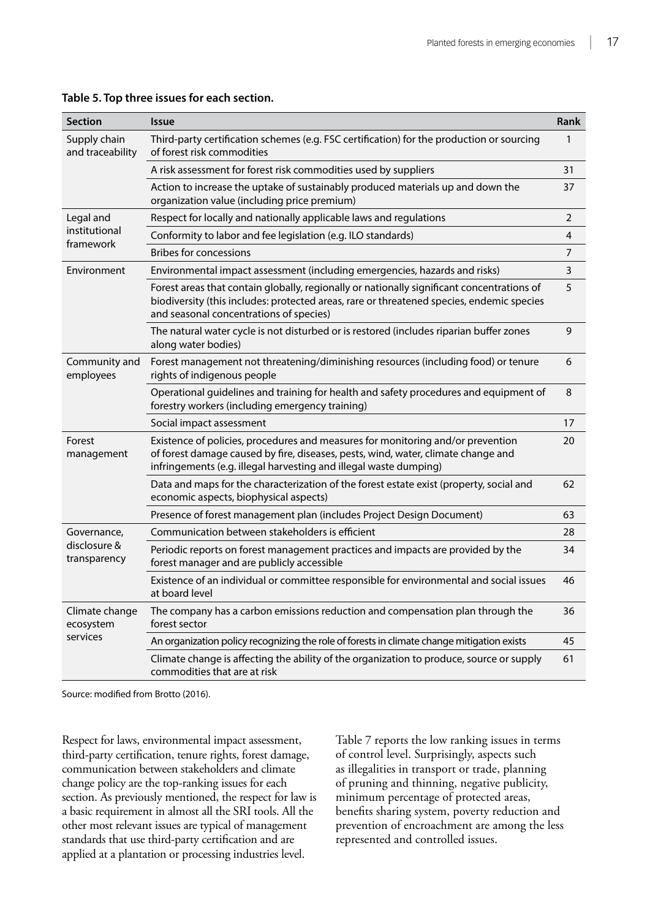| <b>Section</b>                   | <b>Issue</b>                                                                                                                                                                                                                              | <b>Rank</b>    |
|----------------------------------|-------------------------------------------------------------------------------------------------------------------------------------------------------------------------------------------------------------------------------------------|----------------|
| Supply chain<br>and traceability | Third-party certification schemes (e.g. FSC certification) for the production or sourcing<br>of forest risk commodities                                                                                                                   |                |
|                                  | A risk assessment for forest risk commodities used by suppliers                                                                                                                                                                           | 31             |
|                                  | Action to increase the uptake of sustainably produced materials up and down the<br>organization value (including price premium)                                                                                                           | 37             |
| Legal and                        | Respect for locally and nationally applicable laws and regulations                                                                                                                                                                        | $\overline{2}$ |
| institutional<br>framework       | Conformity to labor and fee legislation (e.g. ILO standards)                                                                                                                                                                              | 4              |
|                                  | <b>Bribes for concessions</b>                                                                                                                                                                                                             | 7              |
| Environment                      | Environmental impact assessment (including emergencies, hazards and risks)                                                                                                                                                                | 3              |
|                                  | Forest areas that contain globally, regionally or nationally significant concentrations of<br>biodiversity (this includes: protected areas, rare or threatened species, endemic species<br>and seasonal concentrations of species)        | 5              |
|                                  | The natural water cycle is not disturbed or is restored (includes riparian buffer zones<br>along water bodies)                                                                                                                            | 9              |
| Community and<br>employees       | Forest management not threatening/diminishing resources (including food) or tenure<br>rights of indigenous people                                                                                                                         |                |
|                                  | Operational guidelines and training for health and safety procedures and equipment of<br>forestry workers (including emergency training)                                                                                                  | 8              |
|                                  | Social impact assessment                                                                                                                                                                                                                  | 17             |
| Forest<br>management             | Existence of policies, procedures and measures for monitoring and/or prevention<br>of forest damage caused by fire, diseases, pests, wind, water, climate change and<br>infringements (e.g. illegal harvesting and illegal waste dumping) | 20             |
|                                  | Data and maps for the characterization of the forest estate exist (property, social and<br>economic aspects, biophysical aspects)                                                                                                         | 62             |
|                                  | Presence of forest management plan (includes Project Design Document)                                                                                                                                                                     | 63             |
| Governance,                      | Communication between stakeholders is efficient                                                                                                                                                                                           | 28             |
| disclosure &<br>transparency     | Periodic reports on forest management practices and impacts are provided by the<br>forest manager and are publicly accessible                                                                                                             | 34             |
|                                  | Existence of an individual or committee responsible for environmental and social issues<br>at board level                                                                                                                                 | 46             |
| Climate change<br>ecosystem      | The company has a carbon emissions reduction and compensation plan through the<br>forest sector                                                                                                                                           | 36             |
| services                         | An organization policy recognizing the role of forests in climate change mitigation exists                                                                                                                                                | 45             |
|                                  | Climate change is affecting the ability of the organization to produce, source or supply<br>commodities that are at risk                                                                                                                  | 61             |

#### <span id="page-27-0"></span>**Table 5. Top three issues for each section.**

Source: modified from Brotto (2016).

Respect for laws, environmental impact assessment, third-party certification, tenure rights, forest damage, communication between stakeholders and climate change policy are the top-ranking issues for each section. As previously mentioned, the respect for law is a basic requirement in almost all the SRI tools. All the other most relevant issues are typical of management standards that use third-party certification and are applied at a plantation or processing industries level.

Table 7 reports the low ranking issues in terms of control level. Surprisingly, aspects such as illegalities in transport or trade, planning of pruning and thinning, negative publicity, minimum percentage of protected areas, benefits sharing system, poverty reduction and prevention of encroachment are among the less represented and controlled issues.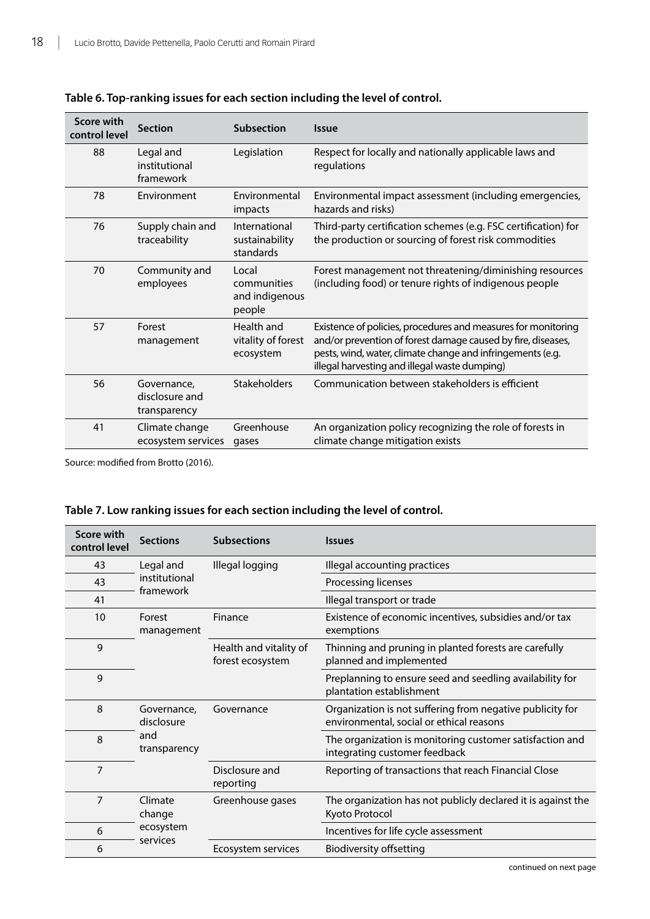| Score with<br>control level | <b>Section</b>                                | <b>Subsection</b>                                | <b>Issue</b>                                                                                                                                                                                                                                 |
|-----------------------------|-----------------------------------------------|--------------------------------------------------|----------------------------------------------------------------------------------------------------------------------------------------------------------------------------------------------------------------------------------------------|
| 88                          | Legal and<br>institutional<br>framework       | Legislation                                      | Respect for locally and nationally applicable laws and<br>regulations                                                                                                                                                                        |
| 78                          | Environment                                   | Environmental<br>impacts                         | Environmental impact assessment (including emergencies,<br>hazards and risks)                                                                                                                                                                |
| 76                          | Supply chain and<br>traceability              | International<br>sustainability<br>standards     | Third-party certification schemes (e.g. FSC certification) for<br>the production or sourcing of forest risk commodities                                                                                                                      |
| 70                          | Community and<br>employees                    | Local<br>communities<br>and indigenous<br>people | Forest management not threatening/diminishing resources<br>(including food) or tenure rights of indigenous people                                                                                                                            |
| 57                          | Forest<br>management                          | Health and<br>vitality of forest<br>ecosystem    | Existence of policies, procedures and measures for monitoring<br>and/or prevention of forest damage caused by fire, diseases,<br>pests, wind, water, climate change and infringements (e.g.<br>illegal harvesting and illegal waste dumping) |
| 56                          | Governance,<br>disclosure and<br>transparency | Stakeholders                                     | Communication between stakeholders is efficient                                                                                                                                                                                              |
| 41                          | Climate change<br>ecosystem services          | Greenhouse<br>gases                              | An organization policy recognizing the role of forests in<br>climate change mitigation exists                                                                                                                                                |

<span id="page-28-0"></span>

Source: modified from Brotto (2016).

| Table 7. Low ranking issues for each section including the level of control. |
|------------------------------------------------------------------------------|
|------------------------------------------------------------------------------|

| Score with<br>control level | <b>Sections</b>                            | <b>Subsections</b>                         | <b>Issues</b>                                                                                         |
|-----------------------------|--------------------------------------------|--------------------------------------------|-------------------------------------------------------------------------------------------------------|
| 43                          | Legal and                                  | Illegal logging                            | Illegal accounting practices                                                                          |
| 43                          | institutional<br>framework                 |                                            | Processing licenses                                                                                   |
| 41                          |                                            |                                            | Illegal transport or trade                                                                            |
| 10                          | Forest<br>management                       | Finance                                    | Existence of economic incentives, subsidies and/or tax<br>exemptions                                  |
| 9                           |                                            | Health and vitality of<br>forest ecosystem | Thinning and pruning in planted forests are carefully<br>planned and implemented                      |
| 9                           |                                            |                                            | Preplanning to ensure seed and seedling availability for<br>plantation establishment                  |
| 8                           | Governance,<br>disclosure                  | Governance                                 | Organization is not suffering from negative publicity for<br>environmental, social or ethical reasons |
| 8                           | and<br>transparency                        |                                            | The organization is monitoring customer satisfaction and<br>integrating customer feedback             |
| 7                           |                                            | Disclosure and<br>reporting                | Reporting of transactions that reach Financial Close                                                  |
| 7                           | Climate<br>change<br>ecosystem<br>services | Greenhouse gases                           | The organization has not publicly declared it is against the<br>Kyoto Protocol                        |
| 6                           |                                            |                                            | Incentives for life cycle assessment                                                                  |
| 6                           |                                            | Ecosystem services                         | <b>Biodiversity offsetting</b>                                                                        |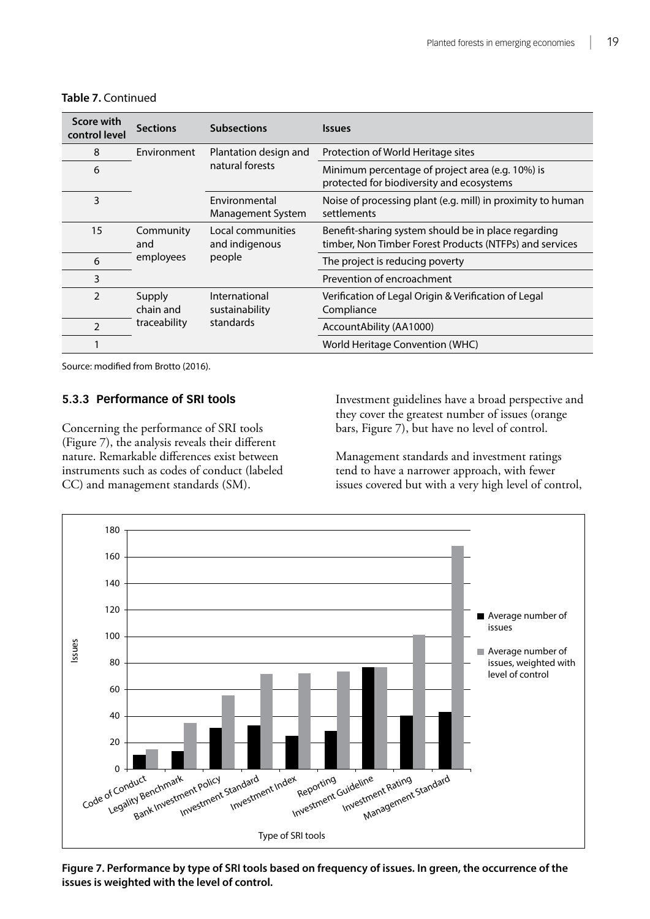| Score with<br>control level | <b>Sections</b>                                                                     | <b>Subsections</b>                            | <i><u><b>Issues</b></u></i>                                                                                    |
|-----------------------------|-------------------------------------------------------------------------------------|-----------------------------------------------|----------------------------------------------------------------------------------------------------------------|
| 8                           | Environment                                                                         | Plantation design and                         | Protection of World Heritage sites                                                                             |
| 6                           |                                                                                     | natural forests                               | Minimum percentage of project area (e.g. 10%) is<br>protected for biodiversity and ecosystems                  |
| 3                           |                                                                                     | Environmental<br>Management System            | Noise of processing plant (e.g. mill) in proximity to human<br>settlements                                     |
| 15                          | Community<br>and<br>employees                                                       | Local communities<br>and indigenous<br>people | Benefit-sharing system should be in place regarding<br>timber, Non Timber Forest Products (NTFPs) and services |
| 6                           |                                                                                     |                                               | The project is reducing poverty                                                                                |
| 3                           |                                                                                     |                                               | Prevention of encroachment                                                                                     |
| 2                           | Supply<br>International<br>chain and<br>sustainability<br>standards<br>traceability |                                               | Verification of Legal Origin & Verification of Legal<br>Compliance                                             |
| 2                           |                                                                                     |                                               | AccountAbility (AA1000)                                                                                        |
|                             |                                                                                     |                                               | World Heritage Convention (WHC)                                                                                |

#### **Table 7.** Continued

Source: modified from Brotto (2016).

#### **5.3.3 Performance of SRI tools**

Concerning the performance of SRI tools (Figure 7), the analysis reveals their different nature. Remarkable differences exist between instruments such as codes of conduct (labeled CC) and management standards (SM).

Investment guidelines have a broad perspective and they cover the greatest number of issues (orange bars, Figure 7), but have no level of control.

Management standards and investment ratings tend to have a narrower approach, with fewer issues covered but with a very high level of control,



**Figure 7. Performance by type of SRI tools based on frequency of issues. In green, the occurrence of the issues is weighted with the level of control.**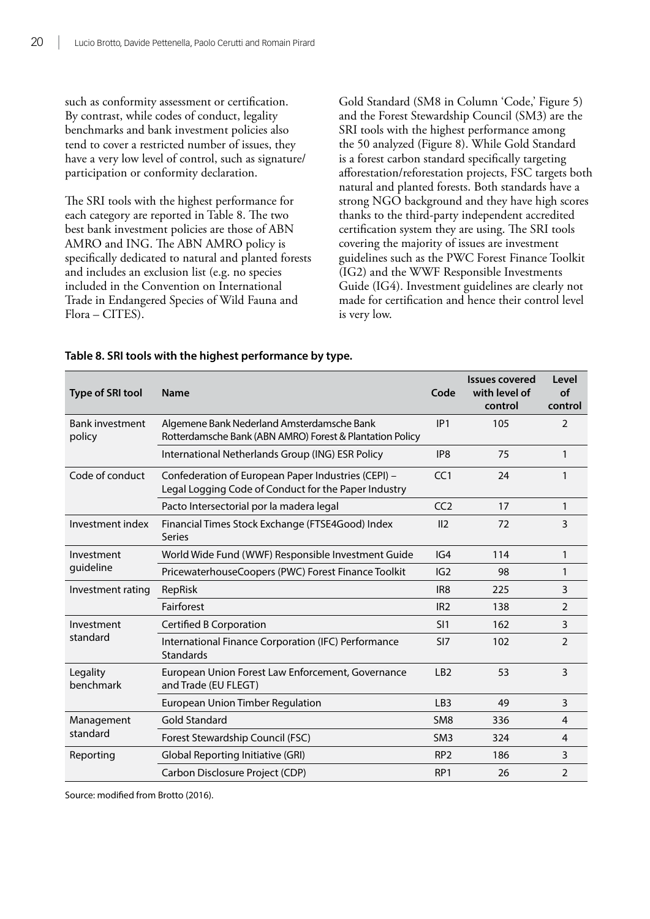<span id="page-30-0"></span>such as conformity assessment or certification. By contrast, while codes of conduct, legality benchmarks and bank investment policies also tend to cover a restricted number of issues, they have a very low level of control, such as signature/ participation or conformity declaration.

The SRI tools with the highest performance for each category are reported in Table 8. The two best bank investment policies are those of ABN AMRO and ING. The ABN AMRO policy is specifically dedicated to natural and planted forests and includes an exclusion list (e.g. no species included in the Convention on International Trade in Endangered Species of Wild Fauna and Flora – CITES).

Gold Standard (SM8 in Column 'Code,' Figure 5) and the Forest Stewardship Council (SM3) are the SRI tools with the highest performance among the 50 analyzed (Figure 8). While Gold Standard is a forest carbon standard specifically targeting afforestation/reforestation projects, FSC targets both natural and planted forests. Both standards have a strong NGO background and they have high scores thanks to the third-party independent accredited certification system they are using. The SRI tools covering the majority of issues are investment guidelines such as the PWC Forest Finance Toolkit (IG2) and the WWF Responsible Investments Guide (IG4). Investment guidelines are clearly not made for certification and hence their control level is very low.

| <b>Type of SRI tool</b>          | <b>Name</b>                                                                                                 | Code            | <b>Issues covered</b><br>with level of<br>control | Level<br><b>of</b><br>control |
|----------------------------------|-------------------------------------------------------------------------------------------------------------|-----------------|---------------------------------------------------|-------------------------------|
| <b>Bank investment</b><br>policy | Algemene Bank Nederland Amsterdamsche Bank<br>Rotterdamsche Bank (ABN AMRO) Forest & Plantation Policy      | IP1             | 105                                               | 2                             |
|                                  | International Netherlands Group (ING) ESR Policy                                                            | IP <sub>8</sub> | 75                                                | 1                             |
| Code of conduct                  | Confederation of European Paper Industries (CEPI) -<br>Legal Logging Code of Conduct for the Paper Industry | CC1             | 24                                                | 1                             |
|                                  | Pacto Intersectorial por la madera legal                                                                    | CC <sub>2</sub> | 17                                                | $\mathbf{1}$                  |
| Investment index                 | Financial Times Stock Exchange (FTSE4Good) Index<br><b>Series</b>                                           | II <sub>2</sub> | 72                                                | 3                             |
| Investment                       | World Wide Fund (WWF) Responsible Investment Guide                                                          | IG4             | 114                                               | 1                             |
| guideline                        | PricewaterhouseCoopers (PWC) Forest Finance Toolkit                                                         | IG2             | 98                                                | 1                             |
| Investment rating                | RepRisk                                                                                                     | IR <sub>8</sub> | 225                                               | 3                             |
|                                  | Fairforest                                                                                                  | IR <sub>2</sub> | 138                                               | $\overline{2}$                |
| Investment                       | <b>Certified B Corporation</b>                                                                              | SI1             | 162                                               | 3                             |
| standard                         | International Finance Corporation (IFC) Performance<br><b>Standards</b>                                     | SI <sub>7</sub> | 102                                               | $\overline{2}$                |
| Legality<br>benchmark            | European Union Forest Law Enforcement, Governance<br>and Trade (EU FLEGT)                                   | LB <sub>2</sub> | 53                                                | 3                             |
|                                  | <b>European Union Timber Regulation</b>                                                                     | LB <sub>3</sub> | 49                                                | 3                             |
| Management                       | <b>Gold Standard</b>                                                                                        | SM <sub>8</sub> | 336                                               | 4                             |
| standard                         | Forest Stewardship Council (FSC)                                                                            | SM <sub>3</sub> | 324                                               | $\overline{4}$                |
| Reporting                        | Global Reporting Initiative (GRI)                                                                           | RP <sub>2</sub> | 186                                               | 3                             |
|                                  | Carbon Disclosure Project (CDP)                                                                             | RP <sub>1</sub> | 26                                                | $\overline{2}$                |

#### **Table 8. SRI tools with the highest performance by type.**

Source: modified from Brotto (2016).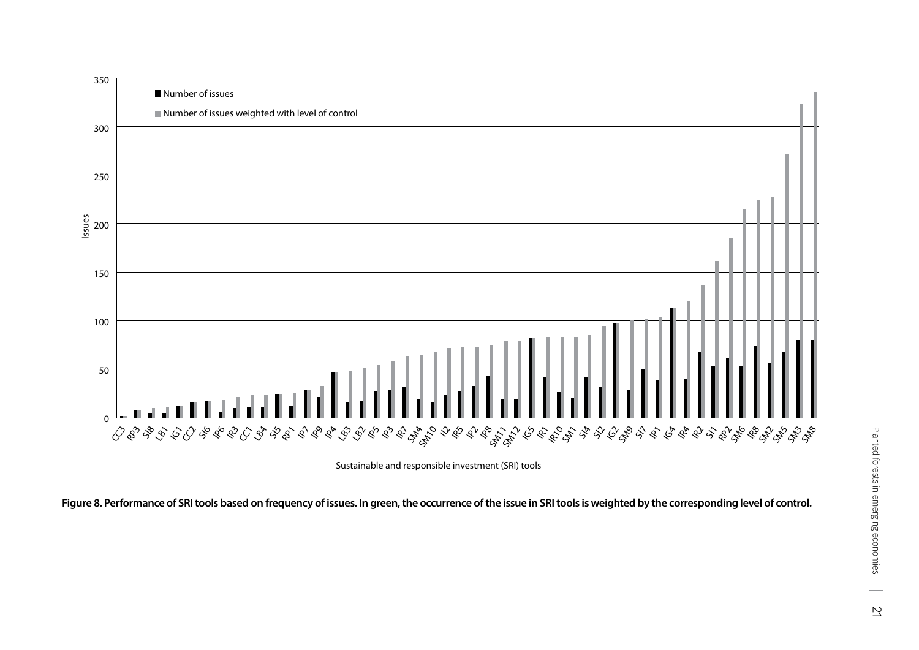

**Figure 8. Performance of SRI tools based on frequency of issues. In green, the occurrence of the issue in SRI tools is weighted by the corresponding level of control.**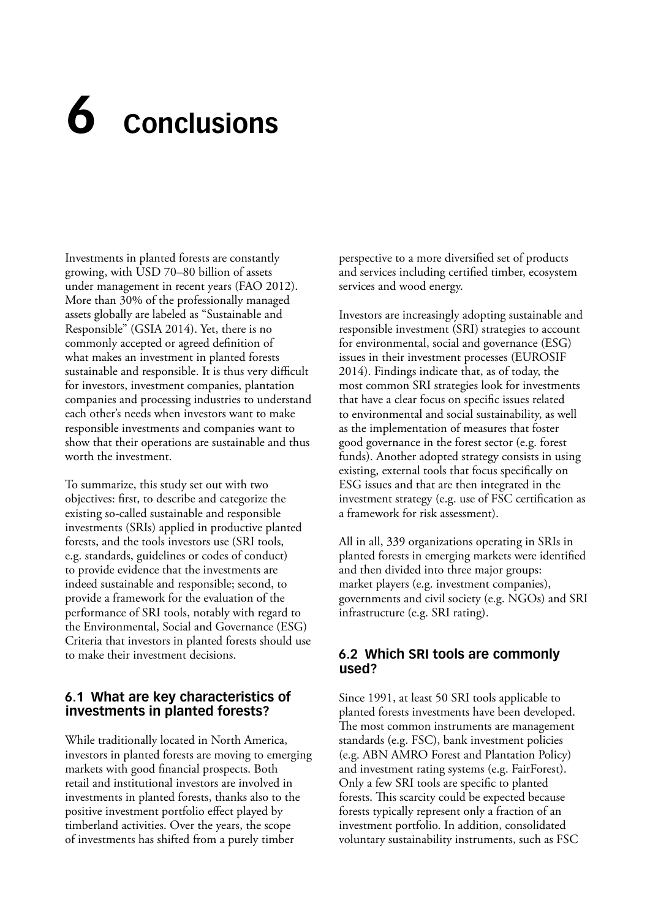## <span id="page-32-0"></span>**6 Conclusions**

Investments in planted forests are constantly growing, with USD 70–80 billion of assets under management in recent years (FAO 2012). More than 30% of the professionally managed assets globally are labeled as "Sustainable and Responsible" (GSIA 2014). Yet, there is no commonly accepted or agreed definition of what makes an investment in planted forests sustainable and responsible. It is thus very difficult for investors, investment companies, plantation companies and processing industries to understand each other's needs when investors want to make responsible investments and companies want to show that their operations are sustainable and thus worth the investment.

To summarize, this study set out with two objectives: first, to describe and categorize the existing so-called sustainable and responsible investments (SRIs) applied in productive planted forests, and the tools investors use (SRI tools, e.g. standards, guidelines or codes of conduct) to provide evidence that the investments are indeed sustainable and responsible; second, to provide a framework for the evaluation of the performance of SRI tools, notably with regard to the Environmental, Social and Governance (ESG) Criteria that investors in planted forests should use to make their investment decisions.

#### **6.1 What are key characteristics of investments in planted forests?**

While traditionally located in North America, investors in planted forests are moving to emerging markets with good financial prospects. Both retail and institutional investors are involved in investments in planted forests, thanks also to the positive investment portfolio effect played by timberland activities. Over the years, the scope of investments has shifted from a purely timber

perspective to a more diversified set of products and services including certified timber, ecosystem services and wood energy.

Investors are increasingly adopting sustainable and responsible investment (SRI) strategies to account for environmental, social and governance (ESG) issues in their investment processes (EUROSIF 2014). Findings indicate that, as of today, the most common SRI strategies look for investments that have a clear focus on specific issues related to environmental and social sustainability, as well as the implementation of measures that foster good governance in the forest sector (e.g. forest funds). Another adopted strategy consists in using existing, external tools that focus specifically on ESG issues and that are then integrated in the investment strategy (e.g. use of FSC certification as a framework for risk assessment).

All in all, 339 organizations operating in SRIs in planted forests in emerging markets were identified and then divided into three major groups: market players (e.g. investment companies), governments and civil society (e.g. NGOs) and SRI infrastructure (e.g. SRI rating).

#### **6.2 Which SRI tools are commonly used?**

Since 1991, at least 50 SRI tools applicable to planted forests investments have been developed. The most common instruments are management standards (e.g. FSC), bank investment policies (e.g. ABN AMRO Forest and Plantation Policy) and investment rating systems (e.g. FairForest). Only a few SRI tools are specific to planted forests. This scarcity could be expected because forests typically represent only a fraction of an investment portfolio. In addition, consolidated voluntary sustainability instruments, such as FSC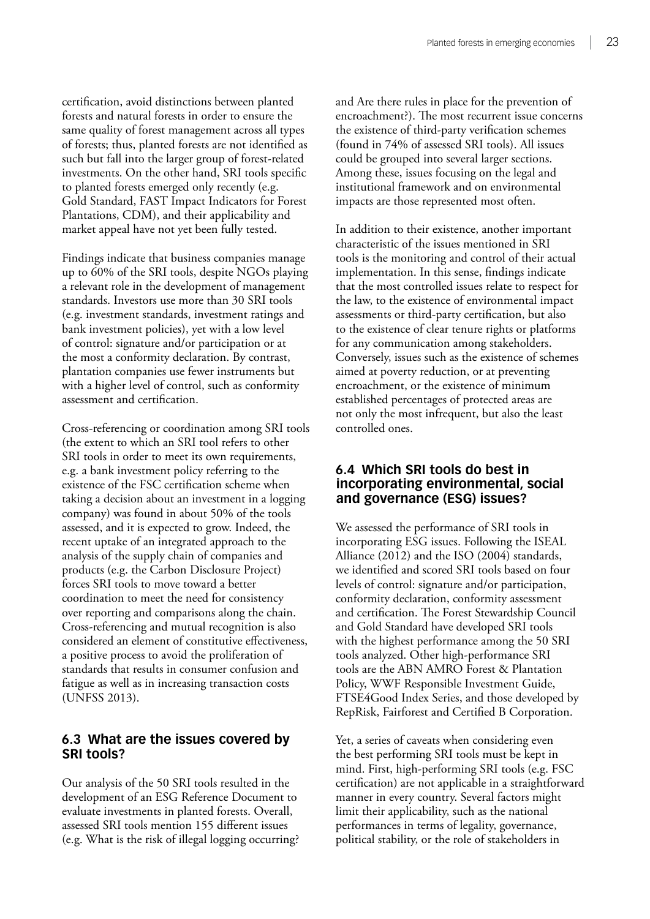<span id="page-33-0"></span>certification, avoid distinctions between planted forests and natural forests in order to ensure the same quality of forest management across all types of forests; thus, planted forests are not identified as such but fall into the larger group of forest-related investments. On the other hand, SRI tools specific to planted forests emerged only recently (e.g. Gold Standard, FAST Impact Indicators for Forest Plantations, CDM), and their applicability and market appeal have not yet been fully tested.

Findings indicate that business companies manage up to 60% of the SRI tools, despite NGOs playing a relevant role in the development of management standards. Investors use more than 30 SRI tools (e.g. investment standards, investment ratings and bank investment policies), yet with a low level of control: signature and/or participation or at the most a conformity declaration. By contrast, plantation companies use fewer instruments but with a higher level of control, such as conformity assessment and certification.

Cross-referencing or coordination among SRI tools (the extent to which an SRI tool refers to other SRI tools in order to meet its own requirements, e.g. a bank investment policy referring to the existence of the FSC certification scheme when taking a decision about an investment in a logging company) was found in about 50% of the tools assessed, and it is expected to grow. Indeed, the recent uptake of an integrated approach to the analysis of the supply chain of companies and products (e.g. the Carbon Disclosure Project) forces SRI tools to move toward a better coordination to meet the need for consistency over reporting and comparisons along the chain. Cross-referencing and mutual recognition is also considered an element of constitutive effectiveness, a positive process to avoid the proliferation of standards that results in consumer confusion and fatigue as well as in increasing transaction costs (UNFSS 2013).

#### **6.3 What are the issues covered by SRI tools?**

Our analysis of the 50 SRI tools resulted in the development of an ESG Reference Document to evaluate investments in planted forests. Overall, assessed SRI tools mention 155 different issues (e.g. What is the risk of illegal logging occurring? and Are there rules in place for the prevention of encroachment?). The most recurrent issue concerns the existence of third-party verification schemes (found in 74% of assessed SRI tools). All issues could be grouped into several larger sections. Among these, issues focusing on the legal and institutional framework and on environmental impacts are those represented most often.

In addition to their existence, another important characteristic of the issues mentioned in SRI tools is the monitoring and control of their actual implementation. In this sense, findings indicate that the most controlled issues relate to respect for the law, to the existence of environmental impact assessments or third-party certification, but also to the existence of clear tenure rights or platforms for any communication among stakeholders. Conversely, issues such as the existence of schemes aimed at poverty reduction, or at preventing encroachment, or the existence of minimum established percentages of protected areas are not only the most infrequent, but also the least controlled ones.

#### **6.4 Which SRI tools do best in incorporating environmental, social and governance (ESG) issues?**

We assessed the performance of SRI tools in incorporating ESG issues. Following the ISEAL Alliance (2012) and the ISO (2004) standards, we identified and scored SRI tools based on four levels of control: signature and/or participation, conformity declaration, conformity assessment and certification. The Forest Stewardship Council and Gold Standard have developed SRI tools with the highest performance among the 50 SRI tools analyzed. Other high-performance SRI tools are the ABN AMRO Forest & Plantation Policy, WWF Responsible Investment Guide, FTSE4Good Index Series, and those developed by RepRisk, Fairforest and Certified B Corporation.

Yet, a series of caveats when considering even the best performing SRI tools must be kept in mind. First, high-performing SRI tools (e.g. FSC certification) are not applicable in a straightforward manner in every country. Several factors might limit their applicability, such as the national performances in terms of legality, governance, political stability, or the role of stakeholders in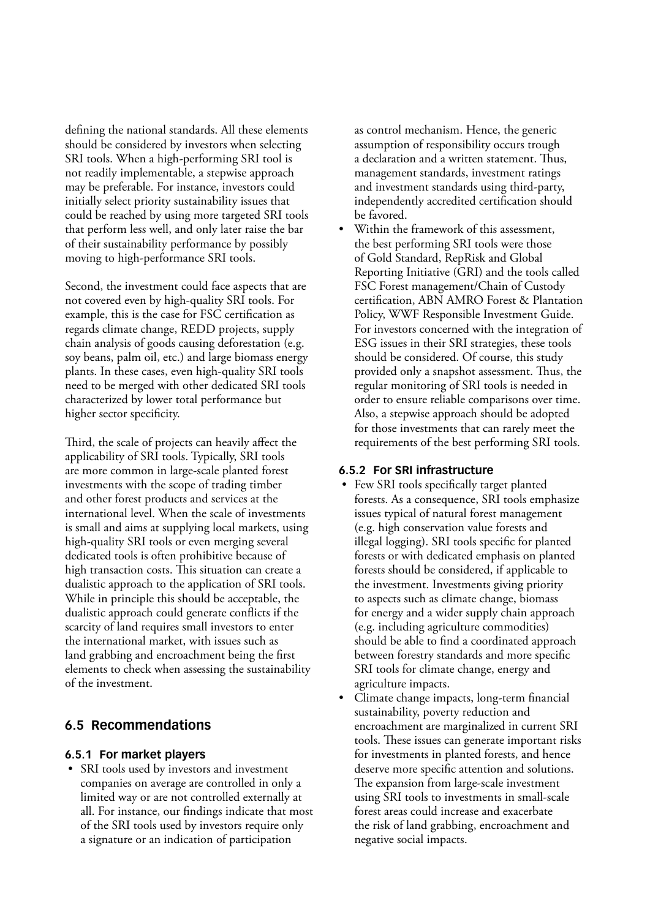<span id="page-34-0"></span>defining the national standards. All these elements should be considered by investors when selecting SRI tools. When a high-performing SRI tool is not readily implementable, a stepwise approach may be preferable. For instance, investors could initially select priority sustainability issues that could be reached by using more targeted SRI tools that perform less well, and only later raise the bar of their sustainability performance by possibly moving to high-performance SRI tools.

Second, the investment could face aspects that are not covered even by high-quality SRI tools. For example, this is the case for FSC certification as regards climate change, REDD projects, supply chain analysis of goods causing deforestation (e.g. soy beans, palm oil, etc.) and large biomass energy plants. In these cases, even high-quality SRI tools need to be merged with other dedicated SRI tools characterized by lower total performance but higher sector specificity.

Third, the scale of projects can heavily affect the applicability of SRI tools. Typically, SRI tools are more common in large-scale planted forest investments with the scope of trading timber and other forest products and services at the international level. When the scale of investments is small and aims at supplying local markets, using high-quality SRI tools or even merging several dedicated tools is often prohibitive because of high transaction costs. This situation can create a dualistic approach to the application of SRI tools. While in principle this should be acceptable, the dualistic approach could generate conflicts if the scarcity of land requires small investors to enter the international market, with issues such as land grabbing and encroachment being the first elements to check when assessing the sustainability of the investment.

#### **6.5 Recommendations**

#### **6.5.1 For market players**

• SRI tools used by investors and investment companies on average are controlled in only a limited way or are not controlled externally at all. For instance, our findings indicate that most of the SRI tools used by investors require only a signature or an indication of participation

as control mechanism. Hence, the generic assumption of responsibility occurs trough a declaration and a written statement. Thus, management standards, investment ratings and investment standards using third-party, independently accredited certification should be favored.

• Within the framework of this assessment, the best performing SRI tools were those of Gold Standard, RepRisk and Global Reporting Initiative (GRI) and the tools called FSC Forest management/Chain of Custody certification, ABN AMRO Forest & Plantation Policy, WWF Responsible Investment Guide. For investors concerned with the integration of ESG issues in their SRI strategies, these tools should be considered. Of course, this study provided only a snapshot assessment. Thus, the regular monitoring of SRI tools is needed in order to ensure reliable comparisons over time. Also, a stepwise approach should be adopted for those investments that can rarely meet the requirements of the best performing SRI tools.

#### **6.5.2 For SRI infrastructure**

- Few SRI tools specifically target planted forests. As a consequence, SRI tools emphasize issues typical of natural forest management (e.g. high conservation value forests and illegal logging). SRI tools specific for planted forests or with dedicated emphasis on planted forests should be considered, if applicable to the investment. Investments giving priority to aspects such as climate change, biomass for energy and a wider supply chain approach (e.g. including agriculture commodities) should be able to find a coordinated approach between forestry standards and more specific SRI tools for climate change, energy and agriculture impacts.
- Climate change impacts, long-term financial sustainability, poverty reduction and encroachment are marginalized in current SRI tools. These issues can generate important risks for investments in planted forests, and hence deserve more specific attention and solutions. The expansion from large-scale investment using SRI tools to investments in small-scale forest areas could increase and exacerbate the risk of land grabbing, encroachment and negative social impacts.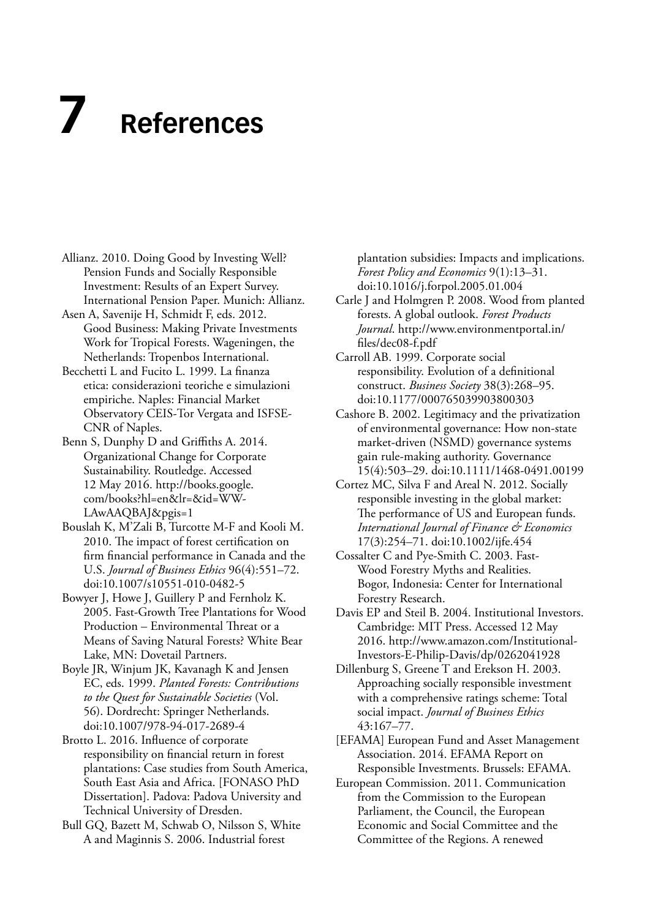## <span id="page-35-0"></span>**7 References**

- Allianz. 2010. Doing Good by Investing Well? Pension Funds and Socially Responsible Investment: Results of an Expert Survey. International Pension Paper. Munich: Allianz.
- Asen A, Savenije H, Schmidt F, eds. 2012. Good Business: Making Private Investments Work for Tropical Forests. Wageningen, the Netherlands: Tropenbos International.
- Becchetti L and Fucito L. 1999. La finanza etica: considerazioni teoriche e simulazioni empiriche. Naples: Financial Market Observatory CEIS-Tor Vergata and ISFSE-CNR of Naples.
- Benn S, Dunphy D and Griffiths A. 2014. Organizational Change for Corporate Sustainability. Routledge. Accessed 12 May 2016. http://books.google. com/books?hl=en&lr=&id=WW-LAwAAQBAJ&pgis=1
- Bouslah K, M'Zali B, Turcotte M-F and Kooli M. 2010. The impact of forest certification on firm financial performance in Canada and the U.S. *Journal of Business Ethics* 96(4):551–72. doi:10.1007/s10551-010-0482-5
- Bowyer J, Howe J, Guillery P and Fernholz K. 2005. Fast-Growth Tree Plantations for Wood Production – Environmental Threat or a Means of Saving Natural Forests? White Bear Lake, MN: Dovetail Partners.
- Boyle JR, Winjum JK, Kavanagh K and Jensen EC, eds. 1999. *Planted Forests: Contributions to the Quest for Sustainable Societies* (Vol. 56). Dordrecht: Springer Netherlands. doi:10.1007/978-94-017-2689-4
- Brotto L. 2016. Influence of corporate responsibility on financial return in forest plantations: Case studies from South America, South East Asia and Africa. [FONASO PhD Dissertation]. Padova: Padova University and Technical University of Dresden.
- Bull GQ, Bazett M, Schwab O, Nilsson S, White A and Maginnis S. 2006. Industrial forest

plantation subsidies: Impacts and implications. *Forest Policy and Economics* 9(1):13–31. doi:10.1016/j.forpol.2005.01.004

- Carle J and Holmgren P. 2008. Wood from planted forests. A global outlook. *Forest Products Journal*. http://www.environmentportal.in/ files/dec08-f.pdf
- Carroll AB. 1999. Corporate social responsibility. Evolution of a definitional construct. *Business Society* 38(3):268–95. doi:10.1177/000765039903800303
- Cashore B. 2002. Legitimacy and the privatization of environmental governance: How non-state market-driven (NSMD) governance systems gain rule-making authority. Governance 15(4):503–29. doi:10.1111/1468-0491.00199
- Cortez MC, Silva F and Areal N. 2012. Socially responsible investing in the global market: The performance of US and European funds. *International Journal of Finance & Economics* 17(3):254–71. doi:10.1002/ijfe.454
- Cossalter C and Pye-Smith C. 2003. Fast-Wood Forestry Myths and Realities. Bogor, Indonesia: Center for International Forestry Research.
- Davis EP and Steil B. 2004. Institutional Investors. Cambridge: MIT Press. Accessed 12 May 2016. http://www.amazon.com/Institutional-Investors-E-Philip-Davis/dp/0262041928
- Dillenburg S, Greene T and Erekson H. 2003. Approaching socially responsible investment with a comprehensive ratings scheme: Total social impact. *Journal of Business Ethics* 43:167–77.
- [EFAMA] European Fund and Asset Management Association. 2014. EFAMA Report on Responsible Investments. Brussels: EFAMA.
- European Commission. 2011. Communication from the Commission to the European Parliament, the Council, the European Economic and Social Committee and the Committee of the Regions. A renewed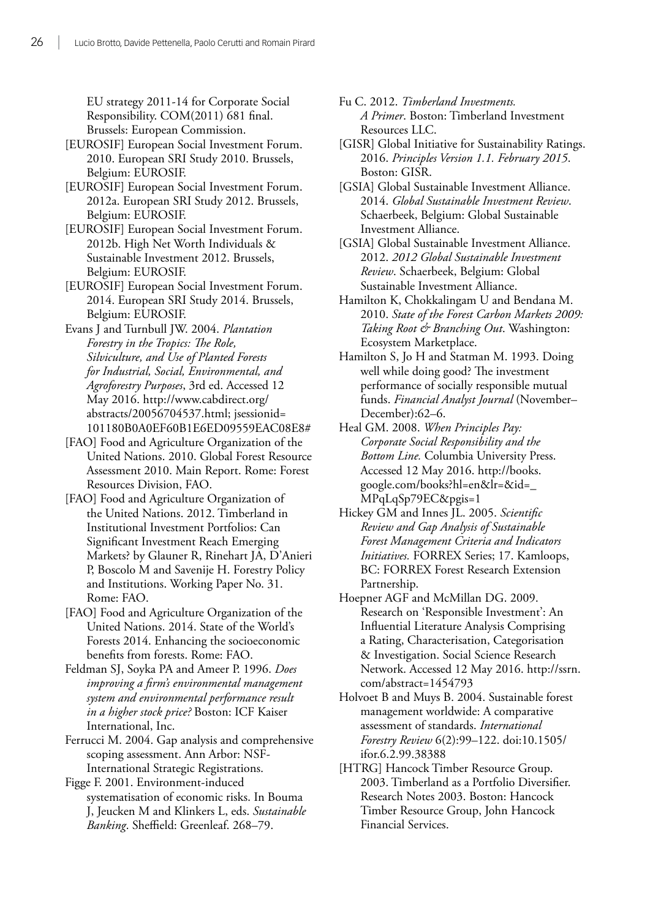EU strategy 2011-14 for Corporate Social Responsibility. COM(2011) 681 final. Brussels: European Commission.

- [EUROSIF] European Social Investment Forum. 2010. European SRI Study 2010. Brussels, Belgium: EUROSIF.
- [EUROSIF] European Social Investment Forum. 2012a. European SRI Study 2012. Brussels, Belgium: EUROSIF.
- [EUROSIF] European Social Investment Forum. 2012b. High Net Worth Individuals & Sustainable Investment 2012. Brussels, Belgium: EUROSIF.
- [EUROSIF] European Social Investment Forum. 2014. European SRI Study 2014. Brussels, Belgium: EUROSIF.
- Evans J and Turnbull JW. 2004. *Plantation Forestry in the Tropics: The Role, Silviculture, and Use of Planted Forests for Industrial, Social, Environmental, and Agroforestry Purposes*, 3rd ed. Accessed 12 May 2016. http://www.cabdirect.org/ abstracts/20056704537.html; jsessionid= 101180B0A0EF60B1E6ED09559EAC08E8#
- [FAO] Food and Agriculture Organization of the United Nations. 2010. Global Forest Resource Assessment 2010. Main Report. Rome: Forest Resources Division, FAO.
- [FAO] Food and Agriculture Organization of the United Nations. 2012. Timberland in Institutional Investment Portfolios: Can Significant Investment Reach Emerging Markets? by Glauner R, Rinehart JA, D'Anieri P, Boscolo M and Savenije H. Forestry Policy and Institutions. Working Paper No. 31. Rome: FAO.
- [FAO] Food and Agriculture Organization of the United Nations. 2014. State of the World's Forests 2014. Enhancing the socioeconomic benefits from forests. Rome: FAO.
- Feldman SJ, Soyka PA and Ameer P. 1996. *Does improving a firm's environmental management system and environmental performance result in a higher stock price?* Boston: ICF Kaiser International, Inc.

Ferrucci M. 2004. Gap analysis and comprehensive scoping assessment. Ann Arbor: NSF-International Strategic Registrations.

Figge F. 2001. Environment-induced systematisation of economic risks. In Bouma J, Jeucken M and Klinkers L, eds. *Sustainable Banking*. Sheffield: Greenleaf. 268–79.

- Fu C. 2012. *Timberland Investments. A Primer*. Boston: Timberland Investment Resources LLC.
- [GISR] Global Initiative for Sustainability Ratings. 2016. *Principles Version 1.1. February 2015*. Boston: GISR.
- [GSIA] Global Sustainable Investment Alliance. 2014. *Global Sustainable Investment Review*. Schaerbeek, Belgium: Global Sustainable Investment Alliance.
- [GSIA] Global Sustainable Investment Alliance. 2012. *2012 Global Sustainable Investment Review*. Schaerbeek, Belgium: Global Sustainable Investment Alliance.
- Hamilton K, Chokkalingam U and Bendana M. 2010. *State of the Forest Carbon Markets 2009: Taking Root & Branching Out*. Washington: Ecosystem Marketplace.
- Hamilton S, Jo H and Statman M. 1993. Doing well while doing good? The investment performance of socially responsible mutual funds. *Financial Analyst Journal* (November– December):62–6.
- Heal GM. 2008. *When Principles Pay: Corporate Social Responsibility and the Bottom Line.* Columbia University Press. Accessed 12 May 2016. http://books. google.com/books?hl=en&lr=&id=\_ MPqLqSp79EC&pgis=1
- Hickey GM and Innes JL. 2005. *Scientific Review and Gap Analysis of Sustainable Forest Management Criteria and Indicators Initiatives.* FORREX Series; 17. Kamloops, BC: FORREX Forest Research Extension Partnership.
- Hoepner AGF and McMillan DG. 2009. Research on 'Responsible Investment': An Influential Literature Analysis Comprising a Rating, Characterisation, Categorisation & Investigation. Social Science Research Network. Accessed 12 May 2016. [http://ssrn.](http://ec.europa.eu/) [com/abstract=1454793](http://ec.europa.eu/)
- Holvoet B and Muys B. 2004. Sustainable forest management worldwide: A comparative assessment of standards. *International Forestry Review* 6(2):99–122. doi:10.1505/ ifor.6.2.99.38388
- [HTRG] Hancock Timber Resource Group. 2003. Timberland as a Portfolio Diversifier. Research Notes 2003. Boston: Hancock Timber Resource Group, John Hancock Financial Services.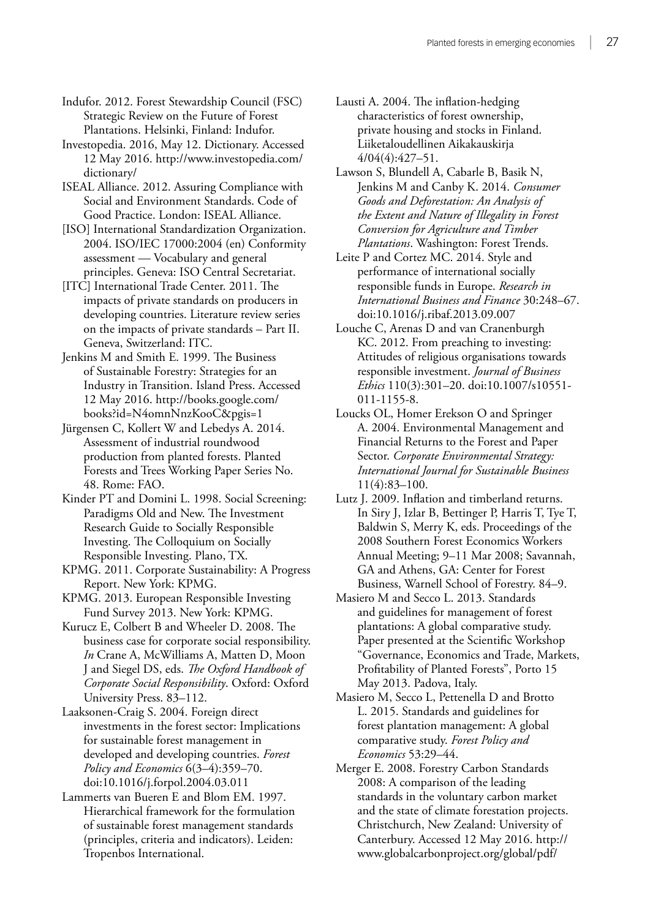Indufor. 2012. Forest Stewardship Council (FSC) Strategic Review on the Future of Forest Plantations. Helsinki, Finland: Indufor.

Investopedia. 2016, May 12. Dictionary. Accessed 12 May 2016. [http://www.investopedia.com/](numbering.xml) [dictionary/](numbering.xml)

ISEAL Alliance. 2012. Assuring Compliance with Social and Environment Standards. Code of Good Practice. London: ISEAL Alliance.

[ISO] International Standardization Organization. 2004. ISO/IEC 17000:2004 (en) Conformity assessment — Vocabulary and general principles. Geneva: ISO Central Secretariat.

[ITC] International Trade Center. 2011. The impacts of private standards on producers in developing countries. Literature review series on the impacts of private standards – Part II. Geneva, Switzerland: ITC.

Jenkins M and Smith E. 1999. The Business of Sustainable Forestry: Strategies for an Industry in Transition. Island Press. Accessed 12 May 2016. http://books.google.com/ books?id=N4omnNnzKooC&pgis=1

Jürgensen C, Kollert W and Lebedys A. 2014. Assessment of industrial roundwood production from planted forests. Planted Forests and Trees Working Paper Series No. 48. Rome: FAO.

Kinder PT and Domini L. 1998. Social Screening: Paradigms Old and New. The Investment Research Guide to Socially Responsible Investing. The Colloquium on Socially Responsible Investing. Plano, TX.

KPMG. 2011. Corporate Sustainability: A Progress Report. New York: KPMG.

KPMG. 2013. European Responsible Investing Fund Survey 2013. New York: KPMG.

Kurucz E, Colbert B and Wheeler D. 2008. The business case for corporate social responsibility. *In* Crane A, McWilliams A, Matten D, Moon J and Siegel DS, eds. *The Oxford Handbook of Corporate Social Responsibility*. Oxford: Oxford University Press. 83–112.

Laaksonen-Craig S. 2004. Foreign direct investments in the forest sector: Implications for sustainable forest management in developed and developing countries. *Forest Policy and Economics* 6(3–4):359–70. doi:10.1016/j.forpol.2004.03.011

Lammerts van Bueren E and Blom EM. 1997. Hierarchical framework for the formulation of sustainable forest management standards (principles, criteria and indicators). Leiden: Tropenbos International.

Lausti A. 2004. The inflation-hedging characteristics of forest ownership, private housing and stocks in Finland. Liiketaloudellinen Aikakauskirja 4/04(4):427–51.

Lawson S, Blundell A, Cabarle B, Basik N, Jenkins M and Canby K. 2014. *Consumer Goods and Deforestation: An Analysis of the Extent and Nature of Illegality in Forest Conversion for Agriculture and Timber Plantations*. Washington: Forest Trends.

Leite P and Cortez MC. 2014. Style and performance of international socially responsible funds in Europe. *Research in International Business and Finance* 30:248–67. doi:10.1016/j.ribaf.2013.09.007

Louche C, Arenas D and van Cranenburgh KC. 2012. From preaching to investing: Attitudes of religious organisations towards responsible investment. *Journal of Business Ethics* 110(3):301–20. doi:10.1007/s10551- 011-1155-8.

Loucks OL, Homer Erekson O and Springer A. 2004. Environmental Management and Financial Returns to the Forest and Paper Sector. *Corporate Environmental Strategy: International Journal for Sustainable Business* 11(4):83–100.

Lutz J. 2009. Inflation and timberland returns. In Siry J, Izlar B, Bettinger P, Harris T, Tye T, Baldwin S, Merry K, eds. Proceedings of the 2008 Southern Forest Economics Workers Annual Meeting; 9–11 Mar 2008; Savannah, GA and Athens, GA: Center for Forest Business, Warnell School of Forestry. 84–9.

Masiero M and Secco L. 2013. Standards and guidelines for management of forest plantations: A global comparative study. Paper presented at the Scientific Workshop "Governance, Economics and Trade, Markets, Profitability of Planted Forests", Porto 15 May 2013. Padova, Italy.

Masiero M, Secco L, Pettenella D and Brotto L. 2015. Standards and guidelines for forest plantation management: A global comparative study. *Forest Policy and Economics* 53:29–44.

Merger E. 2008. Forestry Carbon Standards 2008: A comparison of the leading standards in the voluntary carbon market and the state of climate forestation projects. Christchurch, New Zealand: University of Canterbury. Accessed 12 May 2016. http:// www.globalcarbonproject.org/global/pdf/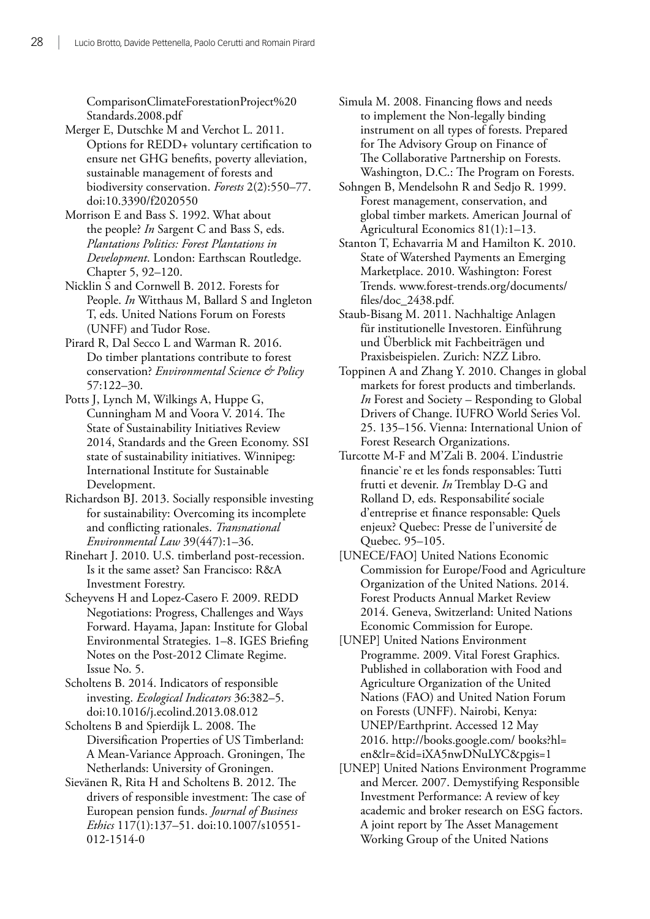ComparisonClimateForestationProject%20 Standards.2008.pdf

- Merger E, Dutschke M and Verchot L. 2011. Options for REDD+ voluntary certification to ensure net GHG benefits, poverty alleviation, sustainable management of forests and biodiversity conservation. *Forests* 2(2):550–77. doi:10.3390/f2020550
- Morrison E and Bass S. 1992. What about the people? *In* Sargent C and Bass S, eds. *Plantations Politics: Forest Plantations in Development*. London: Earthscan Routledge. Chapter 5, 92–120.
- Nicklin S and Cornwell B. 2012. Forests for People. *In* Witthaus M, Ballard S and Ingleton T, eds. United Nations Forum on Forests (UNFF) and Tudor Rose.
- Pirard R, Dal Secco L and Warman R. 2016. Do timber plantations contribute to forest conservation? *Environmental Science & Policy* 57:122–30.
- Potts J, Lynch M, Wilkings A, Huppe G, Cunningham M and Voora V. 2014. The State of Sustainability Initiatives Review 2014, Standards and the Green Economy. SSI state of sustainability initiatives. Winnipeg: International Institute for Sustainable Development.
- Richardson BJ. 2013. Socially responsible investing for sustainability: Overcoming its incomplete and conflicting rationales. *Transnational Environmental Law* 39(447):1–36.
- Rinehart J. 2010. U.S. timberland post-recession. Is it the same asset? San Francisco: R&A Investment Forestry.
- Scheyvens H and Lopez-Casero F. 2009. REDD Negotiations: Progress, Challenges and Ways Forward. Hayama, Japan: Institute for Global Environmental Strategies. 1–8. IGES Briefing Notes on the Post-2012 Climate Regime. Issue No. 5.
- Scholtens B. 2014. Indicators of responsible investing. *Ecological Indicators* 36:382–5. doi:10.1016/j.ecolind.2013.08.012
- Scholtens B and Spierdijk L. 2008. The Diversification Properties of US Timberland: A Mean-Variance Approach. Groningen, The Netherlands: University of Groningen.
- Sievänen R, Rita H and Scholtens B. 2012. The drivers of responsible investment: The case of European pension funds. *Journal of Business Ethics* 117(1):137–51. doi:10.1007/s10551- 012-1514-0
- Simula M. 2008. Financing flows and needs to implement the Non-legally binding instrument on all types of forests. Prepared for The Advisory Group on Finance of The Collaborative Partnership on Forests. Washington, D.C.: The Program on Forests.
- Sohngen B, Mendelsohn R and Sedjo R. 1999. Forest management, conservation, and global timber markets. American Journal of Agricultural Economics 81(1):1–13.
- Stanton T, Echavarria M and Hamilton K. 2010. State of Watershed Payments an Emerging Marketplace. 2010. Washington: Forest Trends. www.forest-trends.org/documents/ files/doc\_2438.pdf.
- Staub-Bisang M. 2011. Nachhaltige Anlagen für institutionelle Investoren. Einführung und Überblick mit Fachbeiträgen und Praxisbeispielen. Zurich: NZZ Libro.
- Toppinen A and Zhang Y. 2010. Changes in global markets for forest products and timberlands. *In* Forest and Society – Responding to Global Drivers of Change. IUFRO World Series Vol. 25. 135–156. Vienna: International Union of Forest Research Organizations.
- Turcotte M-F and M'Zali B. 2004. L'industrie financie`re et les fonds responsables: Tutti frutti et devenir. *In* Tremblay D-G and Rolland D, eds. Responsabilite ́sociale d'entreprise et finance responsable: Quels enjeux? Quebec: Presse de l'universite ́de Quebec. 95–105.
- [UNECE/FAO] United Nations Economic Commission for Europe/Food and Agriculture Organization of the United Nations. 2014. Forest Products Annual Market Review 2014. Geneva, Switzerland: United Nations Economic Commission for Europe.
- [UNEP] United Nations Environment Programme. 2009. Vital Forest Graphics. Published in collaboration with Food and Agriculture Organization of the United Nations (FAO) and United Nation Forum on Forests (UNFF). Nairobi, Kenya: UNEP/Earthprint. Accessed 12 May 2016. http://books.google.com/ books?hl= en&lr=&id=iXA5nwDNuLYC&pgis=1
- [UNEP] United Nations Environment Programme and Mercer. 2007. Demystifying Responsible Investment Performance: A review of key academic and broker research on ESG factors. A joint report by The Asset Management Working Group of the United Nations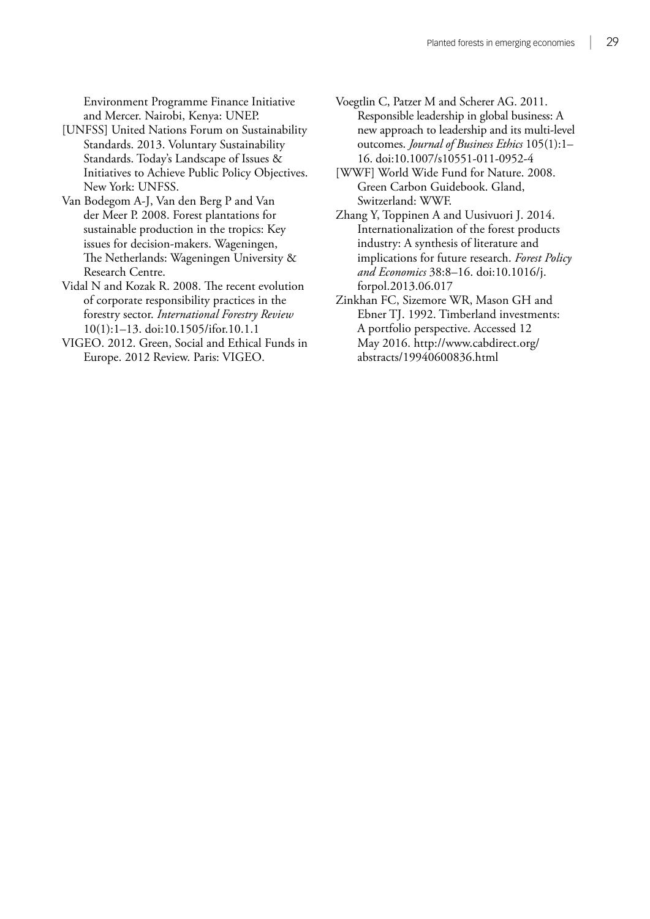Environment Programme Finance Initiative and Mercer. Nairobi, Kenya: UNEP.

- [UNFSS] United Nations Forum on Sustainability Standards. 2013. Voluntary Sustainability Standards. Today's Landscape of Issues & Initiatives to Achieve Public Policy Objectives. New York: UNFSS.
- Van Bodegom A-J, Van den Berg P and Van der Meer P. 2008. Forest plantations for sustainable production in the tropics: Key issues for decision-makers. Wageningen, The Netherlands: Wageningen University & Research Centre.
- Vidal N and Kozak R. 2008. The recent evolution of corporate responsibility practices in the forestry sector. *International Forestry Review* 10(1):1–13. doi:10.1505/ifor.10.1.1
- VIGEO. 2012. Green, Social and Ethical Funds in Europe. 2012 Review. Paris: VIGEO.
- Voegtlin C, Patzer M and Scherer AG. 2011. Responsible leadership in global business: A new approach to leadership and its multi-level outcomes. *Journal of Business Ethics* 105(1):1– 16. doi:10.1007/s10551-011-0952-4
- [WWF] World Wide Fund for Nature. 2008. Green Carbon Guidebook. Gland, Switzerland: WWF.
- Zhang Y, Toppinen A and Uusivuori J. 2014. Internationalization of the forest products industry: A synthesis of literature and implications for future research. *Forest Policy and Economics* 38:8–16. doi:10.1016/j. forpol.2013.06.017
- Zinkhan FC, Sizemore WR, Mason GH and Ebner TJ. 1992. Timberland investments: A portfolio perspective. Accessed 12 May 2016. http://www.cabdirect.org/ abstracts/19940600836.html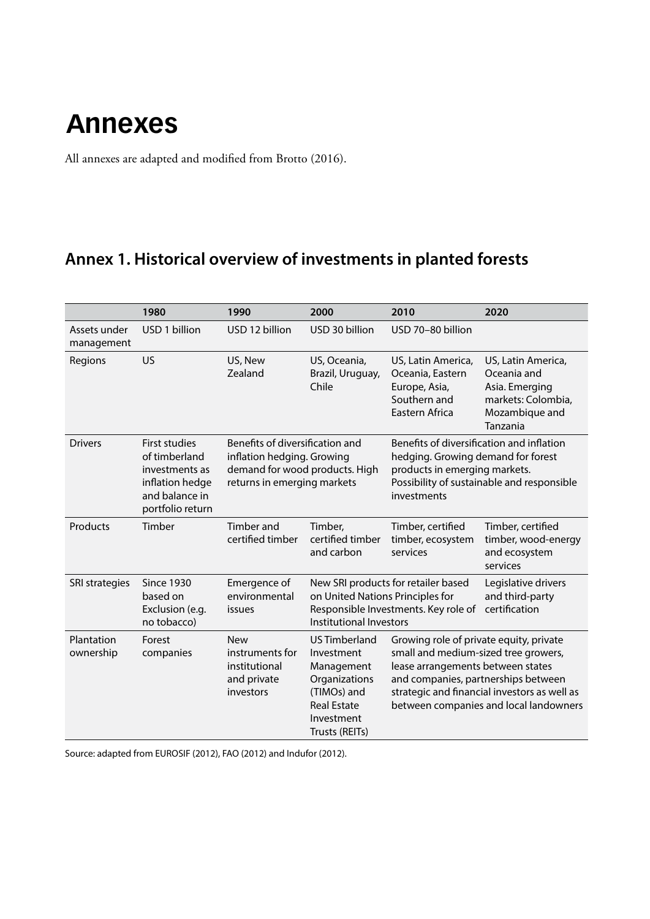## <span id="page-40-0"></span>**Annexes**

All annexes are adapted and modified from Brotto (2016).

### **Annex 1. Historical overview of investments in planted forests**

|                            | 1980                                                                                                             | 1990                                                                                                                           | 2000                                                                                                                                   | 2010                                                                                                                                                        | 2020                                                                                                    |
|----------------------------|------------------------------------------------------------------------------------------------------------------|--------------------------------------------------------------------------------------------------------------------------------|----------------------------------------------------------------------------------------------------------------------------------------|-------------------------------------------------------------------------------------------------------------------------------------------------------------|---------------------------------------------------------------------------------------------------------|
| Assets under<br>management | USD 1 billion                                                                                                    | USD 12 billion                                                                                                                 | USD 30 billion                                                                                                                         | USD 70-80 billion                                                                                                                                           |                                                                                                         |
| Regions                    | US                                                                                                               | US, New<br>Zealand                                                                                                             | US, Oceania,<br>Brazil, Uruguay,<br>Chile                                                                                              | US, Latin America,<br>Oceania, Eastern<br>Europe, Asia,<br>Southern and<br>Eastern Africa                                                                   | US, Latin America,<br>Oceania and<br>Asia. Emerging<br>markets: Colombia,<br>Mozambique and<br>Tanzania |
| <b>Drivers</b>             | <b>First studies</b><br>of timberland<br>investments as<br>inflation hedge<br>and balance in<br>portfolio return | Benefits of diversification and<br>inflation hedging. Growing<br>demand for wood products. High<br>returns in emerging markets |                                                                                                                                        | Benefits of diversification and inflation<br>hedging. Growing demand for forest<br>products in emerging markets.<br>investments                             | Possibility of sustainable and responsible                                                              |
| Products                   | Timber                                                                                                           | Timber and<br>certified timber                                                                                                 | Timber,<br>certified timber<br>and carbon                                                                                              | Timber, certified<br>timber, ecosystem<br>services                                                                                                          | Timber, certified<br>timber, wood-energy<br>and ecosystem<br>services                                   |
| SRI strategies             | <b>Since 1930</b><br>based on<br>Exclusion (e.g.<br>no tobacco)                                                  | Emergence of<br>environmental<br>issues                                                                                        | on United Nations Principles for<br>Institutional Investors                                                                            | New SRI products for retailer based<br>Responsible Investments. Key role of                                                                                 | Legislative drivers<br>and third-party<br>certification                                                 |
| Plantation<br>ownership    | Forest<br>companies                                                                                              | <b>New</b><br>instruments for<br>institutional<br>and private<br>investors                                                     | <b>US Timberland</b><br>Investment<br>Management<br>Organizations<br>(TIMOs) and<br><b>Real Estate</b><br>Investment<br>Trusts (REITs) | Growing role of private equity, private<br>small and medium-sized tree growers,<br>lease arrangements between states<br>and companies, partnerships between | strategic and financial investors as well as<br>between companies and local landowners                  |

Source: adapted from EUROSIF (2012), FAO (2012) and Indufor (2012).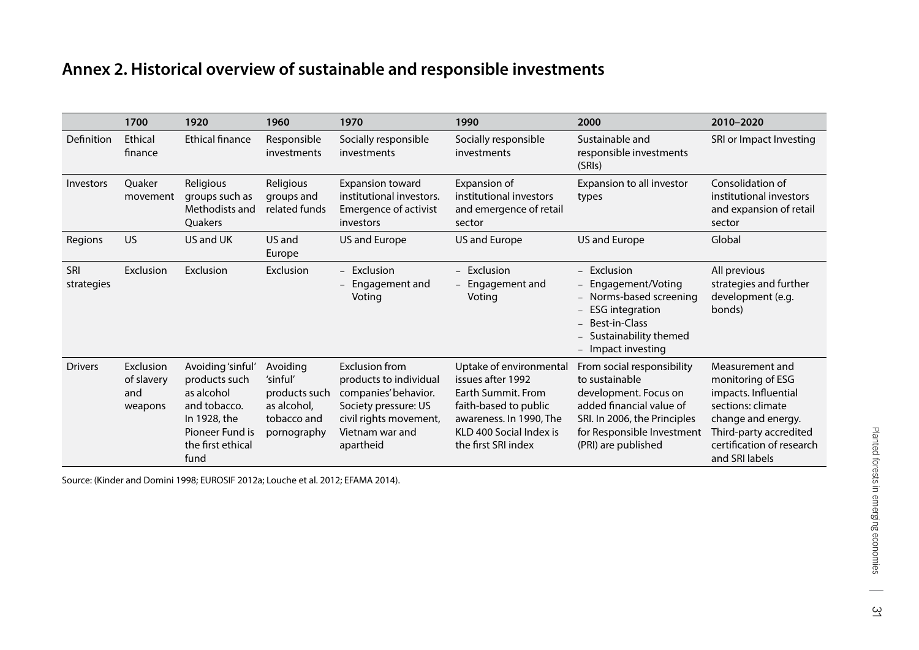### <span id="page-41-0"></span>**Annex 2. Historical overview of sustainable and responsible investments**

|                   | 1700                                      | 1920                                                                                                                             | 1960                                                                               | 1970                                                                                                                                                      | 1990                                                                                                                                                                     | 2000                                                                                                                                                                                   | 2010-2020                                                                                                                                                                        |
|-------------------|-------------------------------------------|----------------------------------------------------------------------------------------------------------------------------------|------------------------------------------------------------------------------------|-----------------------------------------------------------------------------------------------------------------------------------------------------------|--------------------------------------------------------------------------------------------------------------------------------------------------------------------------|----------------------------------------------------------------------------------------------------------------------------------------------------------------------------------------|----------------------------------------------------------------------------------------------------------------------------------------------------------------------------------|
| Definition        | Ethical<br>finance                        | <b>Ethical finance</b>                                                                                                           | Responsible<br>investments                                                         | Socially responsible<br>investments                                                                                                                       | Socially responsible<br>investments                                                                                                                                      | Sustainable and<br>responsible investments<br>(SRIs)                                                                                                                                   | SRI or Impact Investing                                                                                                                                                          |
| Investors         | <b>Ouaker</b><br>movement                 | Religious<br>groups such as<br>Methodists and<br>Quakers                                                                         | Religious<br>groups and<br>related funds                                           | <b>Expansion toward</b><br>institutional investors.<br><b>Emergence of activist</b><br>investors                                                          | Expansion of<br>institutional investors<br>and emergence of retail<br>sector                                                                                             | Expansion to all investor<br>types                                                                                                                                                     | Consolidation of<br>institutional investors<br>and expansion of retail<br>sector                                                                                                 |
| Regions           | <b>US</b>                                 | US and UK                                                                                                                        | US and<br>Europe                                                                   | US and Europe                                                                                                                                             | US and Europe                                                                                                                                                            | US and Europe                                                                                                                                                                          | Global                                                                                                                                                                           |
| SRI<br>strategies | Exclusion                                 | Exclusion                                                                                                                        | Exclusion                                                                          | Exclusion<br>$\overline{a}$<br>Engagement and<br>$\overline{\phantom{0}}$<br>Voting                                                                       | - Exclusion<br>- Engagement and<br>Voting                                                                                                                                | - Exclusion<br>- Engagement/Voting<br>- Norms-based screening<br><b>ESG</b> integration<br>- Best-in-Class<br>- Sustainability themed<br>- Impact investing                            | All previous<br>strategies and further<br>development (e.g.<br>bonds)                                                                                                            |
| <b>Drivers</b>    | Exclusion<br>of slavery<br>and<br>weapons | Avoiding 'sinful'<br>products such<br>as alcohol<br>and tobacco.<br>In 1928, the<br>Pioneer Fund is<br>the first ethical<br>fund | Avoiding<br>'sinful'<br>products such<br>as alcohol,<br>tobacco and<br>pornography | <b>Exclusion from</b><br>products to individual<br>companies' behavior.<br>Society pressure: US<br>civil rights movement,<br>Vietnam war and<br>apartheid | Uptake of environmental<br>issues after 1992<br>Earth Summit, From<br>faith-based to public<br>awareness. In 1990, The<br>KLD 400 Social Index is<br>the first SRI index | From social responsibility<br>to sustainable<br>development. Focus on<br>added financial value of<br>SRI. In 2006, the Principles<br>for Responsible Investment<br>(PRI) are published | Measurement and<br>monitoring of ESG<br>impacts. Influential<br>sections: climate<br>change and energy.<br>Third-party accredited<br>certification of research<br>and SRI labels |

Source: (Kinder and Domini 1998; EUROSIF 2012a; Louche et al. 2012; EFAMA 2014).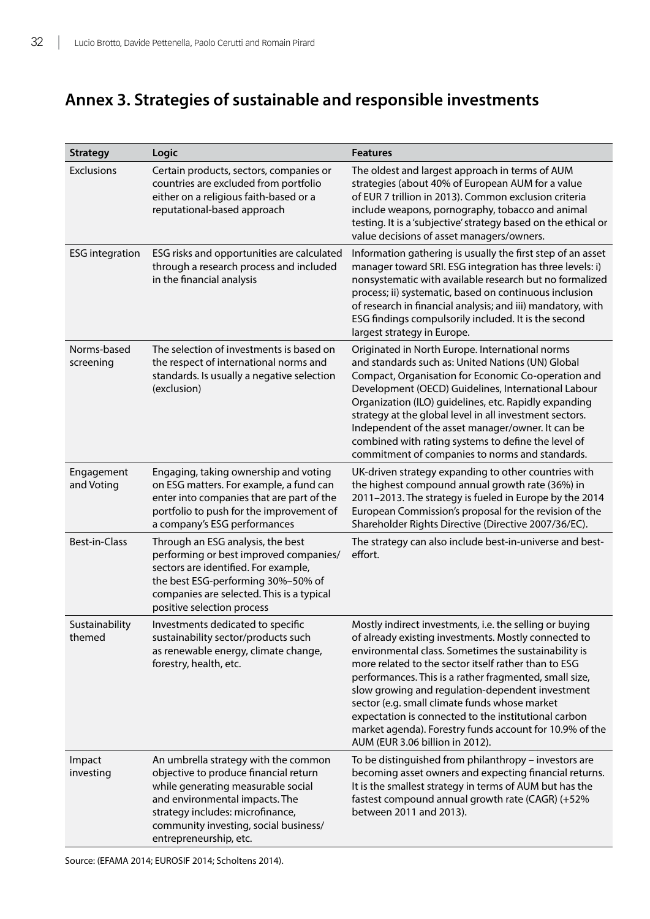### <span id="page-42-0"></span>**Annex 3. Strategies of sustainable and responsible investments**

| <b>Strategy</b>          | Logic                                                                                                                                                                                                                                                        | <b>Features</b>                                                                                                                                                                                                                                                                                                                                                                                                                                                                                                                                      |
|--------------------------|--------------------------------------------------------------------------------------------------------------------------------------------------------------------------------------------------------------------------------------------------------------|------------------------------------------------------------------------------------------------------------------------------------------------------------------------------------------------------------------------------------------------------------------------------------------------------------------------------------------------------------------------------------------------------------------------------------------------------------------------------------------------------------------------------------------------------|
| <b>Exclusions</b>        | Certain products, sectors, companies or<br>countries are excluded from portfolio<br>either on a religious faith-based or a<br>reputational-based approach                                                                                                    | The oldest and largest approach in terms of AUM<br>strategies (about 40% of European AUM for a value<br>of EUR 7 trillion in 2013). Common exclusion criteria<br>include weapons, pornography, tobacco and animal<br>testing. It is a 'subjective' strategy based on the ethical or<br>value decisions of asset managers/owners.                                                                                                                                                                                                                     |
| <b>ESG</b> integration   | ESG risks and opportunities are calculated<br>through a research process and included<br>in the financial analysis                                                                                                                                           | Information gathering is usually the first step of an asset<br>manager toward SRI. ESG integration has three levels: i)<br>nonsystematic with available research but no formalized<br>process; ii) systematic, based on continuous inclusion<br>of research in financial analysis; and iii) mandatory, with<br>ESG findings compulsorily included. It is the second<br>largest strategy in Europe.                                                                                                                                                   |
| Norms-based<br>screening | The selection of investments is based on<br>the respect of international norms and<br>standards. Is usually a negative selection<br>(exclusion)                                                                                                              | Originated in North Europe. International norms<br>and standards such as: United Nations (UN) Global<br>Compact, Organisation for Economic Co-operation and<br>Development (OECD) Guidelines, International Labour<br>Organization (ILO) guidelines, etc. Rapidly expanding<br>strategy at the global level in all investment sectors.<br>Independent of the asset manager/owner. It can be<br>combined with rating systems to define the level of<br>commitment of companies to norms and standards.                                                |
| Engagement<br>and Voting | Engaging, taking ownership and voting<br>on ESG matters. For example, a fund can<br>enter into companies that are part of the<br>portfolio to push for the improvement of<br>a company's ESG performances                                                    | UK-driven strategy expanding to other countries with<br>the highest compound annual growth rate (36%) in<br>2011-2013. The strategy is fueled in Europe by the 2014<br>European Commission's proposal for the revision of the<br>Shareholder Rights Directive (Directive 2007/36/EC).                                                                                                                                                                                                                                                                |
| Best-in-Class            | Through an ESG analysis, the best<br>performing or best improved companies/<br>sectors are identified. For example,<br>the best ESG-performing 30%-50% of<br>companies are selected. This is a typical<br>positive selection process                         | The strategy can also include best-in-universe and best-<br>effort.                                                                                                                                                                                                                                                                                                                                                                                                                                                                                  |
| Sustainability<br>themed | Investments dedicated to specific<br>sustainability sector/products such<br>as renewable energy, climate change,<br>forestry, health, etc.                                                                                                                   | Mostly indirect investments, i.e. the selling or buying<br>of already existing investments. Mostly connected to<br>environmental class. Sometimes the sustainability is<br>more related to the sector itself rather than to ESG<br>performances. This is a rather fragmented, small size,<br>slow growing and regulation-dependent investment<br>sector (e.g. small climate funds whose market<br>expectation is connected to the institutional carbon<br>market agenda). Forestry funds account for 10.9% of the<br>AUM (EUR 3.06 billion in 2012). |
| Impact<br>investing      | An umbrella strategy with the common<br>objective to produce financial return<br>while generating measurable social<br>and environmental impacts. The<br>strategy includes: microfinance,<br>community investing, social business/<br>entrepreneurship, etc. | To be distinguished from philanthropy - investors are<br>becoming asset owners and expecting financial returns.<br>It is the smallest strategy in terms of AUM but has the<br>fastest compound annual growth rate (CAGR) (+52%<br>between 2011 and 2013).                                                                                                                                                                                                                                                                                            |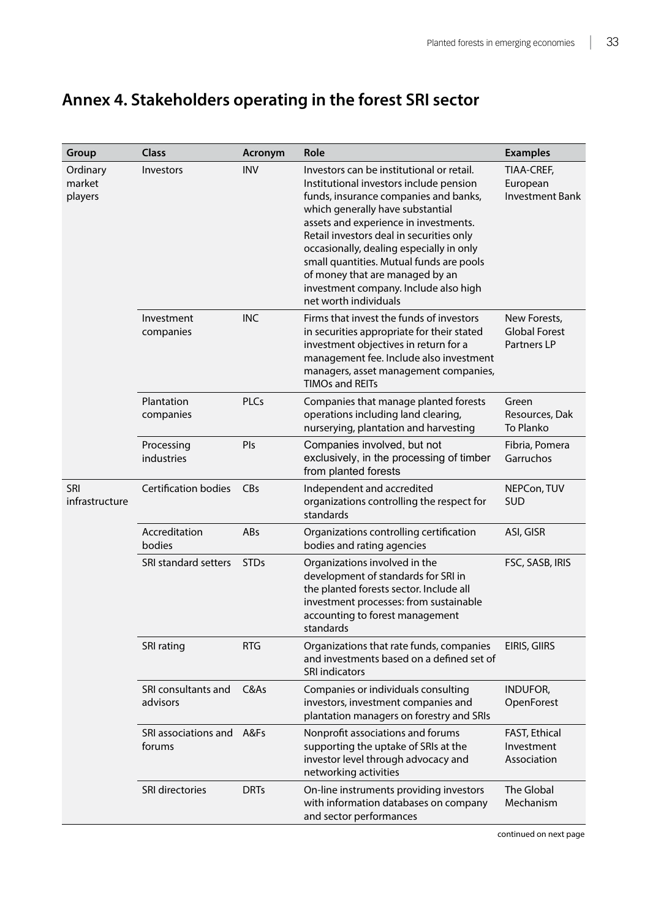### <span id="page-43-0"></span>**Annex 4. Stakeholders operating in the forest SRI sector**

| Group                         | <b>Class</b>                        | Acronym     | Role                                                                                                                                                                                                                                                                                                                                                                                                                                                | <b>Examples</b>                                     |
|-------------------------------|-------------------------------------|-------------|-----------------------------------------------------------------------------------------------------------------------------------------------------------------------------------------------------------------------------------------------------------------------------------------------------------------------------------------------------------------------------------------------------------------------------------------------------|-----------------------------------------------------|
| Ordinary<br>market<br>players | Investors                           | <b>INV</b>  | Investors can be institutional or retail.<br>Institutional investors include pension<br>funds, insurance companies and banks,<br>which generally have substantial<br>assets and experience in investments.<br>Retail investors deal in securities only<br>occasionally, dealing especially in only<br>small quantities. Mutual funds are pools<br>of money that are managed by an<br>investment company. Include also high<br>net worth individuals | TIAA-CREF,<br>European<br><b>Investment Bank</b>    |
|                               | Investment<br>companies             | <b>INC</b>  | Firms that invest the funds of investors<br>in securities appropriate for their stated<br>investment objectives in return for a<br>management fee. Include also investment<br>managers, asset management companies,<br><b>TIMOs and REITs</b>                                                                                                                                                                                                       | New Forests,<br><b>Global Forest</b><br>Partners LP |
|                               | Plantation<br>companies             | <b>PLCs</b> | Companies that manage planted forests<br>operations including land clearing,<br>nurserying, plantation and harvesting                                                                                                                                                                                                                                                                                                                               | Green<br>Resources, Dak<br>To Planko                |
|                               | Processing<br>industries            | Pls         | Companies involved, but not<br>exclusively, in the processing of timber<br>from planted forests                                                                                                                                                                                                                                                                                                                                                     | Fibria, Pomera<br>Garruchos                         |
| SRI<br>infrastructure         | <b>Certification bodies</b>         | <b>CBs</b>  | Independent and accredited<br>organizations controlling the respect for<br>standards                                                                                                                                                                                                                                                                                                                                                                | NEPCon, TUV<br><b>SUD</b>                           |
|                               | Accreditation<br>bodies             | ABs         | Organizations controlling certification<br>bodies and rating agencies                                                                                                                                                                                                                                                                                                                                                                               | ASI, GISR                                           |
|                               | SRI standard setters                | <b>STDs</b> | Organizations involved in the<br>development of standards for SRI in<br>the planted forests sector. Include all<br>investment processes: from sustainable<br>accounting to forest management<br>standards                                                                                                                                                                                                                                           | FSC, SASB, IRIS                                     |
|                               | SRI rating                          | <b>RTG</b>  | Organizations that rate funds, companies<br>and investments based on a defined set of<br><b>SRI indicators</b>                                                                                                                                                                                                                                                                                                                                      | EIRIS, GIIRS                                        |
|                               | SRI consultants and<br>advisors     | C&As        | Companies or individuals consulting<br>investors, investment companies and<br>plantation managers on forestry and SRIs                                                                                                                                                                                                                                                                                                                              | INDUFOR,<br>OpenForest                              |
|                               | SRI associations and A&Fs<br>forums |             | Nonprofit associations and forums<br>supporting the uptake of SRIs at the<br>investor level through advocacy and<br>networking activities                                                                                                                                                                                                                                                                                                           | FAST, Ethical<br>Investment<br>Association          |
|                               | SRI directories                     | <b>DRTs</b> | On-line instruments providing investors<br>with information databases on company<br>and sector performances                                                                                                                                                                                                                                                                                                                                         | The Global<br>Mechanism                             |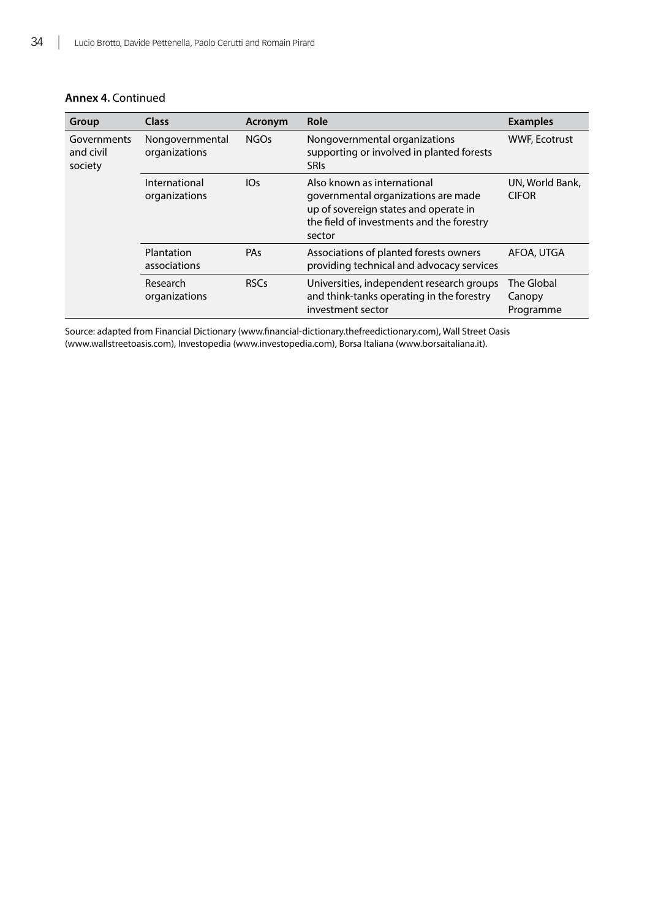| Group                               | <b>Class</b>                     | Acronym     | Role                                                                                                                                                               | <b>Examples</b>                   |
|-------------------------------------|----------------------------------|-------------|--------------------------------------------------------------------------------------------------------------------------------------------------------------------|-----------------------------------|
| Governments<br>and civil<br>society | Nongovernmental<br>organizations | <b>NGOs</b> | Nongovernmental organizations<br>supporting or involved in planted forests<br><b>SRIS</b>                                                                          | <b>WWF, Ecotrust</b>              |
|                                     | International<br>organizations   | 10s         | Also known as international<br>governmental organizations are made<br>up of sovereign states and operate in<br>the field of investments and the forestry<br>sector | UN, World Bank,<br><b>CIFOR</b>   |
|                                     | Plantation<br>associations       | PAs         | Associations of planted forests owners<br>providing technical and advocacy services                                                                                | AFOA, UTGA                        |
|                                     | Research<br>organizations        | <b>RSCs</b> | Universities, independent research groups<br>and think-tanks operating in the forestry<br>investment sector                                                        | The Global<br>Canopy<br>Programme |

Source: adapted from Financial Dictionary ([www.financial-dictionary.thefreedictionary.com\)](http://www.financial-dictionary.thefreedictionary.com), Wall Street Oasis [\(www.wallstreetoasis.com\)](http://www.wallstreetoasis.com), Investopedia [\(www.investopedia.com](http://www.investopedia.com)), Borsa Italiana [\(www.borsaitaliana.it](http://www.borsaitaliana.it)).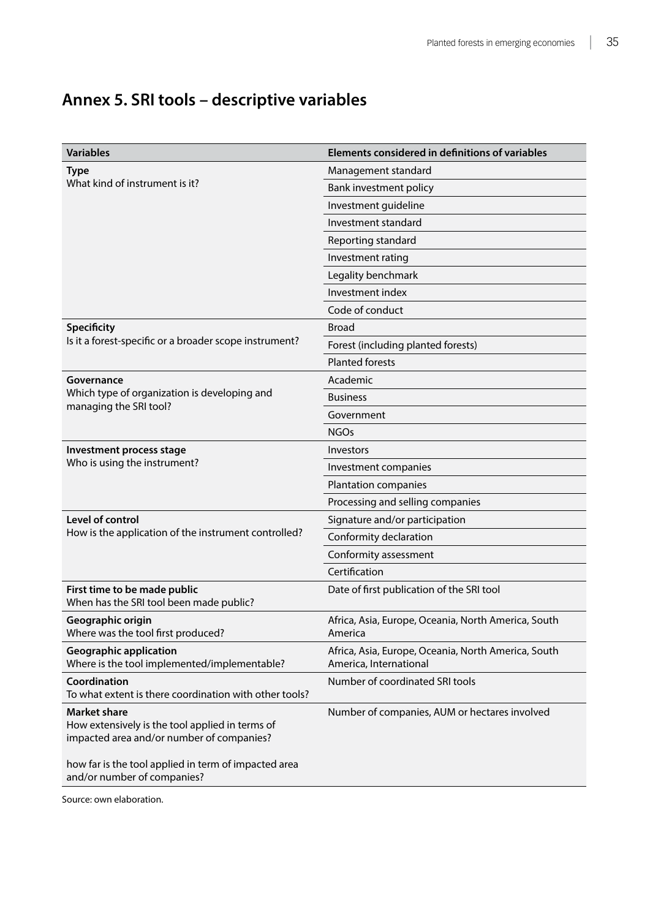<span id="page-45-0"></span>

| <b>Variables</b>                                                                                                    | Elements considered in definitions of variables                               |  |
|---------------------------------------------------------------------------------------------------------------------|-------------------------------------------------------------------------------|--|
| <b>Type</b>                                                                                                         | Management standard                                                           |  |
| What kind of instrument is it?                                                                                      | <b>Bank investment policy</b>                                                 |  |
|                                                                                                                     | Investment guideline                                                          |  |
|                                                                                                                     | Investment standard                                                           |  |
|                                                                                                                     | Reporting standard                                                            |  |
|                                                                                                                     | Investment rating                                                             |  |
|                                                                                                                     | Legality benchmark                                                            |  |
|                                                                                                                     | Investment index                                                              |  |
|                                                                                                                     | Code of conduct                                                               |  |
| <b>Specificity</b>                                                                                                  | <b>Broad</b>                                                                  |  |
| Is it a forest-specific or a broader scope instrument?                                                              | Forest (including planted forests)                                            |  |
|                                                                                                                     | <b>Planted forests</b>                                                        |  |
| Governance                                                                                                          | Academic                                                                      |  |
| Which type of organization is developing and<br>managing the SRI tool?                                              | <b>Business</b>                                                               |  |
|                                                                                                                     | Government                                                                    |  |
|                                                                                                                     | <b>NGOs</b>                                                                   |  |
| Investment process stage                                                                                            | Investors                                                                     |  |
| Who is using the instrument?                                                                                        | Investment companies                                                          |  |
|                                                                                                                     | Plantation companies                                                          |  |
|                                                                                                                     | Processing and selling companies                                              |  |
| Level of control                                                                                                    | Signature and/or participation                                                |  |
| How is the application of the instrument controlled?                                                                | Conformity declaration                                                        |  |
|                                                                                                                     | Conformity assessment                                                         |  |
|                                                                                                                     | Certification                                                                 |  |
| First time to be made public<br>When has the SRI tool been made public?                                             | Date of first publication of the SRI tool                                     |  |
| Geographic origin<br>Where was the tool first produced?                                                             | Africa, Asia, Europe, Oceania, North America, South<br>America                |  |
| <b>Geographic application</b><br>Where is the tool implemented/implementable?                                       | Africa, Asia, Europe, Oceania, North America, South<br>America, International |  |
| Coordination<br>To what extent is there coordination with other tools?                                              | Number of coordinated SRI tools                                               |  |
| <b>Market share</b><br>How extensively is the tool applied in terms of<br>impacted area and/or number of companies? | Number of companies, AUM or hectares involved                                 |  |
| how far is the tool applied in term of impacted area<br>and/or number of companies?                                 |                                                                               |  |

Source: own elaboration.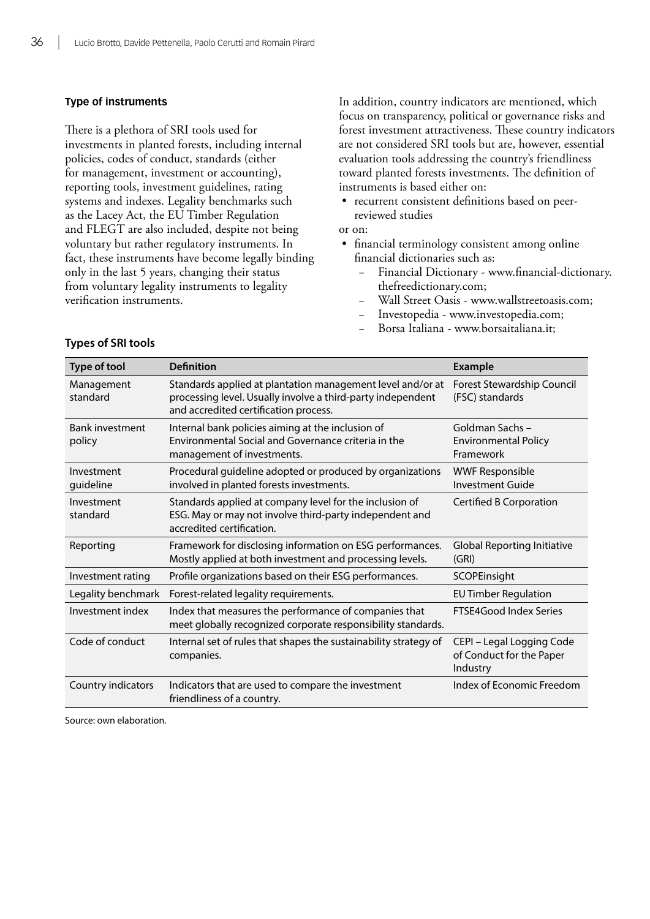#### **Type of instruments**

There is a plethora of SRI tools used for investments in planted forests, including internal policies, codes of conduct, standards (either for management, investment or accounting), reporting tools, investment guidelines, rating systems and indexes. Legality benchmarks such as the Lacey Act, the EU Timber Regulation and FLEGT are also included, despite not being voluntary but rather regulatory instruments. In fact, these instruments have become legally binding only in the last 5 years, changing their status from voluntary legality instruments to legality verification instruments.

In addition, country indicators are mentioned, which focus on transparency, political or governance risks and forest investment attractiveness. These country indicators are not considered SRI tools but are, however, essential evaluation tools addressing the country's friendliness toward planted forests investments. The definition of instruments is based either on:

- recurrent consistent definitions based on peerreviewed studies
- or on:
- financial terminology consistent among online financial dictionaries such as:
	- Financial Dictionary - [www.financial-dictionary.](http://www.financial-dictionary.thefreedictionary.com) [thefreedictionary.com;](http://www.financial-dictionary.thefreedictionary.com)
	- − Wall Street Oasis - [www.wallstreetoasis.com](http://www.wallstreetoasis.com);
	- − Investopedia [www.investopedia.com;](http://www.investopedia.com)
	- − Borsa Italiana - [www.borsaitaliana.it](http://www.borsaitaliana.it);

| Type of tool                     | <b>Definition</b>                                                                                                                                                  | <b>Example</b>                                                    |
|----------------------------------|--------------------------------------------------------------------------------------------------------------------------------------------------------------------|-------------------------------------------------------------------|
| Management<br>standard           | Standards applied at plantation management level and/or at<br>processing level. Usually involve a third-party independent<br>and accredited certification process. | Forest Stewardship Council<br>(FSC) standards                     |
| <b>Bank investment</b><br>policy | Internal bank policies aiming at the inclusion of<br>Environmental Social and Governance criteria in the<br>management of investments.                             | Goldman Sachs-<br><b>Environmental Policy</b><br>Framework        |
| Investment<br>guideline          | Procedural guideline adopted or produced by organizations<br>involved in planted forests investments.                                                              | <b>WWF Responsible</b><br>Investment Guide                        |
| Investment<br>standard           | Standards applied at company level for the inclusion of<br>ESG. May or may not involve third-party independent and<br>accredited certification.                    | Certified B Corporation                                           |
| Reporting                        | Framework for disclosing information on ESG performances.<br>Mostly applied at both investment and processing levels.                                              | <b>Global Reporting Initiative</b><br>(GRI)                       |
| Investment rating                | Profile organizations based on their ESG performances.                                                                                                             | SCOPEinsight                                                      |
| Legality benchmark               | Forest-related legality requirements.                                                                                                                              | <b>EU Timber Regulation</b>                                       |
| Investment index                 | Index that measures the performance of companies that<br>meet globally recognized corporate responsibility standards.                                              | <b>FTSE4Good Index Series</b>                                     |
| Code of conduct                  | Internal set of rules that shapes the sustainability strategy of<br>companies.                                                                                     | CEPI - Legal Logging Code<br>of Conduct for the Paper<br>Industry |
| Country indicators               | Indicators that are used to compare the investment<br>friendliness of a country.                                                                                   | Index of Economic Freedom                                         |

#### **Types of SRI tools**

Source: own elaboration.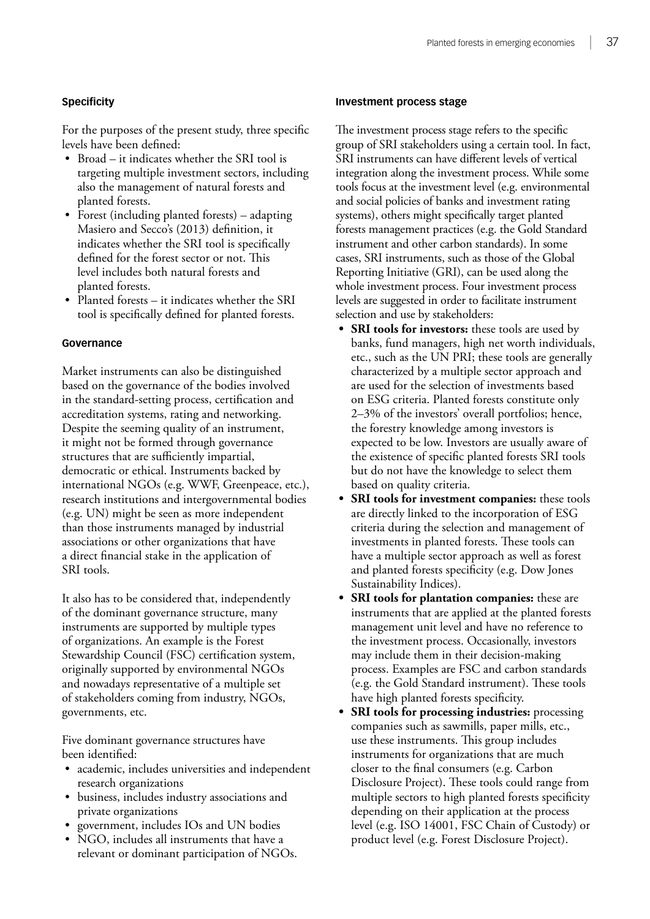#### **Specificity**

For the purposes of the present study, three specific levels have been defined:

- • Broad it indicates whether the SRI tool is targeting multiple investment sectors, including also the management of natural forests and planted forests.
- Forest (including planted forests) adapting Masiero and Secco's (2013) definition, it indicates whether the SRI tool is specifically defined for the forest sector or not. This level includes both natural forests and planted forests.
- Planted forests it indicates whether the SRI tool is specifically defined for planted forests.

#### **Governance**

Market instruments can also be distinguished based on the governance of the bodies involved in the standard-setting process, certification and accreditation systems, rating and networking. Despite the seeming quality of an instrument, it might not be formed through governance structures that are sufficiently impartial, democratic or ethical. Instruments backed by international NGOs (e.g. WWF, Greenpeace, etc.), research institutions and intergovernmental bodies (e.g. UN) might be seen as more independent than those instruments managed by industrial associations or other organizations that have a direct financial stake in the application of SRI tools.

It also has to be considered that, independently of the dominant governance structure, many instruments are supported by multiple types of organizations. An example is the Forest Stewardship Council (FSC) certification system, originally supported by environmental NGOs and nowadays representative of a multiple set of stakeholders coming from industry, NGOs, governments, etc.

Five dominant governance structures have been identified:

- • academic, includes universities and independent research organizations
- • business, includes industry associations and private organizations
- government, includes IOs and UN bodies
- NGO, includes all instruments that have a relevant or dominant participation of NGOs.

#### **Investment process stage**

The investment process stage refers to the specific group of SRI stakeholders using a certain tool. In fact, SRI instruments can have different levels of vertical integration along the investment process. While some tools focus at the investment level (e.g. environmental and social policies of banks and investment rating systems), others might specifically target planted forests management practices (e.g. the Gold Standard instrument and other carbon standards). In some cases, SRI instruments, such as those of the Global Reporting Initiative (GRI), can be used along the whole investment process. Four investment process levels are suggested in order to facilitate instrument selection and use by stakeholders:

- **• SRI tools for investors:** these tools are used by banks, fund managers, high net worth individuals, etc., such as the UN PRI; these tools are generally characterized by a multiple sector approach and are used for the selection of investments based on ESG criteria. Planted forests constitute only 2–3% of the investors' overall portfolios; hence, the forestry knowledge among investors is expected to be low. Investors are usually aware of the existence of specific planted forests SRI tools but do not have the knowledge to select them based on quality criteria.
- **• SRI tools for investment companies:** these tools are directly linked to the incorporation of ESG criteria during the selection and management of investments in planted forests. These tools can have a multiple sector approach as well as forest and planted forests specificity (e.g. Dow Jones Sustainability Indices).
- **• SRI tools for plantation companies:** these are instruments that are applied at the planted forests management unit level and have no reference to the investment process. Occasionally, investors may include them in their decision-making process. Examples are FSC and carbon standards (e.g. the Gold Standard instrument). These tools have high planted forests specificity.
- **• SRI tools for processing industries:** processing companies such as sawmills, paper mills, etc., use these instruments. This group includes instruments for organizations that are much closer to the final consumers (e.g. Carbon Disclosure Project). These tools could range from multiple sectors to high planted forests specificity depending on their application at the process level (e.g. ISO 14001, FSC Chain of Custody) or product level (e.g. Forest Disclosure Project).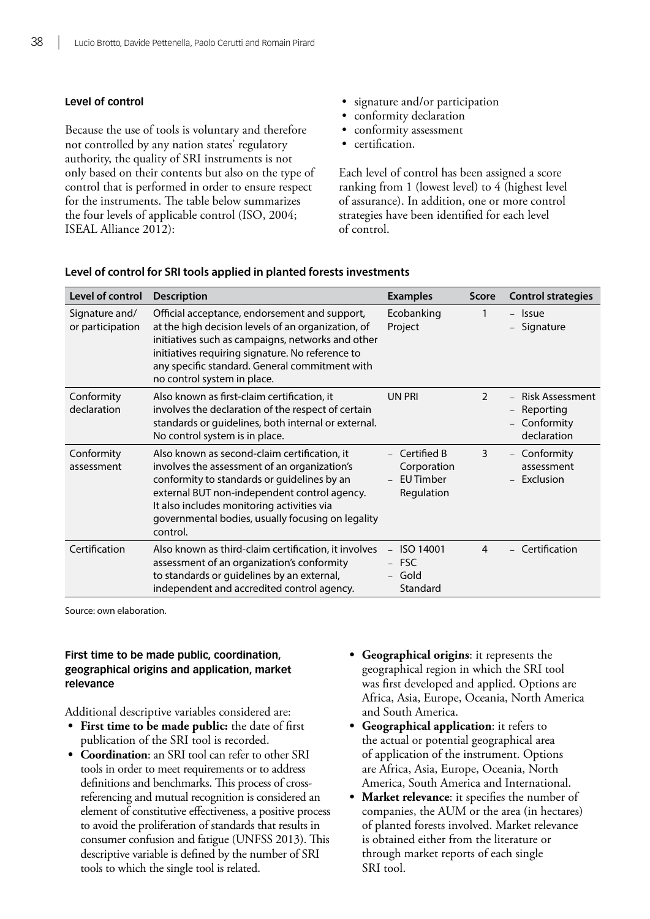#### **Level of control**

Because the use of tools is voluntary and therefore not controlled by any nation states' regulatory authority, the quality of SRI instruments is not only based on their contents but also on the type of control that is performed in order to ensure respect for the instruments. The table below summarizes the four levels of applicable control (ISO, 2004; ISEAL Alliance 2012):

- signature and/or participation
- conformity declaration
- • conformity assessment
- certification.

Each level of control has been assigned a score ranking from 1 (lowest level) to 4 (highest level of assurance). In addition, one or more control strategies have been identified for each level of control.

| Level of control                   | <b>Description</b>                                                                                                                                                                                                                                                                                         | <b>Examples</b>                                              | <b>Score</b>  | <b>Control strategies</b>                                        |
|------------------------------------|------------------------------------------------------------------------------------------------------------------------------------------------------------------------------------------------------------------------------------------------------------------------------------------------------------|--------------------------------------------------------------|---------------|------------------------------------------------------------------|
| Signature and/<br>or participation | Official acceptance, endorsement and support,<br>at the high decision levels of an organization, of<br>initiatives such as campaigns, networks and other<br>initiatives requiring signature. No reference to<br>any specific standard. General commitment with<br>no control system in place.              | Ecobanking<br>Project                                        | 1             | - Issue<br>- Signature                                           |
| Conformity<br>declaration          | Also known as first-claim certification, it<br>involves the declaration of the respect of certain<br>standards or guidelines, both internal or external.<br>No control system is in place.                                                                                                                 | UN PRI                                                       | $\mathcal{P}$ | <b>Risk Assessment</b><br>Reporting<br>Conformity<br>declaration |
| Conformity<br>assessment           | Also known as second-claim certification, it<br>involves the assessment of an organization's<br>conformity to standards or guidelines by an<br>external BUT non-independent control agency.<br>It also includes monitoring activities via<br>governmental bodies, usually focusing on legality<br>control. | Certified B<br>Corporation<br><b>EU Timber</b><br>Regulation | 3             | Conformity<br>assessment<br>Exclusion                            |
| Certification                      | Also known as third-claim certification, it involves<br>assessment of an organization's conformity<br>to standards or guidelines by an external,<br>independent and accredited control agency.                                                                                                             | ISO 14001<br><b>FSC</b><br>Gold<br>$\equiv$<br>Standard      | 4             | - Certification                                                  |

#### **Level of control for SRI tools applied in planted forests investments**

Source: own elaboration.

#### **First time to be made public, coordination, geographical origins and application, market relevance**

Additional descriptive variables considered are:

- **• First time to be made public:** the date of first publication of the SRI tool is recorded.
- **• Coordination**: an SRI tool can refer to other SRI tools in order to meet requirements or to address definitions and benchmarks. This process of crossreferencing and mutual recognition is considered an element of constitutive effectiveness, a positive process to avoid the proliferation of standards that results in consumer confusion and fatigue (UNFSS 2013). This descriptive variable is defined by the number of SRI tools to which the single tool is related.
- **• Geographical origins**: it represents the geographical region in which the SRI tool was first developed and applied. Options are Africa, Asia, Europe, Oceania, North America and South America.
- **• Geographical application**: it refers to the actual or potential geographical area of application of the instrument. Options are Africa, Asia, Europe, Oceania, North America, South America and International.
- **• Market relevance**: it specifies the number of companies, the AUM or the area (in hectares) of planted forests involved. Market relevance is obtained either from the literature or through market reports of each single SRI tool.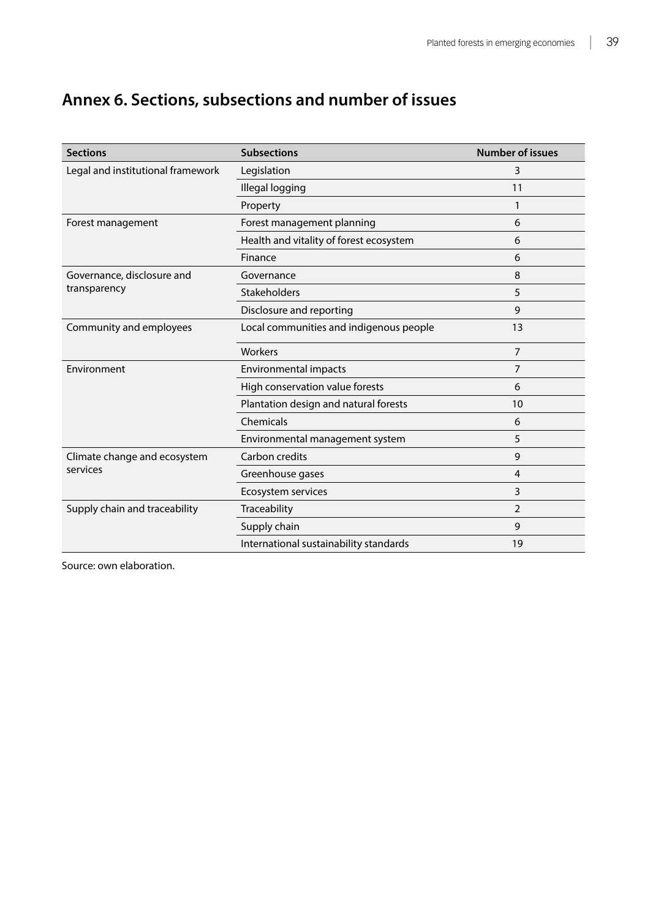### <span id="page-49-0"></span>**Annex 6. Sections, subsections and number of issues**

| <b>Sections</b>                   | <b>Subsections</b>                      | <b>Number of issues</b> |
|-----------------------------------|-----------------------------------------|-------------------------|
| Legal and institutional framework | Legislation                             | 3                       |
|                                   | Illegal logging                         | 11                      |
|                                   | Property                                |                         |
| Forest management                 | Forest management planning              | 6                       |
|                                   | Health and vitality of forest ecosystem | 6                       |
|                                   | Finance                                 | 6                       |
| Governance, disclosure and        | Governance                              | 8                       |
| transparency                      | Stakeholders                            | 5                       |
|                                   | Disclosure and reporting                | 9                       |
| Community and employees           | Local communities and indigenous people | 13                      |
|                                   | Workers                                 | $\overline{7}$          |
| Environment                       | Environmental impacts                   | $\overline{7}$          |
|                                   | High conservation value forests         | 6                       |
|                                   | Plantation design and natural forests   | 10                      |
|                                   | Chemicals                               | 6                       |
|                                   | Environmental management system         | 5                       |
| Climate change and ecosystem      | Carbon credits                          | 9                       |
| services                          | Greenhouse gases                        | 4                       |
|                                   | Ecosystem services                      | 3                       |
| Supply chain and traceability     | Traceability                            | 2                       |
|                                   | Supply chain                            | 9                       |
|                                   | International sustainability standards  | 19                      |

Source: own elaboration.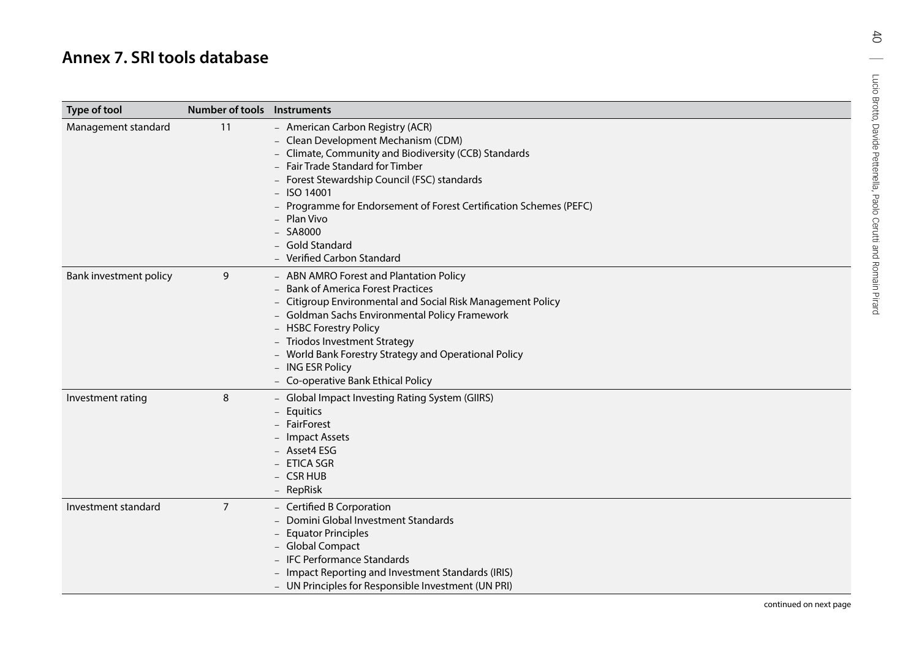<span id="page-50-0"></span>

| Type of tool           | <b>Number of tools Instruments</b> |                                                                                                                                                                                                                                                                                                                                                                                           |  |
|------------------------|------------------------------------|-------------------------------------------------------------------------------------------------------------------------------------------------------------------------------------------------------------------------------------------------------------------------------------------------------------------------------------------------------------------------------------------|--|
| Management standard    | 11                                 | - American Carbon Registry (ACR)<br>- Clean Development Mechanism (CDM)<br>- Climate, Community and Biodiversity (CCB) Standards<br>- Fair Trade Standard for Timber<br>- Forest Stewardship Council (FSC) standards<br>$-$ ISO 14001<br>- Programme for Endorsement of Forest Certification Schemes (PEFC)<br>- Plan Vivo<br>$-$ SA8000<br>- Gold Standard<br>- Verified Carbon Standard |  |
| Bank investment policy | 9                                  | - ABN AMRO Forest and Plantation Policy<br>- Bank of America Forest Practices<br>- Citigroup Environmental and Social Risk Management Policy<br>- Goldman Sachs Environmental Policy Framework<br>- HSBC Forestry Policy<br>- Triodos Investment Strategy<br>- World Bank Forestry Strategy and Operational Policy<br>- ING ESR Policy<br>- Co-operative Bank Ethical Policy              |  |
| Investment rating      | 8                                  | - Global Impact Investing Rating System (GIIRS)<br>- Equitics<br>- FairForest<br>- Impact Assets<br>- Asset4 ESG<br>- ETICA SGR<br>- CSR HUB<br>- RepRisk                                                                                                                                                                                                                                 |  |
| Investment standard    | $\overline{7}$                     | - Certified B Corporation<br>- Domini Global Investment Standards<br>- Equator Principles<br>- Global Compact<br>- IFC Performance Standards<br>- Impact Reporting and Investment Standards (IRIS)<br>- UN Principles for Responsible Investment (UN PRI)                                                                                                                                 |  |

 $\sigma$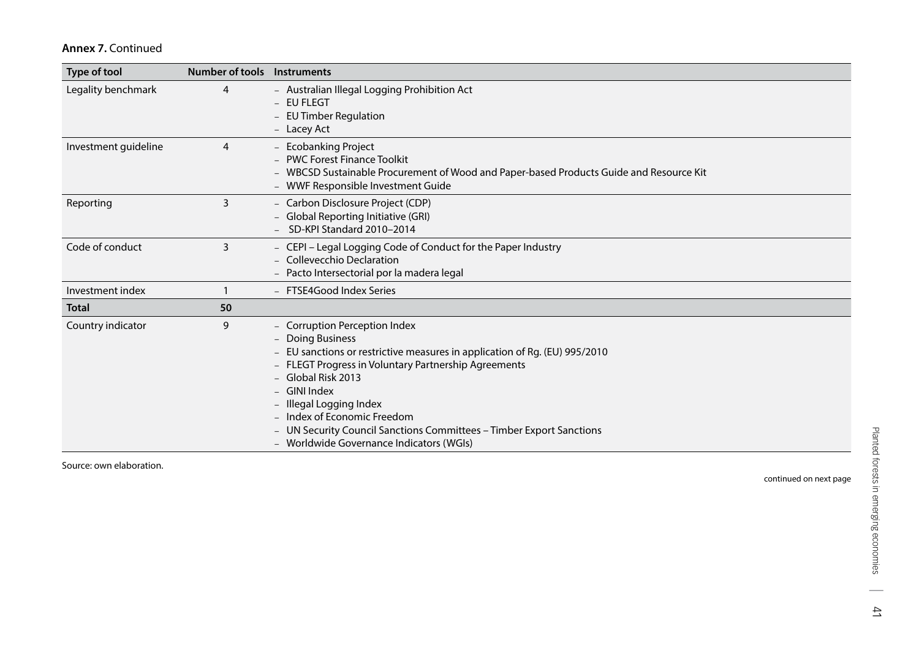| Type of tool         | Number of tools Instruments |                                                                                                                                                                                                                                                                                                                                                                                                         |
|----------------------|-----------------------------|---------------------------------------------------------------------------------------------------------------------------------------------------------------------------------------------------------------------------------------------------------------------------------------------------------------------------------------------------------------------------------------------------------|
| Legality benchmark   | 4                           | - Australian Illegal Logging Prohibition Act<br>- EU FLEGT<br>- EU Timber Regulation<br>- Lacey Act                                                                                                                                                                                                                                                                                                     |
| Investment guideline | 4                           | - Ecobanking Project<br><b>PWC Forest Finance Toolkit</b><br>- WBCSD Sustainable Procurement of Wood and Paper-based Products Guide and Resource Kit<br>- WWF Responsible Investment Guide                                                                                                                                                                                                              |
| Reporting            | 3                           | - Carbon Disclosure Project (CDP)<br><b>Global Reporting Initiative (GRI)</b><br>- SD-KPI Standard 2010-2014                                                                                                                                                                                                                                                                                            |
| Code of conduct      | 3                           | - CEPI - Legal Logging Code of Conduct for the Paper Industry<br>Collevecchio Declaration<br>- Pacto Intersectorial por la madera legal                                                                                                                                                                                                                                                                 |
| Investment index     |                             | - FTSE4Good Index Series                                                                                                                                                                                                                                                                                                                                                                                |
| <b>Total</b>         | 50                          |                                                                                                                                                                                                                                                                                                                                                                                                         |
| Country indicator    | 9                           | - Corruption Perception Index<br>- Doing Business<br>EU sanctions or restrictive measures in application of Rg. (EU) 995/2010<br>- FLEGT Progress in Voluntary Partnership Agreements<br>- Global Risk 2013<br>- GINI Index<br>- Illegal Logging Index<br>- Index of Economic Freedom<br>UN Security Council Sanctions Committees - Timber Export Sanctions<br>- Worldwide Governance Indicators (WGIs) |

Source: own elaboration.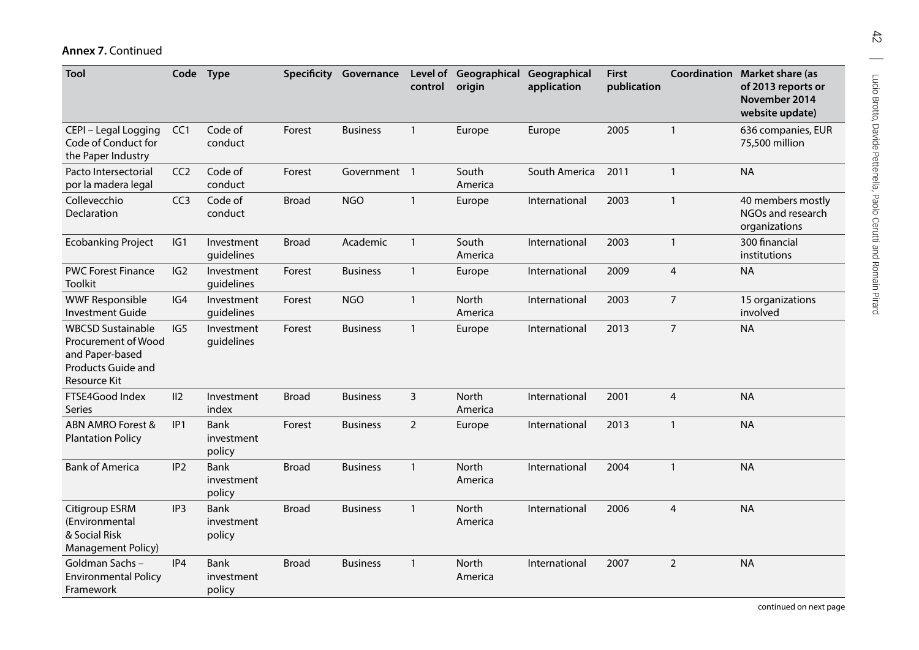| Tool                                                                                                     |                 | Code Type                           |              | Specificity Governance | control        | Level of Geographical<br>origin | Geographical<br>application | <b>First</b><br>publication |                | <b>Coordination Market share (as</b><br>of 2013 reports or<br>November 2014<br>website update) |
|----------------------------------------------------------------------------------------------------------|-----------------|-------------------------------------|--------------|------------------------|----------------|---------------------------------|-----------------------------|-----------------------------|----------------|------------------------------------------------------------------------------------------------|
| CEPI - Legal Logging<br>Code of Conduct for<br>the Paper Industry                                        | CC <sub>1</sub> | Code of<br>conduct                  | Forest       | <b>Business</b>        | $\mathbf{1}$   | Europe                          | Europe                      | 2005                        | $\mathbf{1}$   | 636 companies, EUR<br>75,500 million                                                           |
| Pacto Intersectorial<br>por la madera legal                                                              | CC <sub>2</sub> | Code of<br>conduct                  | Forest       | Government 1           |                | South<br>America                | South America               | 2011                        | $\mathbf{1}$   | <b>NA</b>                                                                                      |
| Collevecchio<br>Declaration                                                                              | CC <sub>3</sub> | Code of<br>conduct                  | <b>Broad</b> | <b>NGO</b>             | $\mathbf{1}$   | Europe                          | International               | 2003                        | $\mathbf{1}$   | 40 members mostly<br>NGOs and research<br>organizations                                        |
| <b>Ecobanking Project</b>                                                                                | IG1             | Investment<br>guidelines            | <b>Broad</b> | Academic               | $\mathbf{1}$   | South<br>America                | International               | 2003                        | $\mathbf{1}$   | 300 financial<br>institutions                                                                  |
| <b>PWC Forest Finance</b><br><b>Toolkit</b>                                                              | IG2             | Investment<br>guidelines            | Forest       | <b>Business</b>        | $\mathbf{1}$   | Europe                          | International               | 2009                        | $\overline{4}$ | <b>NA</b>                                                                                      |
| <b>WWF Responsible</b><br><b>Investment Guide</b>                                                        | IG4             | Investment<br>guidelines            | Forest       | <b>NGO</b>             | $\mathbf{1}$   | North<br>America                | International               | 2003                        | $\overline{7}$ | 15 organizations<br>involved                                                                   |
| <b>WBCSD Sustainable</b><br>Procurement of Wood<br>and Paper-based<br>Products Guide and<br>Resource Kit | IG5             | Investment<br>guidelines            | Forest       | <b>Business</b>        | $\mathbf{1}$   | Europe                          | International               | 2013                        | $\overline{7}$ | <b>NA</b>                                                                                      |
| FTSE4Good Index<br><b>Series</b>                                                                         | II2             | Investment<br>index                 | <b>Broad</b> | <b>Business</b>        | 3              | North<br>America                | International               | 2001                        | $\overline{4}$ | <b>NA</b>                                                                                      |
| <b>ABN AMRO Forest &amp;</b><br><b>Plantation Policy</b>                                                 | IP <sub>1</sub> | Bank<br>investment<br>policy        | Forest       | <b>Business</b>        | $\overline{2}$ | Europe                          | International               | 2013                        | $\mathbf{1}$   | <b>NA</b>                                                                                      |
| <b>Bank of America</b>                                                                                   | IP <sub>2</sub> | <b>Bank</b><br>investment<br>policy | <b>Broad</b> | <b>Business</b>        | $\mathbf{1}$   | North<br>America                | International               | 2004                        | $\mathbf{1}$   | <b>NA</b>                                                                                      |
| Citigroup ESRM<br>(Environmental<br>& Social Risk<br>Management Policy)                                  | IP <sub>3</sub> | <b>Bank</b><br>investment<br>policy | <b>Broad</b> | <b>Business</b>        | $\mathbf{1}$   | North<br>America                | International               | 2006                        | $\overline{4}$ | <b>NA</b>                                                                                      |
| Goldman Sachs-<br><b>Environmental Policy</b><br>Framework                                               | IP4             | <b>Bank</b><br>investment<br>policy | <b>Broad</b> | <b>Business</b>        | $\mathbf{1}$   | <b>North</b><br>America         | International               | 2007                        | $\overline{2}$ | <b>NA</b>                                                                                      |

 $42\,$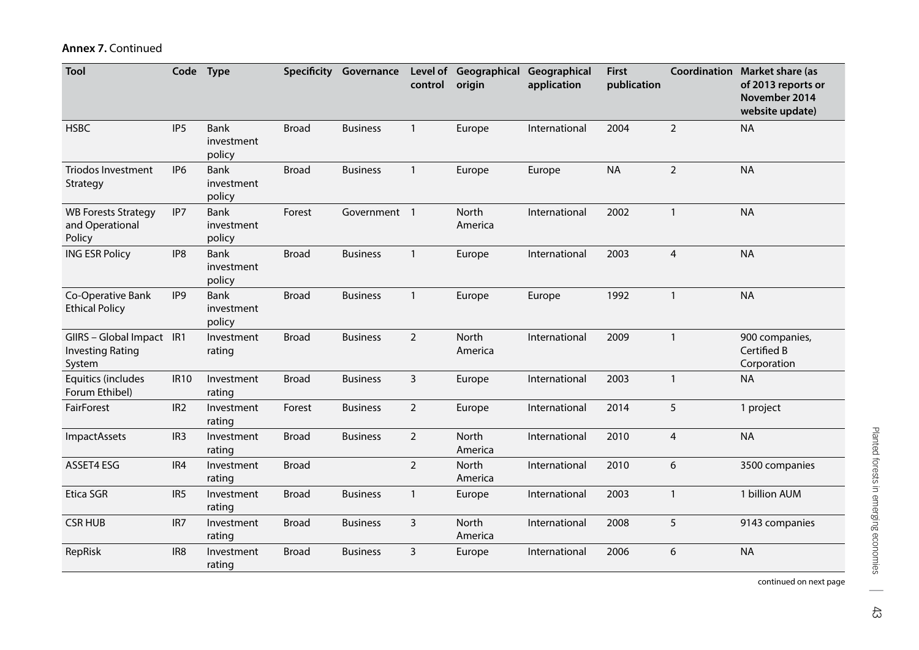| Tool                                                           |                 | Code Type                           |              | <b>Specificity Governance</b> | control        | Level of Geographical Geographical<br>origin | application   | <b>First</b><br>publication |                         | Coordination Market share (as<br>of 2013 reports or<br>November 2014<br>website update) |
|----------------------------------------------------------------|-----------------|-------------------------------------|--------------|-------------------------------|----------------|----------------------------------------------|---------------|-----------------------------|-------------------------|-----------------------------------------------------------------------------------------|
| <b>HSBC</b>                                                    | IP <sub>5</sub> | Bank<br>investment<br>policy        | <b>Broad</b> | <b>Business</b>               | $\mathbf{1}$   | Europe                                       | International | 2004                        | $\overline{2}$          | <b>NA</b>                                                                               |
| <b>Triodos Investment</b><br>Strategy                          | IP <sub>6</sub> | <b>Bank</b><br>investment<br>policy | <b>Broad</b> | <b>Business</b>               | $\mathbf{1}$   | Europe                                       | Europe        | <b>NA</b>                   | $\overline{2}$          | <b>NA</b>                                                                               |
| <b>WB Forests Strategy</b><br>and Operational<br>Policy        | IP7             | <b>Bank</b><br>investment<br>policy | Forest       | Government 1                  |                | North<br>America                             | International | 2002                        | $\mathbf{1}$            | <b>NA</b>                                                                               |
| <b>ING ESR Policy</b>                                          | IP8             | <b>Bank</b><br>investment<br>policy | <b>Broad</b> | <b>Business</b>               | $\mathbf{1}$   | Europe                                       | International | 2003                        | $\overline{4}$          | <b>NA</b>                                                                               |
| Co-Operative Bank<br><b>Ethical Policy</b>                     | IP <sub>9</sub> | <b>Bank</b><br>investment<br>policy | <b>Broad</b> | <b>Business</b>               | $\mathbf{1}$   | Europe                                       | Europe        | 1992                        | $\mathbf{1}$            | <b>NA</b>                                                                               |
| GIIRS - Global Impact IR1<br><b>Investing Rating</b><br>System |                 | Investment<br>rating                | <b>Broad</b> | <b>Business</b>               | $\overline{2}$ | North<br>America                             | International | 2009                        | $\mathbf{1}$            | 900 companies,<br>Certified B<br>Corporation                                            |
| Equitics (includes<br>Forum Ethibel)                           | <b>IR10</b>     | Investment<br>rating                | <b>Broad</b> | <b>Business</b>               | 3              | Europe                                       | International | 2003                        | $\mathbf{1}$            | <b>NA</b>                                                                               |
| FairForest                                                     | IR <sub>2</sub> | Investment<br>rating                | Forest       | <b>Business</b>               | $\overline{2}$ | Europe                                       | International | 2014                        | 5                       | 1 project                                                                               |
| <b>ImpactAssets</b>                                            | IR <sub>3</sub> | Investment<br>rating                | <b>Broad</b> | <b>Business</b>               | $\overline{2}$ | North<br>America                             | International | 2010                        | $\overline{\mathbf{4}}$ | <b>NA</b>                                                                               |
| ASSET4 ESG                                                     | IR4             | Investment<br>rating                | <b>Broad</b> |                               | $\overline{2}$ | North<br>America                             | International | 2010                        | 6                       | 3500 companies                                                                          |
| Etica SGR                                                      | IR <sub>5</sub> | Investment<br>rating                | <b>Broad</b> | <b>Business</b>               | $\mathbf{1}$   | Europe                                       | International | 2003                        | $\mathbf{1}$            | 1 billion AUM                                                                           |
| <b>CSR HUB</b>                                                 | IR7             | Investment<br>rating                | <b>Broad</b> | <b>Business</b>               | 3              | North<br>America                             | International | 2008                        | 5                       | 9143 companies                                                                          |
| RepRisk                                                        | IR <sub>8</sub> | Investment<br>rating                | <b>Broad</b> | <b>Business</b>               | 3              | Europe                                       | International | 2006                        | 6                       | <b>NA</b>                                                                               |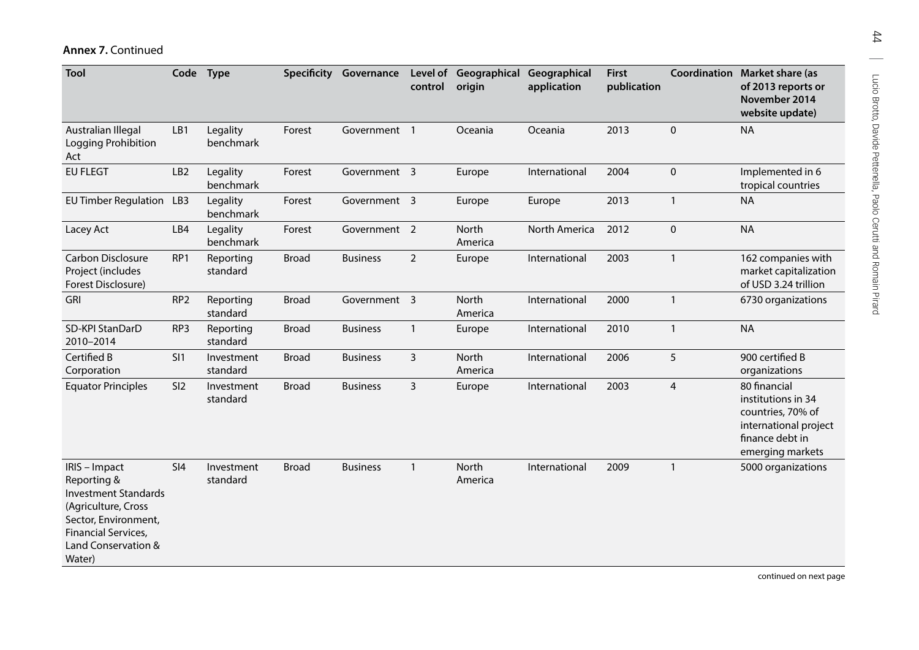| Tool                                                                                                                                                               | Code            | <b>Type</b>            |              | Specificity Governance | control        | Level of Geographical Geographical<br>origin | application   | <b>First</b><br>publication |                | <b>Coordination Market share (as</b><br>of 2013 reports or<br>November 2014<br>website update)                          |
|--------------------------------------------------------------------------------------------------------------------------------------------------------------------|-----------------|------------------------|--------------|------------------------|----------------|----------------------------------------------|---------------|-----------------------------|----------------|-------------------------------------------------------------------------------------------------------------------------|
| Australian Illegal<br>Logging Prohibition<br>Act                                                                                                                   | LB1             | Legality<br>benchmark  | Forest       | Government 1           |                | Oceania                                      | Oceania       | 2013                        | $\mathbf 0$    | <b>NA</b>                                                                                                               |
| <b>EU FLEGT</b>                                                                                                                                                    | LB <sub>2</sub> | Legality<br>benchmark  | Forest       | Government 3           |                | Europe                                       | International | 2004                        | $\mathbf 0$    | Implemented in 6<br>tropical countries                                                                                  |
| EU Timber Regulation LB3                                                                                                                                           |                 | Legality<br>benchmark  | Forest       | Government 3           |                | Europe                                       | Europe        | 2013                        | $\mathbf{1}$   | <b>NA</b>                                                                                                               |
| Lacey Act                                                                                                                                                          | LB4             | Legality<br>benchmark  | Forest       | Government 2           |                | North<br>America                             | North America | 2012                        | $\pmb{0}$      | <b>NA</b>                                                                                                               |
| <b>Carbon Disclosure</b><br>Project (includes<br>Forest Disclosure)                                                                                                | RP1             | Reporting<br>standard  | <b>Broad</b> | <b>Business</b>        | $\overline{2}$ | Europe                                       | International | 2003                        | $\mathbf{1}$   | 162 companies with<br>market capitalization<br>of USD 3.24 trillion                                                     |
| <b>GRI</b>                                                                                                                                                         | RP <sub>2</sub> | Reporting<br>standard  | <b>Broad</b> | Government 3           |                | North<br>America                             | International | 2000                        | $\mathbf{1}$   | 6730 organizations                                                                                                      |
| SD-KPI StanDarD<br>2010-2014                                                                                                                                       | RP3             | Reporting<br>standard  | <b>Broad</b> | <b>Business</b>        | $\mathbf{1}$   | Europe                                       | International | 2010                        | $\mathbf{1}$   | <b>NA</b>                                                                                                               |
| Certified B<br>Corporation                                                                                                                                         | SI <sub>1</sub> | Investment<br>standard | <b>Broad</b> | <b>Business</b>        | 3              | North<br>America                             | International | 2006                        | 5              | 900 certified B<br>organizations                                                                                        |
| <b>Equator Principles</b>                                                                                                                                          | SI <sub>2</sub> | Investment<br>standard | <b>Broad</b> | <b>Business</b>        | $\mathbf{3}$   | Europe                                       | International | 2003                        | $\overline{4}$ | 80 financial<br>institutions in 34<br>countries, 70% of<br>international project<br>finance debt in<br>emerging markets |
| IRIS - Impact<br>Reporting &<br><b>Investment Standards</b><br>(Agriculture, Cross<br>Sector, Environment,<br>Financial Services,<br>Land Conservation &<br>Water) | SI4             | Investment<br>standard | <b>Broad</b> | <b>Business</b>        | $\mathbf{1}$   | North<br>America                             | International | 2009                        | $\mathbf{1}$   | 5000 organizations                                                                                                      |

44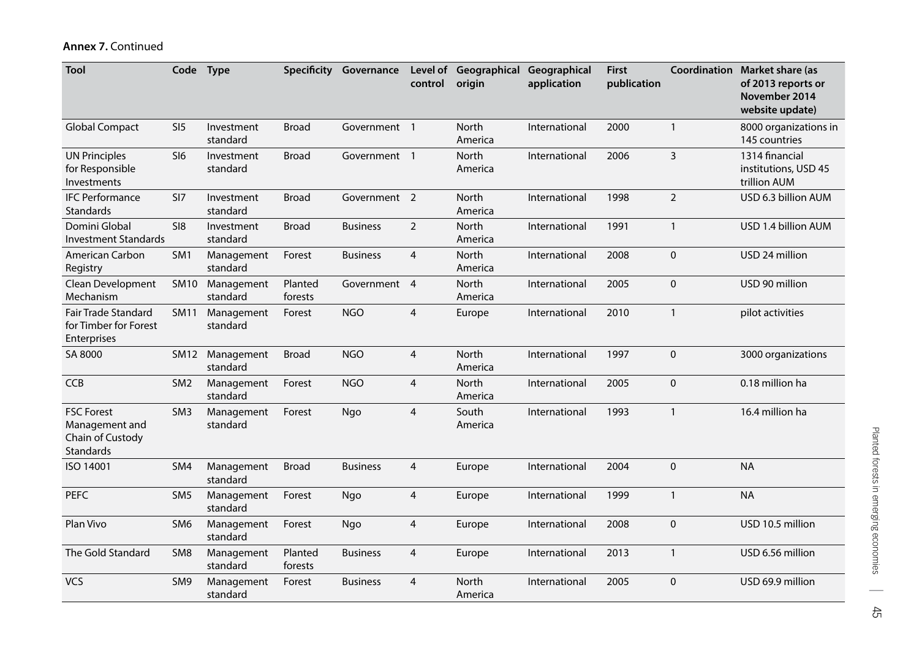| <b>Tool</b>                                                                 | Code Type       |                        |                    | <b>Specificity Governance</b> | control                  | Level of Geographical Geographical<br>origin | application   | <b>First</b><br>publication |                | <b>Coordination Market share (as</b><br>of 2013 reports or<br>November 2014<br>website update) |
|-----------------------------------------------------------------------------|-----------------|------------------------|--------------------|-------------------------------|--------------------------|----------------------------------------------|---------------|-----------------------------|----------------|------------------------------------------------------------------------------------------------|
| <b>Global Compact</b>                                                       | SI <sub>5</sub> | Investment<br>standard | <b>Broad</b>       | Government 1                  |                          | North<br>America                             | International | 2000                        | $\mathbf{1}$   | 8000 organizations in<br>145 countries                                                         |
| <b>UN Principles</b><br>for Responsible<br>Investments                      | SI6             | Investment<br>standard | <b>Broad</b>       | Government 1                  |                          | North<br>America                             | International | 2006                        | $\overline{3}$ | 1314 financial<br>institutions, USD 45<br>trillion AUM                                         |
| <b>IFC Performance</b><br>Standards                                         | SI <sub>7</sub> | Investment<br>standard | <b>Broad</b>       | Government 2                  |                          | North<br>America                             | International | 1998                        | $\overline{2}$ | USD 6.3 billion AUM                                                                            |
| Domini Global<br><b>Investment Standards</b>                                | S18             | Investment<br>standard | <b>Broad</b>       | <b>Business</b>               | $\overline{2}$           | North<br>America                             | International | 1991                        | $\mathbf{1}$   | USD 1.4 billion AUM                                                                            |
| American Carbon<br>Registry                                                 | SM <sub>1</sub> | Management<br>standard | Forest             | <b>Business</b>               | $\overline{4}$           | North<br>America                             | International | 2008                        | $\mathbf 0$    | USD 24 million                                                                                 |
| Clean Development<br>Mechanism                                              | <b>SM10</b>     | Management<br>standard | Planted<br>forests | Government                    | $\overline{4}$           | North<br>America                             | International | 2005                        | $\pmb{0}$      | USD 90 million                                                                                 |
| Fair Trade Standard<br>for Timber for Forest<br><b>Enterprises</b>          | <b>SM11</b>     | Management<br>standard | Forest             | <b>NGO</b>                    | 4                        | Europe                                       | International | 2010                        | $\mathbf{1}$   | pilot activities                                                                               |
| SA 8000                                                                     | SM12            | Management<br>standard | <b>Broad</b>       | <b>NGO</b>                    | 4                        | North<br>America                             | International | 1997                        | $\pmb{0}$      | 3000 organizations                                                                             |
| <b>CCB</b>                                                                  | SM <sub>2</sub> | Management<br>standard | Forest             | <b>NGO</b>                    | $\overline{\mathbf{4}}$  | North<br>America                             | International | 2005                        | $\pmb{0}$      | 0.18 million ha                                                                                |
| <b>FSC Forest</b><br>Management and<br>Chain of Custody<br><b>Standards</b> | SM <sub>3</sub> | Management<br>standard | Forest             | Ngo                           | $\overline{\mathbf{4}}$  | South<br>America                             | International | 1993                        | $\mathbf{1}$   | 16.4 million ha                                                                                |
| ISO 14001                                                                   | SM4             | Management<br>standard | <b>Broad</b>       | <b>Business</b>               | 4                        | Europe                                       | International | 2004                        | $\pmb{0}$      | <b>NA</b>                                                                                      |
| <b>PEFC</b>                                                                 | SM <sub>5</sub> | Management<br>standard | Forest             | Ngo                           | 4                        | Europe                                       | International | 1999                        | $\mathbf{1}$   | <b>NA</b>                                                                                      |
| Plan Vivo                                                                   | SM <sub>6</sub> | Management<br>standard | Forest             | Ngo                           | 4                        | Europe                                       | International | 2008                        | $\pmb{0}$      | USD 10.5 million                                                                               |
| The Gold Standard                                                           | SM <sub>8</sub> | Management<br>standard | Planted<br>forests | <b>Business</b>               | 4                        | Europe                                       | International | 2013                        | $\mathbf{1}$   | USD 6.56 million                                                                               |
| <b>VCS</b>                                                                  | SM9             | Management<br>standard | Forest             | <b>Business</b>               | $\overline{\mathcal{A}}$ | North<br>America                             | International | 2005                        | $\pmb{0}$      | USD 69.9 million                                                                               |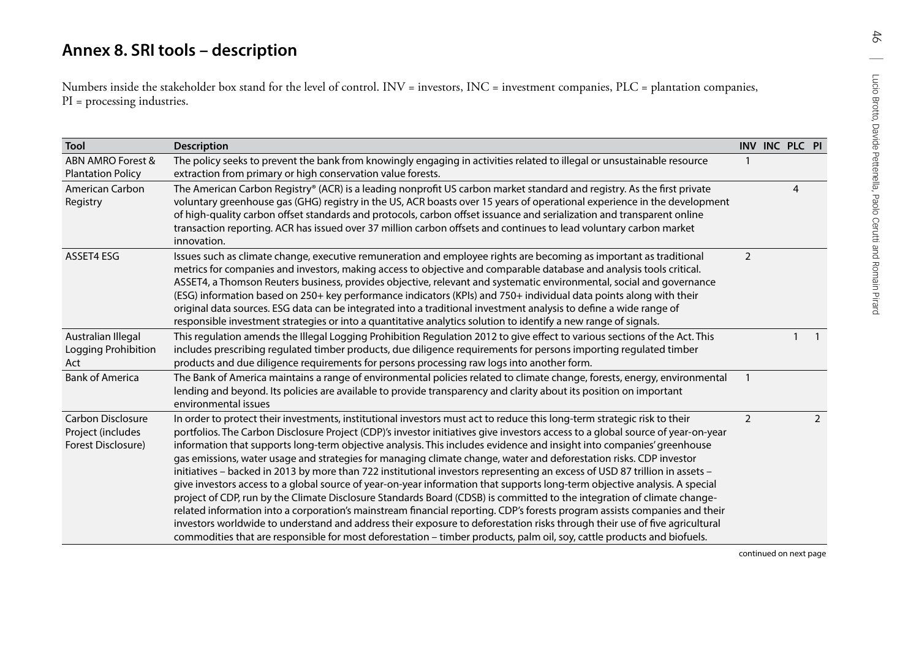<span id="page-56-0"></span>

| Tool                                                         | <b>Description</b>                                                                                                                                                                                                                                                                                                                                                                                                                                                                                                                                                                                                                                                                                                                                                                                                                                                                                                                                                                                                                                                                                                                                                                                                                                                                        |                | INV INC PLC PI |                |
|--------------------------------------------------------------|-------------------------------------------------------------------------------------------------------------------------------------------------------------------------------------------------------------------------------------------------------------------------------------------------------------------------------------------------------------------------------------------------------------------------------------------------------------------------------------------------------------------------------------------------------------------------------------------------------------------------------------------------------------------------------------------------------------------------------------------------------------------------------------------------------------------------------------------------------------------------------------------------------------------------------------------------------------------------------------------------------------------------------------------------------------------------------------------------------------------------------------------------------------------------------------------------------------------------------------------------------------------------------------------|----------------|----------------|----------------|
| ABN AMRO Forest &<br><b>Plantation Policy</b>                | The policy seeks to prevent the bank from knowingly engaging in activities related to illegal or unsustainable resource<br>extraction from primary or high conservation value forests.                                                                                                                                                                                                                                                                                                                                                                                                                                                                                                                                                                                                                                                                                                                                                                                                                                                                                                                                                                                                                                                                                                    | $\overline{1}$ |                |                |
| American Carbon<br>Registry                                  | The American Carbon Registry® (ACR) is a leading nonprofit US carbon market standard and registry. As the first private<br>voluntary greenhouse gas (GHG) registry in the US, ACR boasts over 15 years of operational experience in the development<br>of high-quality carbon offset standards and protocols, carbon offset issuance and serialization and transparent online<br>transaction reporting. ACR has issued over 37 million carbon offsets and continues to lead voluntary carbon market<br>innovation.                                                                                                                                                                                                                                                                                                                                                                                                                                                                                                                                                                                                                                                                                                                                                                        |                | 4              |                |
| ASSET4 ESG                                                   | Issues such as climate change, executive remuneration and employee rights are becoming as important as traditional<br>metrics for companies and investors, making access to objective and comparable database and analysis tools critical.<br>ASSET4, a Thomson Reuters business, provides objective, relevant and systematic environmental, social and governance<br>(ESG) information based on 250+ key performance indicators (KPIs) and 750+ individual data points along with their<br>original data sources. ESG data can be integrated into a traditional investment analysis to define a wide range of<br>responsible investment strategies or into a quantitative analytics solution to identify a new range of signals.                                                                                                                                                                                                                                                                                                                                                                                                                                                                                                                                                         | $\overline{2}$ |                |                |
| Australian Illegal<br>Logging Prohibition<br>Act             | This regulation amends the Illegal Logging Prohibition Regulation 2012 to give effect to various sections of the Act. This<br>includes prescribing regulated timber products, due diligence requirements for persons importing regulated timber<br>products and due diligence requirements for persons processing raw logs into another form.                                                                                                                                                                                                                                                                                                                                                                                                                                                                                                                                                                                                                                                                                                                                                                                                                                                                                                                                             |                | $\mathbf{1}$   | $\mathbf{1}$   |
| <b>Bank of America</b>                                       | The Bank of America maintains a range of environmental policies related to climate change, forests, energy, environmental<br>lending and beyond. Its policies are available to provide transparency and clarity about its position on important<br>environmental issues                                                                                                                                                                                                                                                                                                                                                                                                                                                                                                                                                                                                                                                                                                                                                                                                                                                                                                                                                                                                                   | $\overline{1}$ |                |                |
| Carbon Disclosure<br>Project (includes<br>Forest Disclosure) | In order to protect their investments, institutional investors must act to reduce this long-term strategic risk to their<br>portfolios. The Carbon Disclosure Project (CDP)'s investor initiatives give investors access to a global source of year-on-year<br>information that supports long-term objective analysis. This includes evidence and insight into companies' greenhouse<br>gas emissions, water usage and strategies for managing climate change, water and deforestation risks. CDP investor<br>initiatives - backed in 2013 by more than 722 institutional investors representing an excess of USD 87 trillion in assets -<br>give investors access to a global source of year-on-year information that supports long-term objective analysis. A special<br>project of CDP, run by the Climate Disclosure Standards Board (CDSB) is committed to the integration of climate change-<br>related information into a corporation's mainstream financial reporting. CDP's forests program assists companies and their<br>investors worldwide to understand and address their exposure to deforestation risks through their use of five agricultural<br>commodities that are responsible for most deforestation - timber products, palm oil, soy, cattle products and biofuels. | $\overline{2}$ |                | $\overline{2}$ |

46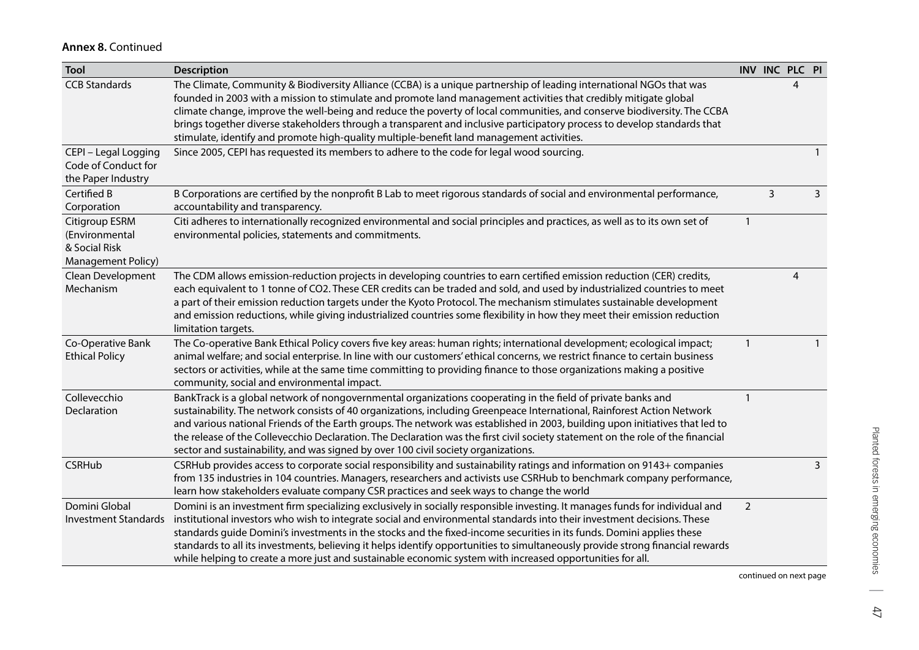| <b>Tool</b>                                                                    | <b>Description</b>                                                                                                                                                                                                                                                                                                                                                                                                                                                                                                                                                                                                              |                |              | INV INC PLC PI |              |
|--------------------------------------------------------------------------------|---------------------------------------------------------------------------------------------------------------------------------------------------------------------------------------------------------------------------------------------------------------------------------------------------------------------------------------------------------------------------------------------------------------------------------------------------------------------------------------------------------------------------------------------------------------------------------------------------------------------------------|----------------|--------------|----------------|--------------|
| <b>CCB Standards</b>                                                           | The Climate, Community & Biodiversity Alliance (CCBA) is a unique partnership of leading international NGOs that was<br>founded in 2003 with a mission to stimulate and promote land management activities that credibly mitigate global<br>climate change, improve the well-being and reduce the poverty of local communities, and conserve biodiversity. The CCBA<br>brings together diverse stakeholders through a transparent and inclusive participatory process to develop standards that<br>stimulate, identify and promote high-quality multiple-benefit land management activities.                                    |                |              | 4              |              |
| CEPI - Legal Logging<br>Code of Conduct for<br>the Paper Industry              | Since 2005, CEPI has requested its members to adhere to the code for legal wood sourcing.                                                                                                                                                                                                                                                                                                                                                                                                                                                                                                                                       |                |              |                |              |
| Certified B<br>Corporation                                                     | B Corporations are certified by the nonprofit B Lab to meet rigorous standards of social and environmental performance,<br>accountability and transparency.                                                                                                                                                                                                                                                                                                                                                                                                                                                                     |                | $\mathsf{3}$ |                | 3            |
| Citigroup ESRM<br>(Environmental<br>& Social Risk<br><b>Management Policy)</b> | Citi adheres to internationally recognized environmental and social principles and practices, as well as to its own set of<br>environmental policies, statements and commitments.                                                                                                                                                                                                                                                                                                                                                                                                                                               | $\mathbf{1}$   |              |                |              |
| Clean Development<br>Mechanism                                                 | The CDM allows emission-reduction projects in developing countries to earn certified emission reduction (CER) credits,<br>each equivalent to 1 tonne of CO2. These CER credits can be traded and sold, and used by industrialized countries to meet<br>a part of their emission reduction targets under the Kyoto Protocol. The mechanism stimulates sustainable development<br>and emission reductions, while giving industrialized countries some flexibility in how they meet their emission reduction<br>limitation targets.                                                                                                |                |              | 4              |              |
| Co-Operative Bank<br><b>Ethical Policy</b>                                     | The Co-operative Bank Ethical Policy covers five key areas: human rights; international development; ecological impact;<br>animal welfare; and social enterprise. In line with our customers' ethical concerns, we restrict finance to certain business<br>sectors or activities, while at the same time committing to providing finance to those organizations making a positive<br>community, social and environmental impact.                                                                                                                                                                                                | $\mathbf{1}$   |              |                | $\mathbf{1}$ |
| Collevecchio<br>Declaration                                                    | BankTrack is a global network of nongovernmental organizations cooperating in the field of private banks and<br>sustainability. The network consists of 40 organizations, including Greenpeace International, Rainforest Action Network<br>and various national Friends of the Earth groups. The network was established in 2003, building upon initiatives that led to<br>the release of the Collevecchio Declaration. The Declaration was the first civil society statement on the role of the financial<br>sector and sustainability, and was signed by over 100 civil society organizations.                                | $\mathbf{1}$   |              |                |              |
| <b>CSRHub</b>                                                                  | CSRHub provides access to corporate social responsibility and sustainability ratings and information on 9143+ companies<br>from 135 industries in 104 countries. Managers, researchers and activists use CSRHub to benchmark company performance,<br>learn how stakeholders evaluate company CSR practices and seek ways to change the world                                                                                                                                                                                                                                                                                    |                |              |                | 3            |
| Domini Global<br><b>Investment Standards</b>                                   | Domini is an investment firm specializing exclusively in socially responsible investing. It manages funds for individual and<br>institutional investors who wish to integrate social and environmental standards into their investment decisions. These<br>standards guide Domini's investments in the stocks and the fixed-income securities in its funds. Domini applies these<br>standards to all its investments, believing it helps identify opportunities to simultaneously provide strong financial rewards<br>while helping to create a more just and sustainable economic system with increased opportunities for all. | $\overline{a}$ |              |                |              |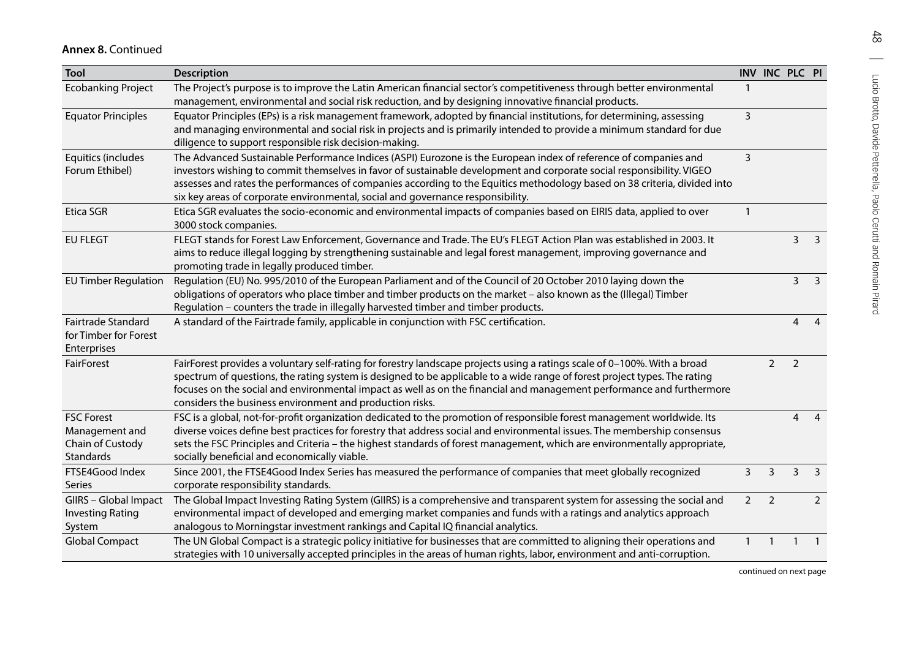| <b>Tool</b>                                                          | <b>Description</b>                                                                                                                                                                                                                                                                                                                                                                                                                                        |                          | INV INC PLC PI           |                |                |
|----------------------------------------------------------------------|-----------------------------------------------------------------------------------------------------------------------------------------------------------------------------------------------------------------------------------------------------------------------------------------------------------------------------------------------------------------------------------------------------------------------------------------------------------|--------------------------|--------------------------|----------------|----------------|
| <b>Ecobanking Project</b>                                            | The Project's purpose is to improve the Latin American financial sector's competitiveness through better environmental<br>management, environmental and social risk reduction, and by designing innovative financial products.                                                                                                                                                                                                                            |                          |                          |                |                |
| <b>Equator Principles</b>                                            | Equator Principles (EPs) is a risk management framework, adopted by financial institutions, for determining, assessing<br>and managing environmental and social risk in projects and is primarily intended to provide a minimum standard for due<br>diligence to support responsible risk decision-making.                                                                                                                                                | $\overline{3}$           |                          |                |                |
| Equitics (includes<br>Forum Ethibel)                                 | The Advanced Sustainable Performance Indices (ASPI) Eurozone is the European index of reference of companies and<br>investors wishing to commit themselves in favor of sustainable development and corporate social responsibility. VIGEO<br>assesses and rates the performances of companies according to the Equitics methodology based on 38 criteria, divided into<br>six key areas of corporate environmental, social and governance responsibility. | 3                        |                          |                |                |
| Etica SGR                                                            | Etica SGR evaluates the socio-economic and environmental impacts of companies based on EIRIS data, applied to over<br>3000 stock companies.                                                                                                                                                                                                                                                                                                               | $\overline{\phantom{0}}$ |                          |                |                |
| <b>EU FLEGT</b>                                                      | FLEGT stands for Forest Law Enforcement, Governance and Trade. The EU's FLEGT Action Plan was established in 2003. It<br>aims to reduce illegal logging by strengthening sustainable and legal forest management, improving governance and<br>promoting trade in legally produced timber.                                                                                                                                                                 |                          |                          | 3              | 3              |
| <b>EU Timber Regulation</b>                                          | Regulation (EU) No. 995/2010 of the European Parliament and of the Council of 20 October 2010 laying down the<br>obligations of operators who place timber and timber products on the market - also known as the (Illegal) Timber<br>Regulation - counters the trade in illegally harvested timber and timber products.                                                                                                                                   |                          |                          | $\overline{3}$ | 3              |
| Fairtrade Standard<br>for Timber for Forest<br>Enterprises           | A standard of the Fairtrade family, applicable in conjunction with FSC certification.                                                                                                                                                                                                                                                                                                                                                                     |                          |                          | $\overline{4}$ | $\overline{4}$ |
| FairForest                                                           | FairForest provides a voluntary self-rating for forestry landscape projects using a ratings scale of 0-100%. With a broad<br>spectrum of questions, the rating system is designed to be applicable to a wide range of forest project types. The rating<br>focuses on the social and environmental impact as well as on the financial and management performance and furthermore<br>considers the business environment and production risks.               |                          | $\overline{2}$           | $\overline{2}$ |                |
| <b>FSC Forest</b><br>Management and<br>Chain of Custody<br>Standards | FSC is a global, not-for-profit organization dedicated to the promotion of responsible forest management worldwide. Its<br>diverse voices define best practices for forestry that address social and environmental issues. The membership consensus<br>sets the FSC Principles and Criteria - the highest standards of forest management, which are environmentally appropriate,<br>socially beneficial and economically viable.                          |                          |                          | 4              | $\overline{4}$ |
| FTSE4Good Index<br><b>Series</b>                                     | Since 2001, the FTSE4Good Index Series has measured the performance of companies that meet globally recognized<br>corporate responsibility standards.                                                                                                                                                                                                                                                                                                     | 3                        | 3                        | 3              | 3              |
| GIIRS - Global Impact<br><b>Investing Rating</b><br>System           | The Global Impact Investing Rating System (GIIRS) is a comprehensive and transparent system for assessing the social and<br>environmental impact of developed and emerging market companies and funds with a ratings and analytics approach<br>analogous to Morningstar investment rankings and Capital IQ financial analytics.                                                                                                                           | $\overline{2}$           | $\overline{\phantom{0}}$ |                | $\overline{2}$ |
| <b>Global Compact</b>                                                | The UN Global Compact is a strategic policy initiative for businesses that are committed to aligning their operations and<br>strategies with 10 universally accepted principles in the areas of human rights, labor, environment and anti-corruption.                                                                                                                                                                                                     |                          |                          |                |                |

 $48$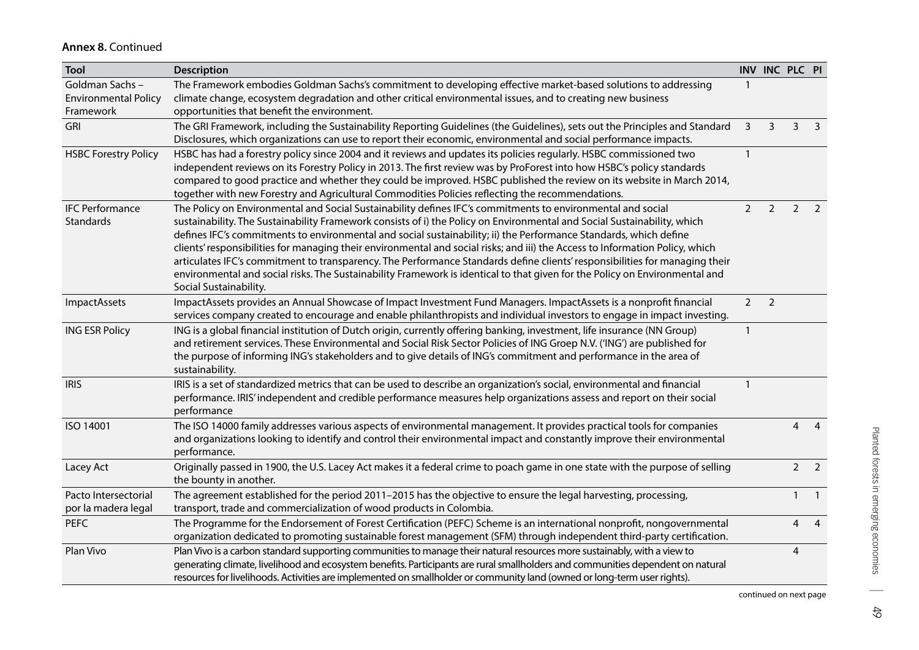| <b>Tool</b>                                                | <b>Description</b>                                                                                                                                                                                                                                                                                                                                                                                                                                                                                                                                                                                                                                                                                                                                                                    |                |                | INV INC PLC PI |                         |
|------------------------------------------------------------|---------------------------------------------------------------------------------------------------------------------------------------------------------------------------------------------------------------------------------------------------------------------------------------------------------------------------------------------------------------------------------------------------------------------------------------------------------------------------------------------------------------------------------------------------------------------------------------------------------------------------------------------------------------------------------------------------------------------------------------------------------------------------------------|----------------|----------------|----------------|-------------------------|
| Goldman Sachs-<br><b>Environmental Policy</b><br>Framework | The Framework embodies Goldman Sachs's commitment to developing effective market-based solutions to addressing<br>climate change, ecosystem degradation and other critical environmental issues, and to creating new business<br>opportunities that benefit the environment.                                                                                                                                                                                                                                                                                                                                                                                                                                                                                                          | -1             |                |                |                         |
| GRI                                                        | The GRI Framework, including the Sustainability Reporting Guidelines (the Guidelines), sets out the Principles and Standard<br>Disclosures, which organizations can use to report their economic, environmental and social performance impacts.                                                                                                                                                                                                                                                                                                                                                                                                                                                                                                                                       | $\overline{3}$ | 3              | 3              | $\overline{\mathbf{3}}$ |
| <b>HSBC Forestry Policy</b>                                | HSBC has had a forestry policy since 2004 and it reviews and updates its policies regularly. HSBC commissioned two<br>independent reviews on its Forestry Policy in 2013. The first review was by ProForest into how HSBC's policy standards<br>compared to good practice and whether they could be improved. HSBC published the review on its website in March 2014,<br>together with new Forestry and Agricultural Commodities Policies reflecting the recommendations.                                                                                                                                                                                                                                                                                                             | -1             |                |                |                         |
| <b>IFC Performance</b><br>Standards                        | The Policy on Environmental and Social Sustainability defines IFC's commitments to environmental and social<br>sustainability. The Sustainability Framework consists of i) the Policy on Environmental and Social Sustainability, which<br>defines IFC's commitments to environmental and social sustainability; ii) the Performance Standards, which define<br>clients' responsibilities for managing their environmental and social risks; and iii) the Access to Information Policy, which<br>articulates IFC's commitment to transparency. The Performance Standards define clients' responsibilities for managing their<br>environmental and social risks. The Sustainability Framework is identical to that given for the Policy on Environmental and<br>Social Sustainability. | $\overline{2}$ | $\overline{2}$ | 2              | $\overline{2}$          |
| ImpactAssets                                               | ImpactAssets provides an Annual Showcase of Impact Investment Fund Managers. ImpactAssets is a nonprofit financial<br>services company created to encourage and enable philanthropists and individual investors to engage in impact investing.                                                                                                                                                                                                                                                                                                                                                                                                                                                                                                                                        | $\overline{2}$ | $\overline{2}$ |                |                         |
| <b>ING ESR Policy</b>                                      | ING is a global financial institution of Dutch origin, currently offering banking, investment, life insurance (NN Group)<br>and retirement services. These Environmental and Social Risk Sector Policies of ING Groep N.V. ('ING') are published for<br>the purpose of informing ING's stakeholders and to give details of ING's commitment and performance in the area of<br>sustainability.                                                                                                                                                                                                                                                                                                                                                                                         | $\mathbf{1}$   |                |                |                         |
| <b>IRIS</b>                                                | IRIS is a set of standardized metrics that can be used to describe an organization's social, environmental and financial<br>performance. IRIS' independent and credible performance measures help organizations assess and report on their social<br>performance                                                                                                                                                                                                                                                                                                                                                                                                                                                                                                                      | $\mathbf{1}$   |                |                |                         |
| ISO 14001                                                  | The ISO 14000 family addresses various aspects of environmental management. It provides practical tools for companies<br>and organizations looking to identify and control their environmental impact and constantly improve their environmental<br>performance.                                                                                                                                                                                                                                                                                                                                                                                                                                                                                                                      |                |                | 4              | $\overline{4}$          |
| Lacey Act                                                  | Originally passed in 1900, the U.S. Lacey Act makes it a federal crime to poach game in one state with the purpose of selling<br>the bounty in another.                                                                                                                                                                                                                                                                                                                                                                                                                                                                                                                                                                                                                               |                |                | 2              | $\overline{2}$          |
| Pacto Intersectorial                                       | The agreement established for the period 2011-2015 has the objective to ensure the legal harvesting, processing,                                                                                                                                                                                                                                                                                                                                                                                                                                                                                                                                                                                                                                                                      |                |                | $\mathbf{1}$   | $\overline{1}$          |
| por la madera legal                                        | transport, trade and commercialization of wood products in Colombia.                                                                                                                                                                                                                                                                                                                                                                                                                                                                                                                                                                                                                                                                                                                  |                |                |                |                         |
| <b>PEFC</b>                                                | The Programme for the Endorsement of Forest Certification (PEFC) Scheme is an international nonprofit, nongovernmental<br>organization dedicated to promoting sustainable forest management (SFM) through independent third-party certification.                                                                                                                                                                                                                                                                                                                                                                                                                                                                                                                                      |                |                | 4              | $\overline{4}$          |
| Plan Vivo                                                  | Plan Vivo is a carbon standard supporting communities to manage their natural resources more sustainably, with a view to<br>generating climate, livelihood and ecosystem benefits. Participants are rural smallholders and communities dependent on natural<br>resources for livelihoods. Activities are implemented on smallholder or community land (owned or long-term user rights).                                                                                                                                                                                                                                                                                                                                                                                               |                |                | 4              |                         |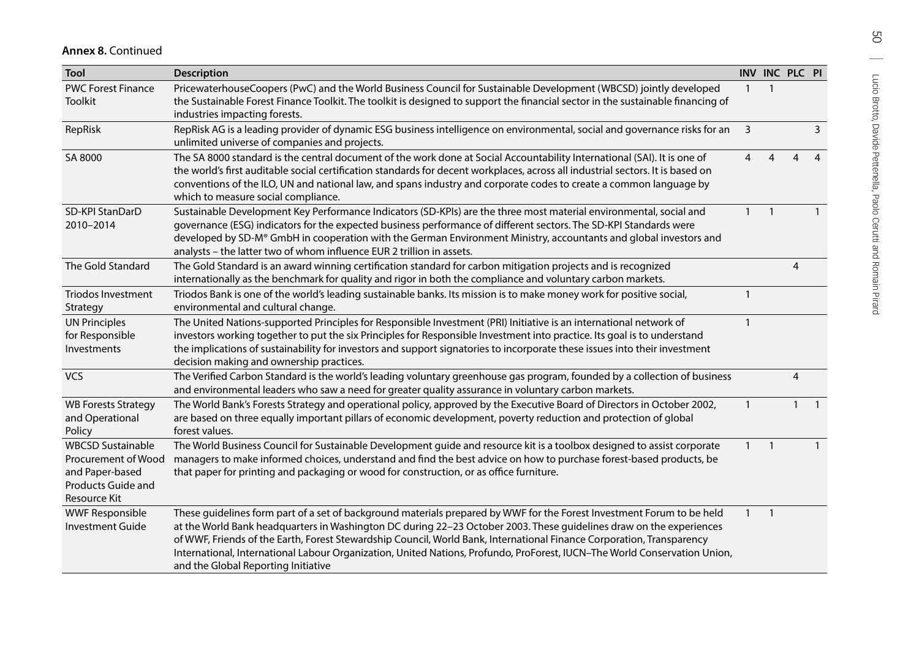| <b>Tool</b>                                                                                              | <b>Description</b>                                                                                                                                                                                                                                                                                                                                                                                                                                                                                                                         |                         | INV INC PLC PI |                |              |
|----------------------------------------------------------------------------------------------------------|--------------------------------------------------------------------------------------------------------------------------------------------------------------------------------------------------------------------------------------------------------------------------------------------------------------------------------------------------------------------------------------------------------------------------------------------------------------------------------------------------------------------------------------------|-------------------------|----------------|----------------|--------------|
| <b>PWC Forest Finance</b><br><b>Toolkit</b>                                                              | PricewaterhouseCoopers (PwC) and the World Business Council for Sustainable Development (WBCSD) jointly developed<br>the Sustainable Forest Finance Toolkit. The toolkit is designed to support the financial sector in the sustainable financing of<br>industries impacting forests.                                                                                                                                                                                                                                                      | $\overline{1}$          | $\mathbf{1}$   |                |              |
| RepRisk                                                                                                  | RepRisk AG is a leading provider of dynamic ESG business intelligence on environmental, social and governance risks for an<br>unlimited universe of companies and projects.                                                                                                                                                                                                                                                                                                                                                                | $\overline{\mathbf{3}}$ |                |                | 3            |
| SA 8000                                                                                                  | The SA 8000 standard is the central document of the work done at Social Accountability International (SAI). It is one of<br>the world's first auditable social certification standards for decent workplaces, across all industrial sectors. It is based on<br>conventions of the ILO, UN and national law, and spans industry and corporate codes to create a common language by<br>which to measure social compliance.                                                                                                                   | 4                       | 4              | 4              | 4            |
| SD-KPI StanDarD<br>2010-2014                                                                             | Sustainable Development Key Performance Indicators (SD-KPIs) are the three most material environmental, social and<br>governance (ESG) indicators for the expected business performance of different sectors. The SD-KPI Standards were<br>developed by SD-M® GmbH in cooperation with the German Environment Ministry, accountants and global investors and<br>analysts - the latter two of whom influence EUR 2 trillion in assets.                                                                                                      | $\mathbf{1}$            |                |                | $\mathbf{1}$ |
| The Gold Standard                                                                                        | The Gold Standard is an award winning certification standard for carbon mitigation projects and is recognized<br>internationally as the benchmark for quality and rigor in both the compliance and voluntary carbon markets.                                                                                                                                                                                                                                                                                                               |                         |                | $\overline{4}$ |              |
| <b>Triodos Investment</b><br>Strategy                                                                    | Triodos Bank is one of the world's leading sustainable banks. Its mission is to make money work for positive social,<br>environmental and cultural change.                                                                                                                                                                                                                                                                                                                                                                                 |                         |                |                |              |
| <b>UN Principles</b><br>for Responsible<br>Investments                                                   | The United Nations-supported Principles for Responsible Investment (PRI) Initiative is an international network of<br>investors working together to put the six Principles for Responsible Investment into practice. Its goal is to understand<br>the implications of sustainability for investors and support signatories to incorporate these issues into their investment<br>decision making and ownership practices.                                                                                                                   |                         |                |                |              |
| <b>VCS</b>                                                                                               | The Verified Carbon Standard is the world's leading voluntary greenhouse gas program, founded by a collection of business<br>and environmental leaders who saw a need for greater quality assurance in voluntary carbon markets.                                                                                                                                                                                                                                                                                                           |                         |                | 4              |              |
| <b>WB Forests Strategy</b><br>and Operational<br>Policy                                                  | The World Bank's Forests Strategy and operational policy, approved by the Executive Board of Directors in October 2002,<br>are based on three equally important pillars of economic development, poverty reduction and protection of global<br>forest values.                                                                                                                                                                                                                                                                              | $\overline{1}$          |                | $\mathbf{1}$   | $\mathbf{1}$ |
| <b>WBCSD Sustainable</b><br>Procurement of Wood<br>and Paper-based<br>Products Guide and<br>Resource Kit | The World Business Council for Sustainable Development guide and resource kit is a toolbox designed to assist corporate<br>managers to make informed choices, understand and find the best advice on how to purchase forest-based products, be<br>that paper for printing and packaging or wood for construction, or as office furniture.                                                                                                                                                                                                  | $\mathbf{1}$            |                |                |              |
| <b>WWF Responsible</b><br><b>Investment Guide</b>                                                        | These guidelines form part of a set of background materials prepared by WWF for the Forest Investment Forum to be held<br>at the World Bank headquarters in Washington DC during 22-23 October 2003. These guidelines draw on the experiences<br>of WWF, Friends of the Earth, Forest Stewardship Council, World Bank, International Finance Corporation, Transparency<br>International, International Labour Organization, United Nations, Profundo, ProForest, IUCN-The World Conservation Union,<br>and the Global Reporting Initiative | $\mathbf{1}$            | $\overline{1}$ |                |              |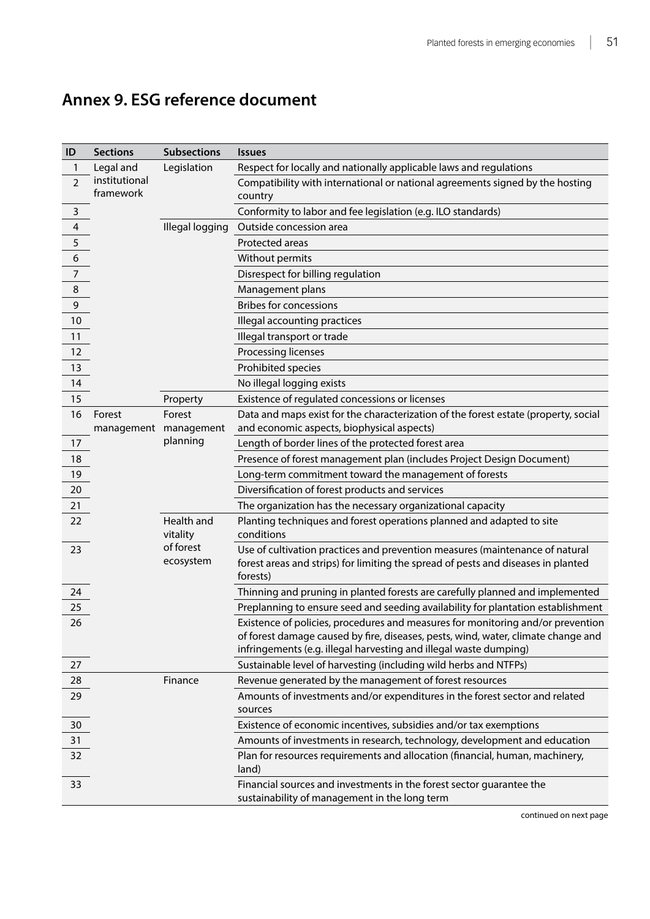<span id="page-61-0"></span>

| Annex 9. ESG reference document |  |
|---------------------------------|--|
|                                 |  |

| ID                      | <b>Sections</b>            | <b>Subsections</b>     | <b>Issues</b>                                                                                                                                                                                                                             |
|-------------------------|----------------------------|------------------------|-------------------------------------------------------------------------------------------------------------------------------------------------------------------------------------------------------------------------------------------|
| 1                       | Legal and                  | Legislation            | Respect for locally and nationally applicable laws and regulations                                                                                                                                                                        |
| $\overline{2}$          | institutional<br>framework |                        | Compatibility with international or national agreements signed by the hosting<br>country                                                                                                                                                  |
| 3                       |                            |                        | Conformity to labor and fee legislation (e.g. ILO standards)                                                                                                                                                                              |
| $\overline{\mathbf{4}}$ |                            | Illegal logging        | Outside concession area                                                                                                                                                                                                                   |
| 5                       |                            |                        | Protected areas                                                                                                                                                                                                                           |
| $\epsilon$              |                            |                        | Without permits                                                                                                                                                                                                                           |
| $\overline{7}$          |                            |                        | Disrespect for billing regulation                                                                                                                                                                                                         |
| 8                       |                            |                        | Management plans                                                                                                                                                                                                                          |
| 9                       |                            |                        | <b>Bribes for concessions</b>                                                                                                                                                                                                             |
| 10                      |                            |                        | Illegal accounting practices                                                                                                                                                                                                              |
| 11                      |                            |                        | Illegal transport or trade                                                                                                                                                                                                                |
| 12                      |                            |                        | Processing licenses                                                                                                                                                                                                                       |
| 13                      |                            |                        | Prohibited species                                                                                                                                                                                                                        |
| 14                      |                            |                        | No illegal logging exists                                                                                                                                                                                                                 |
| 15                      |                            | Property               | Existence of regulated concessions or licenses                                                                                                                                                                                            |
| 16                      | Forest                     | Forest                 | Data and maps exist for the characterization of the forest estate (property, social                                                                                                                                                       |
|                         | management                 | management             | and economic aspects, biophysical aspects)                                                                                                                                                                                                |
| 17                      |                            | planning               | Length of border lines of the protected forest area                                                                                                                                                                                       |
| 18                      |                            |                        | Presence of forest management plan (includes Project Design Document)                                                                                                                                                                     |
| 19                      |                            |                        | Long-term commitment toward the management of forests                                                                                                                                                                                     |
| 20                      |                            |                        | Diversification of forest products and services                                                                                                                                                                                           |
| 21                      |                            |                        | The organization has the necessary organizational capacity                                                                                                                                                                                |
| 22                      |                            | Health and<br>vitality | Planting techniques and forest operations planned and adapted to site<br>conditions                                                                                                                                                       |
| 23                      |                            | of forest<br>ecosystem | Use of cultivation practices and prevention measures (maintenance of natural<br>forest areas and strips) for limiting the spread of pests and diseases in planted<br>forests)                                                             |
| 24                      |                            |                        | Thinning and pruning in planted forests are carefully planned and implemented                                                                                                                                                             |
| 25                      |                            |                        | Preplanning to ensure seed and seeding availability for plantation establishment                                                                                                                                                          |
| 26                      |                            |                        | Existence of policies, procedures and measures for monitoring and/or prevention<br>of forest damage caused by fire, diseases, pests, wind, water, climate change and<br>infringements (e.g. illegal harvesting and illegal waste dumping) |
| 27                      |                            |                        | Sustainable level of harvesting (including wild herbs and NTFPs)                                                                                                                                                                          |
| 28                      |                            | Finance                | Revenue generated by the management of forest resources                                                                                                                                                                                   |
| 29                      |                            |                        | Amounts of investments and/or expenditures in the forest sector and related<br>sources                                                                                                                                                    |
| 30                      |                            |                        | Existence of economic incentives, subsidies and/or tax exemptions                                                                                                                                                                         |
| 31                      |                            |                        | Amounts of investments in research, technology, development and education                                                                                                                                                                 |
| 32                      |                            |                        | Plan for resources requirements and allocation (financial, human, machinery,<br>land)                                                                                                                                                     |
| 33                      |                            |                        | Financial sources and investments in the forest sector guarantee the<br>sustainability of management in the long term                                                                                                                     |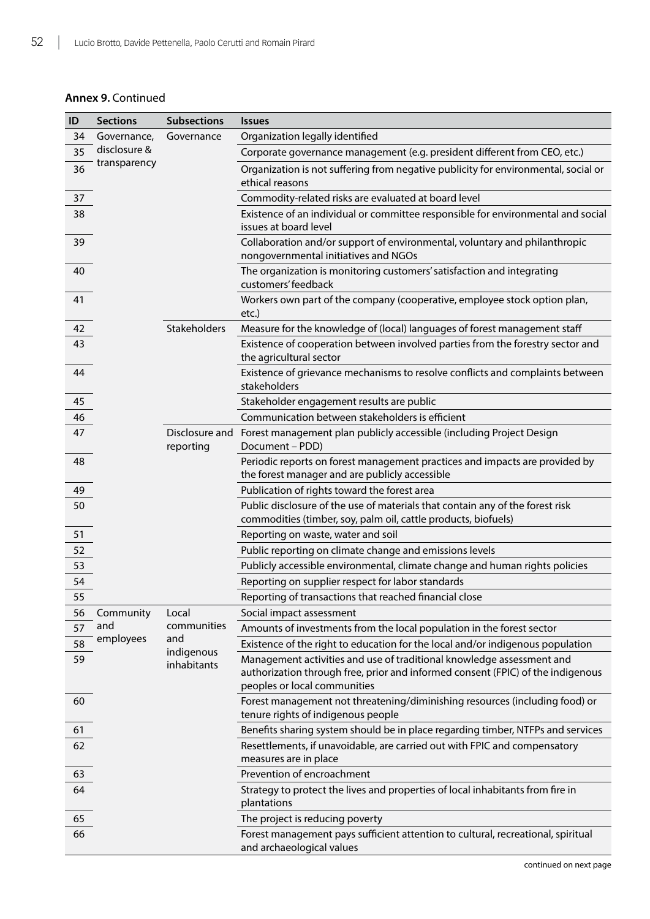| ID | <b>Sections</b> | <b>Subsections</b>          | <b>Issues</b>                                                                                                                                                                            |
|----|-----------------|-----------------------------|------------------------------------------------------------------------------------------------------------------------------------------------------------------------------------------|
| 34 | Governance,     | Governance                  | Organization legally identified                                                                                                                                                          |
| 35 | disclosure &    |                             | Corporate governance management (e.g. president different from CEO, etc.)                                                                                                                |
| 36 | transparency    |                             | Organization is not suffering from negative publicity for environmental, social or<br>ethical reasons                                                                                    |
| 37 |                 |                             | Commodity-related risks are evaluated at board level                                                                                                                                     |
| 38 |                 |                             | Existence of an individual or committee responsible for environmental and social<br>issues at board level                                                                                |
| 39 |                 |                             | Collaboration and/or support of environmental, voluntary and philanthropic<br>nongovernmental initiatives and NGOs                                                                       |
| 40 |                 |                             | The organization is monitoring customers' satisfaction and integrating<br>customers' feedback                                                                                            |
| 41 |                 |                             | Workers own part of the company (cooperative, employee stock option plan,<br>etc.)                                                                                                       |
| 42 |                 | Stakeholders                | Measure for the knowledge of (local) languages of forest management staff                                                                                                                |
| 43 |                 |                             | Existence of cooperation between involved parties from the forestry sector and<br>the agricultural sector                                                                                |
| 44 |                 |                             | Existence of grievance mechanisms to resolve conflicts and complaints between<br>stakeholders                                                                                            |
| 45 |                 |                             | Stakeholder engagement results are public                                                                                                                                                |
| 46 |                 |                             | Communication between stakeholders is efficient                                                                                                                                          |
| 47 |                 | Disclosure and<br>reporting | Forest management plan publicly accessible (including Project Design<br>Document - PDD)                                                                                                  |
| 48 |                 |                             | Periodic reports on forest management practices and impacts are provided by<br>the forest manager and are publicly accessible                                                            |
| 49 |                 |                             | Publication of rights toward the forest area                                                                                                                                             |
| 50 |                 |                             | Public disclosure of the use of materials that contain any of the forest risk<br>commodities (timber, soy, palm oil, cattle products, biofuels)                                          |
| 51 |                 |                             | Reporting on waste, water and soil                                                                                                                                                       |
| 52 |                 |                             | Public reporting on climate change and emissions levels                                                                                                                                  |
| 53 |                 |                             | Publicly accessible environmental, climate change and human rights policies                                                                                                              |
| 54 |                 |                             | Reporting on supplier respect for labor standards                                                                                                                                        |
| 55 |                 |                             | Reporting of transactions that reached financial close                                                                                                                                   |
| 56 | Community       | Local                       | Social impact assessment                                                                                                                                                                 |
| 57 | and             | communities                 | Amounts of investments from the local population in the forest sector                                                                                                                    |
| 58 | employees       | and<br>indigenous           | Existence of the right to education for the local and/or indigenous population                                                                                                           |
| 59 |                 | inhabitants                 | Management activities and use of traditional knowledge assessment and<br>authorization through free, prior and informed consent (FPIC) of the indigenous<br>peoples or local communities |
| 60 |                 |                             | Forest management not threatening/diminishing resources (including food) or<br>tenure rights of indigenous people                                                                        |
| 61 |                 |                             | Benefits sharing system should be in place regarding timber, NTFPs and services                                                                                                          |
| 62 |                 |                             | Resettlements, if unavoidable, are carried out with FPIC and compensatory<br>measures are in place                                                                                       |
| 63 |                 |                             | Prevention of encroachment                                                                                                                                                               |
| 64 |                 |                             | Strategy to protect the lives and properties of local inhabitants from fire in<br>plantations                                                                                            |
| 65 |                 |                             | The project is reducing poverty                                                                                                                                                          |
| 66 |                 |                             | Forest management pays sufficient attention to cultural, recreational, spiritual<br>and archaeological values                                                                            |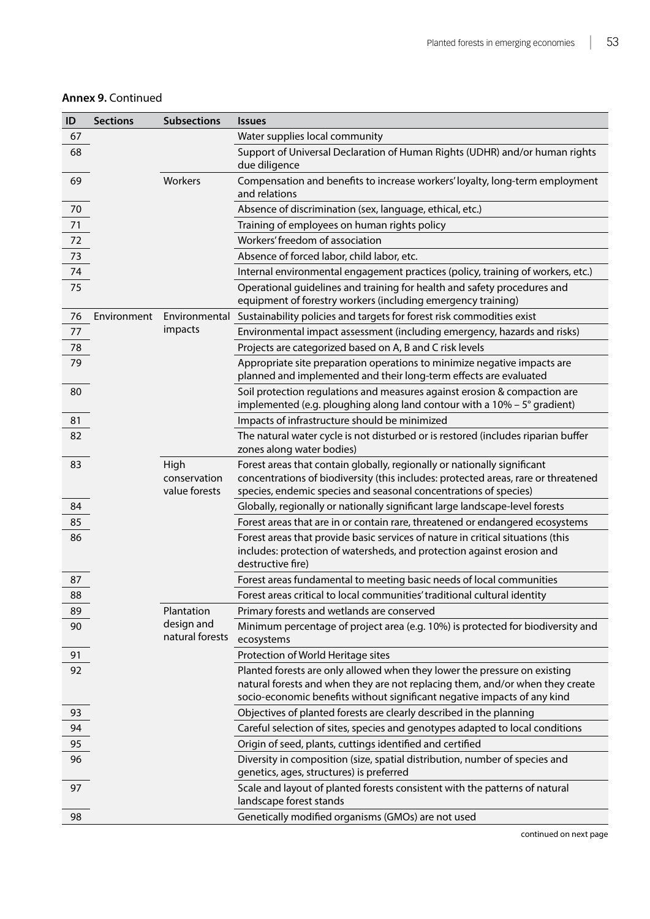| ID | <b>Sections</b> | <b>Subsections</b>            | <b>Issues</b>                                                                                                                                                                                                                          |
|----|-----------------|-------------------------------|----------------------------------------------------------------------------------------------------------------------------------------------------------------------------------------------------------------------------------------|
| 67 |                 |                               | Water supplies local community                                                                                                                                                                                                         |
| 68 |                 |                               | Support of Universal Declaration of Human Rights (UDHR) and/or human rights<br>due diligence                                                                                                                                           |
| 69 |                 | Workers                       | Compensation and benefits to increase workers' loyalty, long-term employment<br>and relations                                                                                                                                          |
| 70 |                 |                               | Absence of discrimination (sex, language, ethical, etc.)                                                                                                                                                                               |
| 71 |                 |                               | Training of employees on human rights policy                                                                                                                                                                                           |
| 72 |                 |                               | Workers' freedom of association                                                                                                                                                                                                        |
| 73 |                 |                               | Absence of forced labor, child labor, etc.                                                                                                                                                                                             |
| 74 |                 |                               | Internal environmental engagement practices (policy, training of workers, etc.)                                                                                                                                                        |
| 75 |                 |                               | Operational guidelines and training for health and safety procedures and<br>equipment of forestry workers (including emergency training)                                                                                               |
| 76 | Environment     | Environmental                 | Sustainability policies and targets for forest risk commodities exist                                                                                                                                                                  |
| 77 |                 | impacts                       | Environmental impact assessment (including emergency, hazards and risks)                                                                                                                                                               |
| 78 |                 |                               | Projects are categorized based on A, B and C risk levels                                                                                                                                                                               |
| 79 |                 |                               | Appropriate site preparation operations to minimize negative impacts are<br>planned and implemented and their long-term effects are evaluated                                                                                          |
| 80 |                 |                               | Soil protection regulations and measures against erosion & compaction are                                                                                                                                                              |
|    |                 |                               | implemented (e.g. ploughing along land contour with a $10\% - 5^{\circ}$ gradient)                                                                                                                                                     |
| 81 |                 |                               | Impacts of infrastructure should be minimized                                                                                                                                                                                          |
| 82 |                 |                               | The natural water cycle is not disturbed or is restored (includes riparian buffer                                                                                                                                                      |
|    |                 |                               | zones along water bodies)                                                                                                                                                                                                              |
| 83 |                 | High<br>conservation          | Forest areas that contain globally, regionally or nationally significant<br>concentrations of biodiversity (this includes: protected areas, rare or threatened                                                                         |
|    |                 | value forests                 | species, endemic species and seasonal concentrations of species)                                                                                                                                                                       |
| 84 |                 |                               | Globally, regionally or nationally significant large landscape-level forests                                                                                                                                                           |
| 85 |                 |                               | Forest areas that are in or contain rare, threatened or endangered ecosystems                                                                                                                                                          |
| 86 |                 |                               | Forest areas that provide basic services of nature in critical situations (this<br>includes: protection of watersheds, and protection against erosion and<br>destructive fire)                                                         |
| 87 |                 |                               | Forest areas fundamental to meeting basic needs of local communities                                                                                                                                                                   |
| 88 |                 |                               | Forest areas critical to local communities' traditional cultural identity                                                                                                                                                              |
| 89 |                 | Plantation                    | Primary forests and wetlands are conserved                                                                                                                                                                                             |
| 90 |                 | design and<br>natural forests | Minimum percentage of project area (e.g. 10%) is protected for biodiversity and<br>ecosystems                                                                                                                                          |
| 91 |                 |                               | Protection of World Heritage sites                                                                                                                                                                                                     |
| 92 |                 |                               | Planted forests are only allowed when they lower the pressure on existing<br>natural forests and when they are not replacing them, and/or when they create<br>socio-economic benefits without significant negative impacts of any kind |
| 93 |                 |                               | Objectives of planted forests are clearly described in the planning                                                                                                                                                                    |
| 94 |                 |                               | Careful selection of sites, species and genotypes adapted to local conditions                                                                                                                                                          |
| 95 |                 |                               | Origin of seed, plants, cuttings identified and certified                                                                                                                                                                              |
| 96 |                 |                               | Diversity in composition (size, spatial distribution, number of species and<br>genetics, ages, structures) is preferred                                                                                                                |
| 97 |                 |                               | Scale and layout of planted forests consistent with the patterns of natural<br>landscape forest stands                                                                                                                                 |
| 98 |                 |                               | Genetically modified organisms (GMOs) are not used                                                                                                                                                                                     |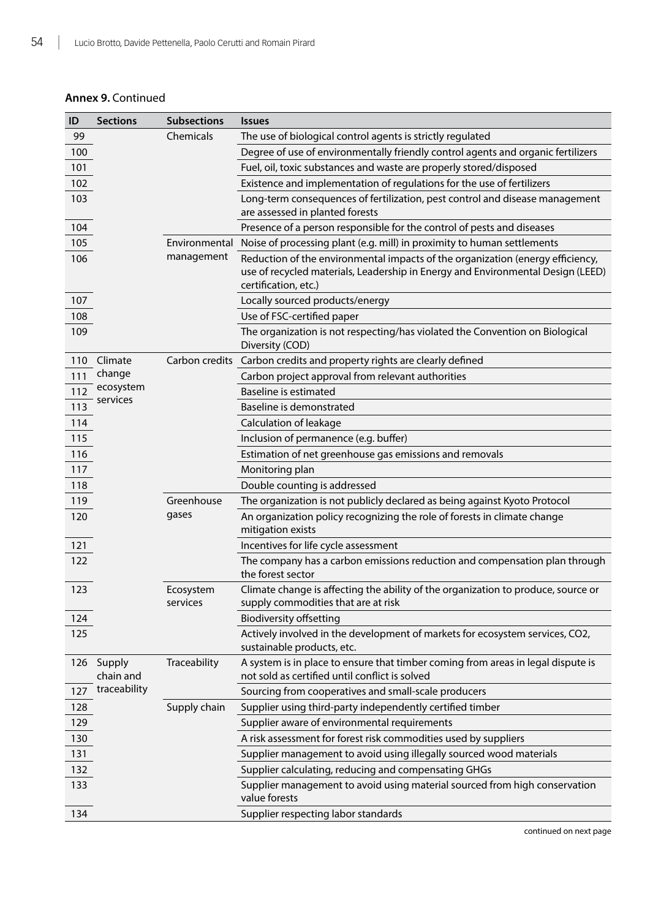| ID  | <b>Sections</b>     | <b>Subsections</b>    | <b>Issues</b>                                                                                                                                                                             |
|-----|---------------------|-----------------------|-------------------------------------------------------------------------------------------------------------------------------------------------------------------------------------------|
| 99  |                     | Chemicals             | The use of biological control agents is strictly regulated                                                                                                                                |
| 100 |                     |                       | Degree of use of environmentally friendly control agents and organic fertilizers                                                                                                          |
| 101 |                     |                       | Fuel, oil, toxic substances and waste are properly stored/disposed                                                                                                                        |
| 102 |                     |                       | Existence and implementation of regulations for the use of fertilizers                                                                                                                    |
| 103 |                     |                       | Long-term consequences of fertilization, pest control and disease management                                                                                                              |
|     |                     |                       | are assessed in planted forests                                                                                                                                                           |
| 104 |                     |                       | Presence of a person responsible for the control of pests and diseases                                                                                                                    |
| 105 |                     | Environmental         | Noise of processing plant (e.g. mill) in proximity to human settlements                                                                                                                   |
| 106 |                     | management            | Reduction of the environmental impacts of the organization (energy efficiency,<br>use of recycled materials, Leadership in Energy and Environmental Design (LEED)<br>certification, etc.) |
| 107 |                     |                       | Locally sourced products/energy                                                                                                                                                           |
| 108 |                     |                       | Use of FSC-certified paper                                                                                                                                                                |
| 109 |                     |                       | The organization is not respecting/has violated the Convention on Biological<br>Diversity (COD)                                                                                           |
| 110 | Climate             |                       | Carbon credits Carbon credits and property rights are clearly defined                                                                                                                     |
| 111 | change              |                       | Carbon project approval from relevant authorities                                                                                                                                         |
| 112 | ecosystem           |                       | <b>Baseline is estimated</b>                                                                                                                                                              |
| 113 | services            |                       | Baseline is demonstrated                                                                                                                                                                  |
| 114 |                     |                       | Calculation of leakage                                                                                                                                                                    |
| 115 |                     |                       | Inclusion of permanence (e.g. buffer)                                                                                                                                                     |
| 116 |                     |                       | Estimation of net greenhouse gas emissions and removals                                                                                                                                   |
| 117 |                     |                       | Monitoring plan                                                                                                                                                                           |
| 118 |                     |                       | Double counting is addressed                                                                                                                                                              |
| 119 |                     | Greenhouse            | The organization is not publicly declared as being against Kyoto Protocol                                                                                                                 |
| 120 |                     | gases                 | An organization policy recognizing the role of forests in climate change<br>mitigation exists                                                                                             |
| 121 |                     |                       | Incentives for life cycle assessment                                                                                                                                                      |
| 122 |                     |                       | The company has a carbon emissions reduction and compensation plan through<br>the forest sector                                                                                           |
| 123 |                     | Ecosystem<br>services | Climate change is affecting the ability of the organization to produce, source or<br>supply commodities that are at risk                                                                  |
| 124 |                     |                       | <b>Biodiversity offsetting</b>                                                                                                                                                            |
| 125 |                     |                       | Actively involved in the development of markets for ecosystem services, CO2,<br>sustainable products, etc.                                                                                |
| 126 | Supply<br>chain and | Traceability          | A system is in place to ensure that timber coming from areas in legal dispute is<br>not sold as certified until conflict is solved                                                        |
| 127 | traceability        |                       | Sourcing from cooperatives and small-scale producers                                                                                                                                      |
| 128 |                     | Supply chain          | Supplier using third-party independently certified timber                                                                                                                                 |
| 129 |                     |                       | Supplier aware of environmental requirements                                                                                                                                              |
| 130 |                     |                       | A risk assessment for forest risk commodities used by suppliers                                                                                                                           |
| 131 |                     |                       | Supplier management to avoid using illegally sourced wood materials                                                                                                                       |
| 132 |                     |                       | Supplier calculating, reducing and compensating GHGs                                                                                                                                      |
| 133 |                     |                       | Supplier management to avoid using material sourced from high conservation<br>value forests                                                                                               |
| 134 |                     |                       | Supplier respecting labor standards                                                                                                                                                       |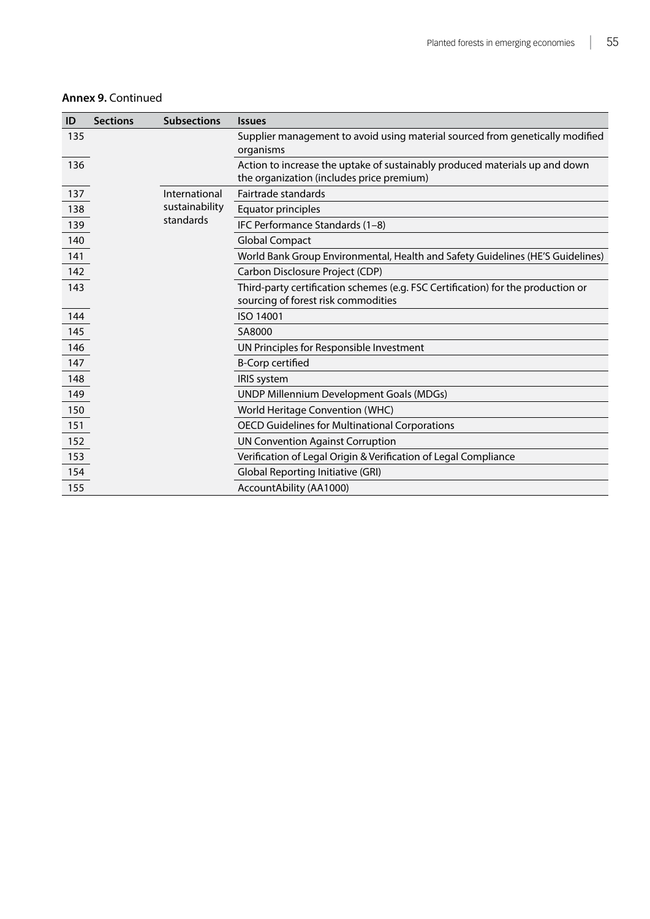| <b>Annex 9. Continued</b> |  |  |  |
|---------------------------|--|--|--|
|---------------------------|--|--|--|

| ID  | <b>Sections</b> | <b>Subsections</b> | <i><u><b>Issues</b></u></i>                                                                                              |
|-----|-----------------|--------------------|--------------------------------------------------------------------------------------------------------------------------|
| 135 |                 |                    | Supplier management to avoid using material sourced from genetically modified<br>organisms                               |
| 136 |                 |                    | Action to increase the uptake of sustainably produced materials up and down<br>the organization (includes price premium) |
| 137 |                 | International      | Fairtrade standards                                                                                                      |
| 138 |                 | sustainability     | Equator principles                                                                                                       |
| 139 |                 | standards          | IFC Performance Standards (1-8)                                                                                          |
| 140 |                 |                    | <b>Global Compact</b>                                                                                                    |
| 141 |                 |                    | World Bank Group Environmental, Health and Safety Guidelines (HE'S Guidelines)                                           |
| 142 |                 |                    | Carbon Disclosure Project (CDP)                                                                                          |
| 143 |                 |                    | Third-party certification schemes (e.g. FSC Certification) for the production or<br>sourcing of forest risk commodities  |
| 144 |                 |                    | ISO 14001                                                                                                                |
| 145 |                 |                    | SA8000                                                                                                                   |
| 146 |                 |                    | UN Principles for Responsible Investment                                                                                 |
| 147 |                 |                    | <b>B-Corp certified</b>                                                                                                  |
| 148 |                 |                    | <b>IRIS</b> system                                                                                                       |
| 149 |                 |                    | <b>UNDP Millennium Development Goals (MDGs)</b>                                                                          |
| 150 |                 |                    | World Heritage Convention (WHC)                                                                                          |
| 151 |                 |                    | <b>OECD Guidelines for Multinational Corporations</b>                                                                    |
| 152 |                 |                    | <b>UN Convention Against Corruption</b>                                                                                  |
| 153 |                 |                    | Verification of Legal Origin & Verification of Legal Compliance                                                          |
| 154 |                 |                    | Global Reporting Initiative (GRI)                                                                                        |
| 155 |                 |                    | AccountAbility (AA1000)                                                                                                  |